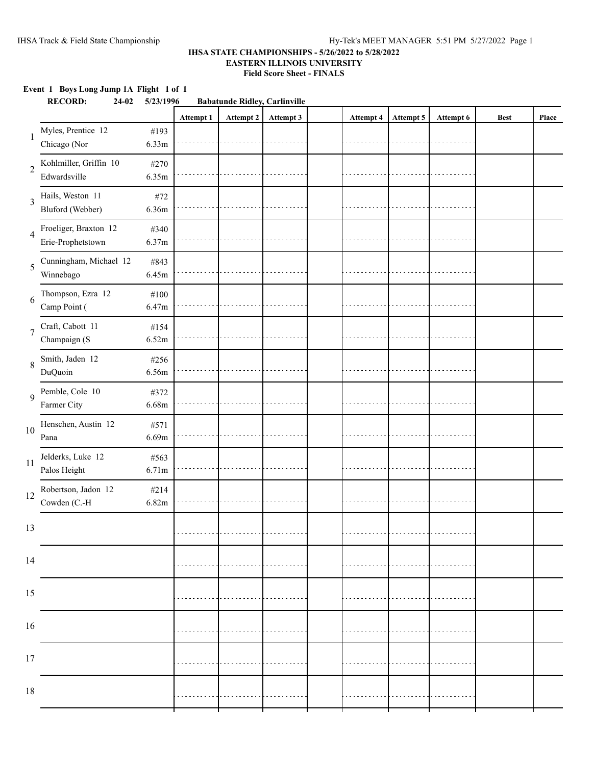### **Event 1 Boys Long Jump 1A Flight 1 of 1 RECORD: 24-02 5/23/1996 Babatunde Ridley, Carlinville Attempt 1 Attempt 2 Attempt 3 Attempt 4 Attempt 5 Attempt 6 Best Place** Chicago (Nor 1 Myles, Prentice 12 #193 6.33m Edwardsville 2 Kohlmiller, Griffin 10 #270 6.35m Bluford (Webber) 3 Hails, Weston 11 #72 6.36m Erie-Prophetstown 4 Froeliger, Braxton 12 #340 6.37m Winnebago 5 Cunningham, Michael 12 #843 6.45m Camp Point ( 6 Thompson, Ezra  $12$  #100 6.47m Champaign (S 7 Craft, Cabott 11 #154 6.52m DuQuoin 8 Smith, Jaden 12 #256 6.56m Farmer City 9 Pemble, Cole 10 #372 6.68m Pana 10 Henschen, Austin 12 #571 6.69m Palos Height 11 Jelderks, Luke 12 #563 6.71m Cowden (C.-H 12 Robertson, Jadon 12 #214 6.82m 13 14 15 16 17 18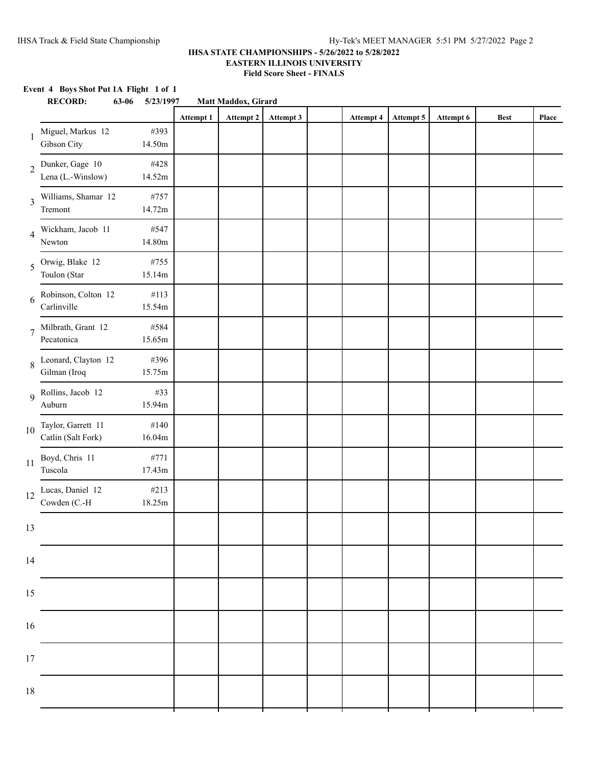|                          | Event 4 Boys Shot Put 1A Flight 1 of 1<br><b>RECORD:</b><br>63-06 | 5/23/1997      |           | Matt Maddox, Girard |           |                  |           |           |             |       |
|--------------------------|-------------------------------------------------------------------|----------------|-----------|---------------------|-----------|------------------|-----------|-----------|-------------|-------|
|                          |                                                                   |                | Attempt 1 | Attempt 2           | Attempt 3 | <b>Attempt 4</b> | Attempt 5 | Attempt 6 | <b>Best</b> | Place |
| 1                        | Miguel, Markus 12<br>Gibson City                                  | #393<br>14.50m |           |                     |           |                  |           |           |             |       |
| $\overline{2}$           | Dunker, Gage 10<br>Lena (L.-Winslow)                              | #428<br>14.52m |           |                     |           |                  |           |           |             |       |
| 3                        | Williams, Shamar 12<br>Tremont                                    | #757<br>14.72m |           |                     |           |                  |           |           |             |       |
| $\overline{\mathcal{A}}$ | Wickham, Jacob 11<br>Newton                                       | #547<br>14.80m |           |                     |           |                  |           |           |             |       |
| 5                        | Orwig, Blake 12<br>Toulon (Star                                   | #755<br>15.14m |           |                     |           |                  |           |           |             |       |
| 6                        | Robinson, Colton 12<br>Carlinville                                | #113<br>15.54m |           |                     |           |                  |           |           |             |       |
| $\overline{7}$           | Milbrath, Grant 12<br>Pecatonica                                  | #584<br>15.65m |           |                     |           |                  |           |           |             |       |
| 8                        | Leonard, Clayton 12<br>Gilman (Iroq                               | #396<br>15.75m |           |                     |           |                  |           |           |             |       |
| 9                        | Rollins, Jacob 12<br>Auburn                                       | #33<br>15.94m  |           |                     |           |                  |           |           |             |       |
| 10                       | Taylor, Garrett 11<br>Catlin (Salt Fork)                          | #140<br>16.04m |           |                     |           |                  |           |           |             |       |
| 11                       | Boyd, Chris 11<br>Tuscola                                         | #771<br>17.43m |           |                     |           |                  |           |           |             |       |
| 12                       | Lucas, Daniel 12<br>Cowden (C.-H                                  | #213<br>18.25m |           |                     |           |                  |           |           |             |       |
| 13                       |                                                                   |                |           |                     |           |                  |           |           |             |       |
| 14                       |                                                                   |                |           |                     |           |                  |           |           |             |       |
| 15                       |                                                                   |                |           |                     |           |                  |           |           |             |       |
| 16                       |                                                                   |                |           |                     |           |                  |           |           |             |       |
| 17                       |                                                                   |                |           |                     |           |                  |           |           |             |       |
| 18                       |                                                                   |                |           |                     |           |                  |           |           |             |       |
|                          |                                                                   |                |           |                     |           |                  |           |           |             |       |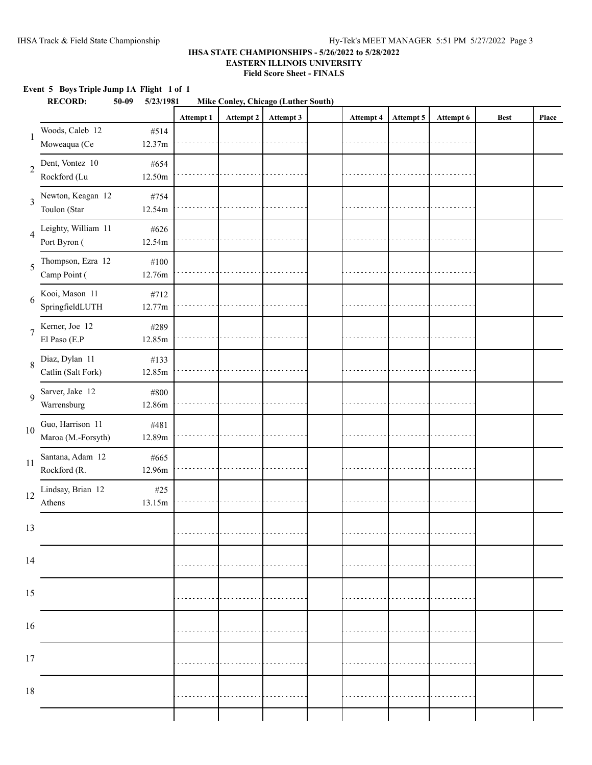### **Event 5 Boys Triple Jump 1A Flight 1 of 1**

|                | <b>RECORD:</b><br>$50 - 09$            | 5/23/1981         |           | Mike Conley, Chicago (Luther South) |           |           |           |           |             |       |
|----------------|----------------------------------------|-------------------|-----------|-------------------------------------|-----------|-----------|-----------|-----------|-------------|-------|
|                |                                        |                   | Attempt 1 | Attempt 2                           | Attempt 3 | Attempt 4 | Attempt 5 | Attempt 6 | <b>Best</b> | Place |
| 1              | Woods, Caleb 12<br>Moweaqua (Ce        | #514<br>12.37m    |           |                                     |           |           |           |           |             |       |
| $\sqrt{2}$     | Dent, Vontez 10<br>Rockford (Lu        | #654<br>12.50m    |           |                                     |           |           |           |           |             |       |
| 3              | Newton, Keagan 12<br>Toulon (Star      | #754<br>12.54m    |           |                                     |           |           |           |           |             |       |
| $\overline{4}$ | Leighty, William 11<br>Port Byron (    | #626<br>12.54m    |           |                                     |           |           |           |           |             |       |
| 5              | Thompson, Ezra 12<br>Camp Point (      | $\#100$<br>12.76m |           |                                     |           |           |           |           |             |       |
| 6              | Kooi, Mason 11<br>SpringfieldLUTH      | #712<br>12.77m    |           |                                     |           |           |           |           |             |       |
| $\overline{7}$ | Kerner, Joe 12<br>El Paso (E.P         | #289<br>12.85m    |           |                                     |           |           |           |           |             |       |
| 8              | Diaz, Dylan 11<br>Catlin (Salt Fork)   | #133<br>12.85m    |           |                                     |           |           |           |           |             |       |
| 9              | Sarver, Jake 12<br>Warrensburg         | #800<br>12.86m    |           |                                     |           |           |           |           |             |       |
| 10             | Guo, Harrison 11<br>Maroa (M.-Forsyth) | #481<br>12.89m    |           |                                     |           |           |           |           |             |       |
| 11             | Santana, Adam 12<br>Rockford (R.       | #665<br>12.96m    |           |                                     |           |           |           |           |             |       |
| 12             | Lindsay, Brian 12<br>Athens            | $\#25$<br>13.15m  |           |                                     |           |           |           |           |             |       |
| 13             |                                        |                   |           |                                     |           |           |           |           |             |       |
| 14             |                                        |                   |           |                                     |           |           |           |           |             |       |
| 15             |                                        |                   |           |                                     |           |           |           |           |             |       |
| 16             |                                        |                   |           |                                     |           |           |           |           |             |       |
| $17\,$         |                                        |                   |           |                                     |           |           |           |           |             |       |
| $18\,$         |                                        |                   |           |                                     |           |           |           |           |             |       |
|                |                                        |                   |           |                                     |           |           |           |           |             |       |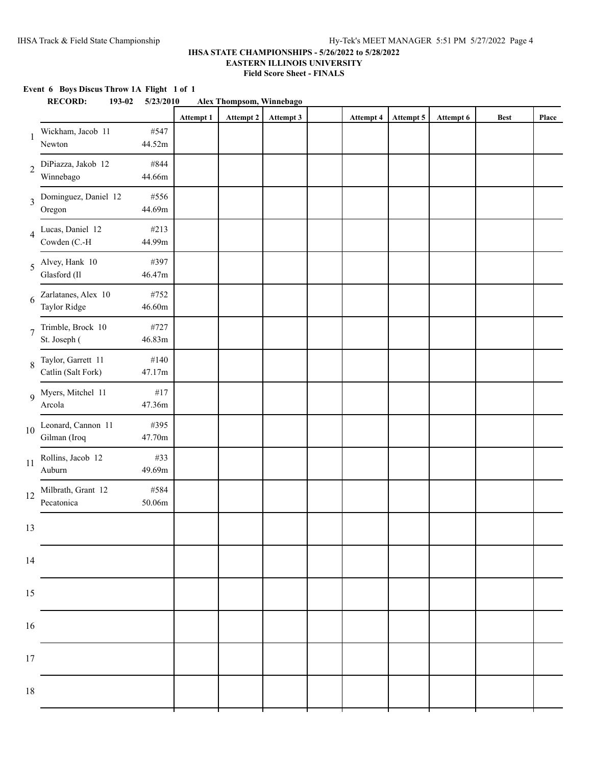## **Event 6 Boys Discus Throw 1A Flight 1 of 1 RECORD: 193-02 5/23/2010 Alex Thompsom, Winnebago Attempt 1 Attempt 2 Attempt 3 Attempt 4 Attempt 5 Attempt 6 Best Place** 1 Wickham, Jacob 11 #547 Newton 44.52m 2 DiPiazza, Jakob 12 #844 Winnebago 44.66m 3 Dominguez, Daniel 12 #556 Oregon 44.69m 4 Lucas, Daniel 12 #213 Cowden (C.-H 44.99m) 5 Alvey, Hank 10 #397 Glasford (Il 46.47m 6 Zarlatanes, Alex 10 #752 Taylor Ridge 46.60m 7 Trimble, Brock 10 #727 St. Joseph ( 46.83m 8 Taylor, Garrett 11 #140 Catlin (Salt Fork) 47.17m 9 Myers, Mitchel 11 #17 Arcola 47.36m 10 Leonard, Cannon 11 #395<br>Gilman (Iroq 47.70m Gilman (Iroq 11 Rollins, Jacob 12 #33<br>Auburn 49.69m Auburn 12 Milbrath, Grant 12 #584<br>Pecatonica 50.06m Pecatonica 13 14 15 16 17 18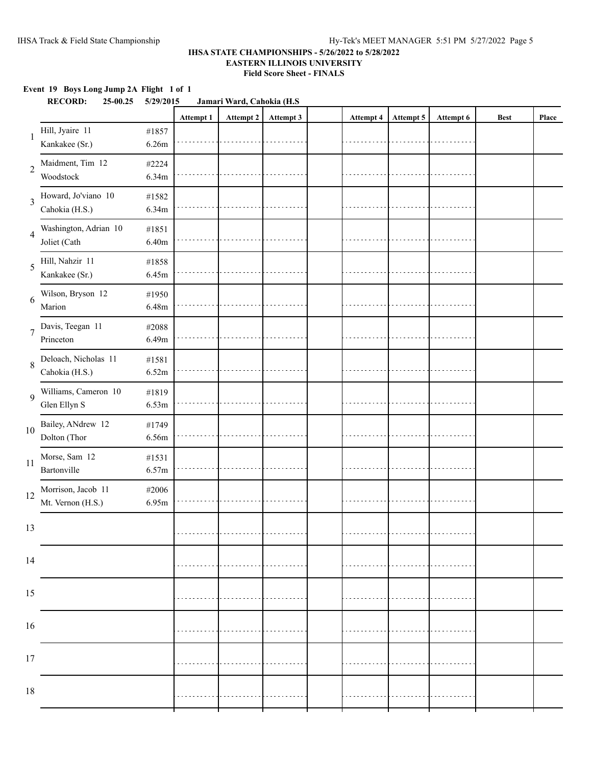|                | Event 19 Boys Long Jump 2A Flight 1 of 1<br><b>RECORD:</b><br>25-00.25 | 5/29/2015      |           | Jamari Ward, Cahokia (H.S. |           |           |           |           |             |       |
|----------------|------------------------------------------------------------------------|----------------|-----------|----------------------------|-----------|-----------|-----------|-----------|-------------|-------|
|                |                                                                        |                | Attempt 1 | Attempt 2                  | Attempt 3 | Attempt 4 | Attempt 5 | Attempt 6 | <b>Best</b> | Place |
| 1              | Hill, Jyaire 11<br>Kankakee (Sr.)                                      | #1857<br>6.26m |           |                            |           |           |           |           |             |       |
| $\overline{2}$ | Maidment, Tim 12<br>Woodstock                                          | #2224<br>6.34m |           |                            |           |           |           |           |             |       |
| 3              | Howard, Jo'viano 10<br>Cahokia (H.S.)                                  | #1582<br>6.34m |           |                            |           |           |           |           |             |       |
| 4              | Washington, Adrian 10<br>Joliet (Cath                                  | #1851<br>6.40m |           |                            |           |           |           |           |             |       |
| 5              | Hill, Nahzir 11<br>Kankakee (Sr.)                                      | #1858<br>6.45m |           |                            |           |           |           |           |             |       |
| 6              | Wilson, Bryson 12<br>Marion                                            | #1950<br>6.48m |           |                            |           |           |           |           |             |       |
| $\overline{7}$ | Davis, Teegan 11<br>Princeton                                          | #2088<br>6.49m |           |                            |           |           |           |           |             |       |
| 8              | Deloach, Nicholas 11<br>Cahokia (H.S.)                                 | #1581<br>6.52m |           |                            |           |           |           |           |             |       |
| 9              | Williams, Cameron 10<br>Glen Ellyn S                                   | #1819<br>6.53m |           |                            |           |           |           |           |             |       |
| $10\,$         | Bailey, ANdrew 12<br>Dolton (Thor                                      | #1749<br>6.56m |           |                            |           |           |           |           |             |       |
| 11             | Morse, Sam 12<br>Bartonville                                           | #1531<br>6.57m |           |                            |           |           |           |           |             |       |
| 12             | Morrison, Jacob 11<br>Mt. Vernon (H.S.)                                | #2006<br>6.95m |           |                            |           |           |           |           |             |       |
| 13             |                                                                        |                |           |                            |           |           |           |           |             |       |
| 14             |                                                                        |                |           |                            |           |           |           |           |             |       |
| 15             |                                                                        |                |           |                            |           |           |           |           |             |       |
| $16\,$         |                                                                        |                |           |                            |           |           |           |           |             |       |
| 17             |                                                                        |                |           |                            |           |           |           |           |             |       |
| $18\,$         |                                                                        |                |           |                            |           |           |           |           |             |       |
|                |                                                                        |                |           |                            |           |           |           |           |             |       |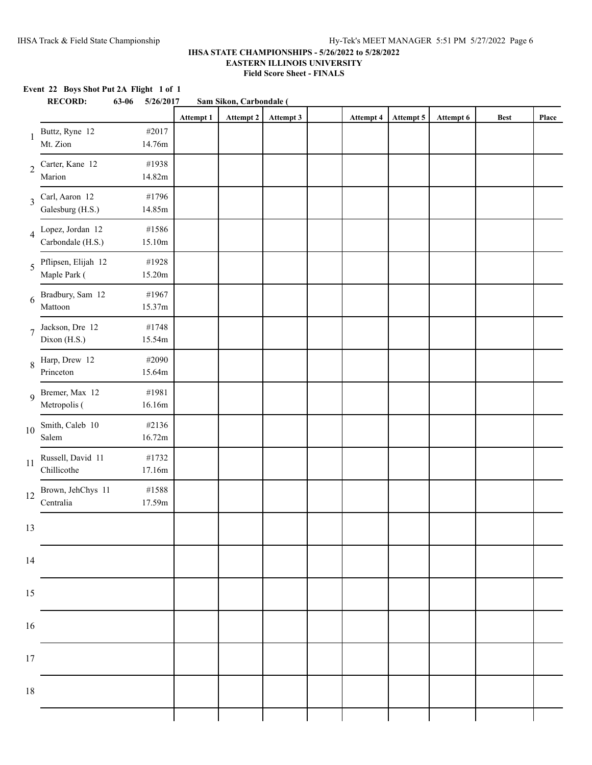# **Event 22 Boys Shot Put 2A Flight 1 of 1 RECORD: 63-06 5/26/2017 Sam Sikon, Carbondale ( Attempt 1 Attempt 2 Attempt 3 Attempt 4 Attempt 5 Attempt 6 Best Place** 1 Buttz, Ryne 12 #2017 Mt. Zion 14.76m 2 Carter, Kane 12 #1938 Marion 14.82m 3 Carl, Aaron 12 #1796 Galesburg (H.S.) 14.85m 4 Lopez, Jordan 12 #1586 Carbondale (H.S.) 15.10m 5 Pflipsen, Elijah 12 #1928 Maple Park (15.20m 6 Bradbury, Sam 12 #1967 Mattoon 15.37m 7 Jackson, Dre 12 #1748 Dixon (H.S.) 15.54m 8 Harp, Drew 12 #2090 Princeton 15.64m 9 Bremer, Max 12 #1981 Metropolis (16.16m 10 Smith, Caleb 10 #2136<br>Salem 16.72m  $16.72m$ 11 Russell, David 11 #1732<br>Chillicothe 17.16m Chillicothe 12 Brown, JehChys 11 #1588<br>Centralia 17.59m Centralia 13 14 15 16 17 18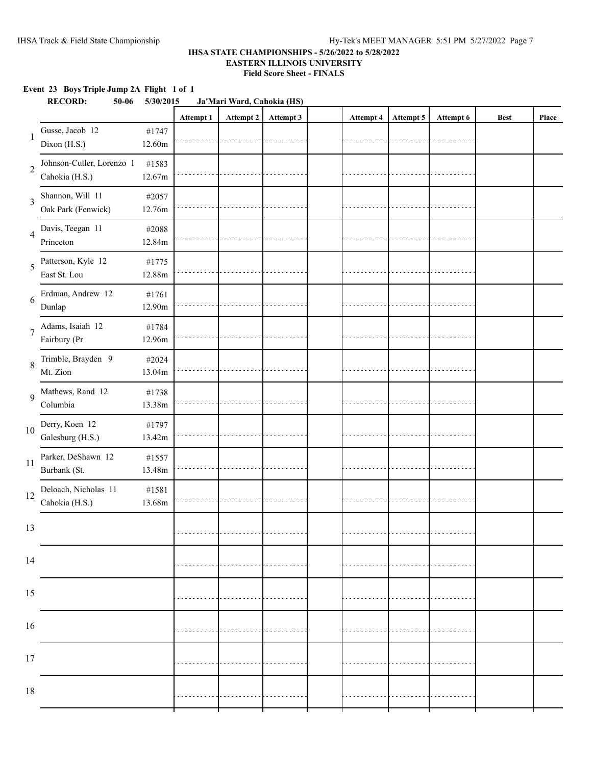### **Event 23 Boys Triple Jump 2A Flight 1 of 1**

|                | <b>RECORD:</b><br>$50 - 06$                 | 5/30/2015       |           | Ja'Mari Ward, Cahokia (HS) |           |           |           |           |             |       |
|----------------|---------------------------------------------|-----------------|-----------|----------------------------|-----------|-----------|-----------|-----------|-------------|-------|
|                |                                             |                 | Attempt 1 | Attempt 2                  | Attempt 3 | Attempt 4 | Attempt 5 | Attempt 6 | <b>Best</b> | Place |
| 1              | Gusse, Jacob 12<br>Dixon (H.S.)             | #1747<br>12.60m |           |                            |           |           |           |           |             |       |
| $\overline{2}$ | Johnson-Cutler, Lorenzo 1<br>Cahokia (H.S.) | #1583<br>12.67m |           |                            |           |           |           |           |             |       |
| 3              | Shannon, Will 11<br>Oak Park (Fenwick)      | #2057<br>12.76m |           |                            |           |           |           |           |             |       |
| $\overline{4}$ | Davis, Teegan 11<br>Princeton               | #2088<br>12.84m |           |                            |           |           |           |           |             |       |
| 5              | Patterson, Kyle 12<br>East St. Lou          | #1775<br>12.88m |           |                            |           |           |           |           |             |       |
| 6              | Erdman, Andrew 12<br>Dunlap                 | #1761<br>12.90m |           |                            |           |           |           |           |             |       |
| $\overline{7}$ | Adams, Isaiah 12<br>Fairbury (Pr            | #1784<br>12.96m |           |                            |           |           |           |           |             |       |
| 8              | Trimble, Brayden 9<br>Mt. Zion              | #2024<br>13.04m |           |                            |           |           |           |           |             |       |
| 9              | Mathews, Rand 12<br>Columbia                | #1738<br>13.38m |           |                            |           |           |           |           |             |       |
| 10             | Derry, Koen 12<br>Galesburg (H.S.)          | #1797<br>13.42m |           |                            |           |           |           |           |             |       |
| 11             | Parker, DeShawn 12<br>Burbank (St.          | #1557<br>13.48m |           |                            |           |           |           |           |             |       |
| 12             | Deloach, Nicholas 11<br>Cahokia (H.S.)      | #1581<br>13.68m |           |                            |           |           |           |           |             |       |
| 13             |                                             |                 |           |                            |           |           |           |           |             |       |
| 14             |                                             |                 |           |                            |           |           |           |           |             |       |
| 15             |                                             |                 |           |                            |           |           |           |           |             |       |
| $16\,$         |                                             |                 |           |                            |           |           |           |           |             |       |
| 17             |                                             |                 |           |                            |           |           |           |           |             |       |
| $18\,$         |                                             |                 |           |                            |           |           |           |           |             |       |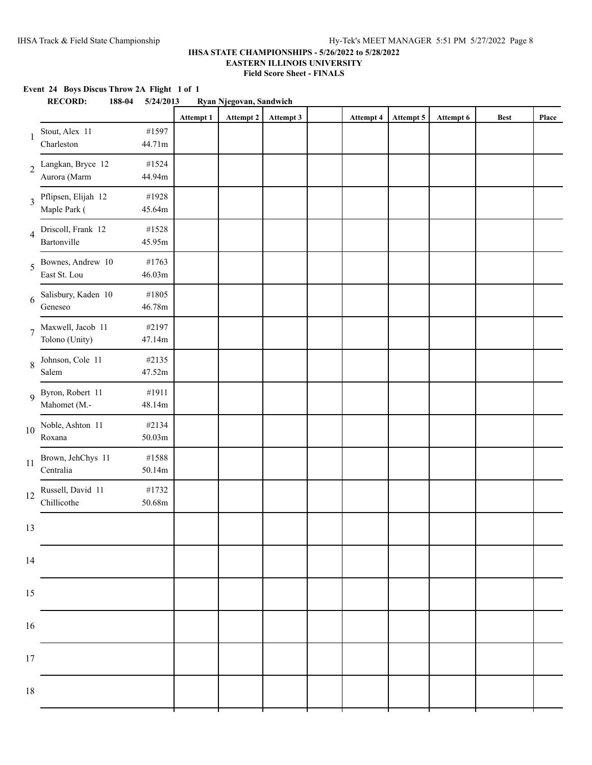### **IHSA STATE CHAMPIONSHIPS - 5/26/2022 to 5/28/2022 EASTERN ILLINOIS UNIVERSITY Field Score Sheet - FINALS**

**Event 24 Boys Discus Throw 2A Flight 1 of 1**

|                | <b>RECORD:</b>                      | 188-04 | 5/24/2013                  |           | Ryan Njegovan, Sandwich |           |           |           |           |             |       |
|----------------|-------------------------------------|--------|----------------------------|-----------|-------------------------|-----------|-----------|-----------|-----------|-------------|-------|
|                |                                     |        |                            | Attempt 1 | Attempt 2               | Attempt 3 | Attempt 4 | Attempt 5 | Attempt 6 | <b>Best</b> | Place |
| -1             | Stout, Alex 11<br>Charleston        |        | #1597<br>44.71m            |           |                         |           |           |           |           |             |       |
|                | 2 Langkan, Bryce 12<br>Aurora (Marm |        | #1524<br>44.94m            |           |                         |           |           |           |           |             |       |
| 3              | Pflipsen, Elijah 12<br>Maple Park ( |        | #1928<br>45.64m            |           |                         |           |           |           |           |             |       |
| $\overline{4}$ | Driscoll, Frank 12<br>Bartonville   |        | #1528<br>45.95m            |           |                         |           |           |           |           |             |       |
| 5              | Bownes, Andrew 10<br>East St. Lou   |        | #1763<br>46.03m            |           |                         |           |           |           |           |             |       |
| 6              | Salisbury, Kaden 10<br>Geneseo      |        | #1805<br>46.78m            |           |                         |           |           |           |           |             |       |
| $\overline{7}$ | Maxwell, Jacob 11<br>Tolono (Unity) |        | #2197<br>47.14m            |           |                         |           |           |           |           |             |       |
| 8              | Johnson, Cole 11<br>Salem           |        | #2135<br>47.52m            |           |                         |           |           |           |           |             |       |
|                | 9 Byron, Robert 11<br>Mahomet (M.-  |        | #1911<br>48.14m            |           |                         |           |           |           |           |             |       |
| 10             | Noble, Ashton 11<br>Roxana          |        | #2134<br>$50.03\mathrm{m}$ |           |                         |           |           |           |           |             |       |
| 11             | Brown, JehChys 11<br>Centralia      |        | #1588<br>50.14m            |           |                         |           |           |           |           |             |       |
| 12             | Russell, David 11<br>Chillicothe    |        | #1732<br>50.68m            |           |                         |           |           |           |           |             |       |
| 13             |                                     |        |                            |           |                         |           |           |           |           |             |       |
| 14             |                                     |        |                            |           |                         |           |           |           |           |             |       |
| 15             |                                     |        |                            |           |                         |           |           |           |           |             |       |
| 16             |                                     |        |                            |           |                         |           |           |           |           |             |       |
| 17             |                                     |        |                            |           |                         |           |           |           |           |             |       |
| 18             |                                     |        |                            |           |                         |           |           |           |           |             |       |
|                |                                     |        |                            |           |                         |           |           |           |           |             |       |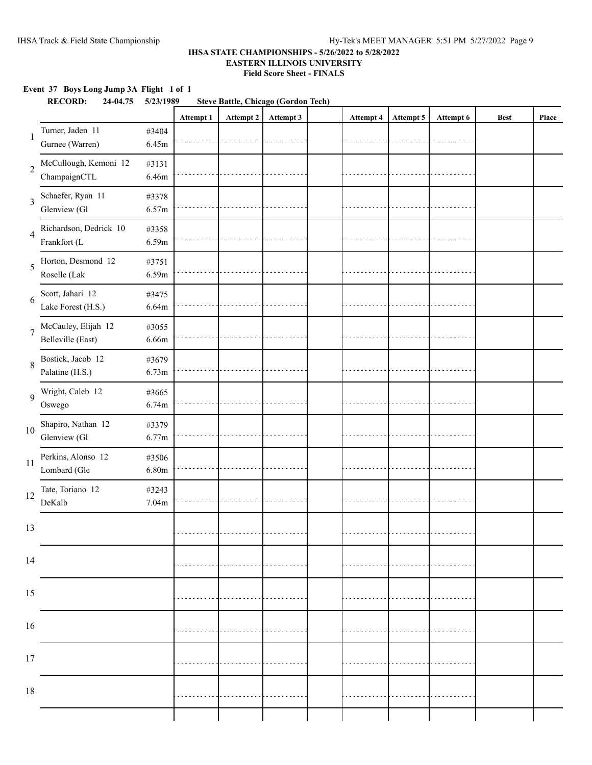### **Event 37 Boys Long Jump 3A Flight 1 of 1**

|                | <b>RECORD:</b><br><b>Steve Battle, Chicago (Gordon Tech)</b><br>24-04.75<br>5/23/1989 |                |           |           |           |  |                  |           |           |             |       |
|----------------|---------------------------------------------------------------------------------------|----------------|-----------|-----------|-----------|--|------------------|-----------|-----------|-------------|-------|
|                |                                                                                       |                | Attempt 1 | Attempt 2 | Attempt 3 |  | <b>Attempt 4</b> | Attempt 5 | Attempt 6 | <b>Best</b> | Place |
| 1              | Turner, Jaden 11<br>Gurnee (Warren)                                                   | #3404<br>6.45m |           |           |           |  |                  |           |           |             |       |
| $\overline{2}$ | McCullough, Kemoni 12<br>ChampaignCTL                                                 | #3131<br>6.46m |           |           |           |  |                  |           |           |             |       |
| 3              | Schaefer, Ryan 11<br>Glenview (Gl                                                     | #3378<br>6.57m |           |           |           |  |                  |           |           |             |       |
| $\overline{4}$ | Richardson, Dedrick 10<br>Frankfort (L                                                | #3358<br>6.59m |           |           |           |  |                  |           |           |             |       |
| 5              | Horton, Desmond 12<br>Roselle (Lak                                                    | #3751<br>6.59m |           |           |           |  |                  |           |           |             |       |
| 6              | Scott, Jahari 12<br>Lake Forest (H.S.)                                                | #3475<br>6.64m |           |           |           |  |                  |           |           |             |       |
| $\overline{7}$ | McCauley, Elijah 12<br>Belleville (East)                                              | #3055<br>6.66m |           |           |           |  |                  |           |           |             |       |
| 8              | Bostick, Jacob 12<br>Palatine (H.S.)                                                  | #3679<br>6.73m |           |           |           |  |                  |           |           |             |       |
| 9              | Wright, Caleb 12<br>Oswego                                                            | #3665<br>6.74m |           |           |           |  |                  |           |           |             |       |
| 10             | Shapiro, Nathan 12<br>Glenview (Gl                                                    | #3379<br>6.77m |           |           |           |  |                  |           |           |             |       |
| 11             | Perkins, Alonso 12<br>Lombard (Gle                                                    | #3506<br>6.80m |           |           |           |  |                  |           |           |             |       |
| 12             | Tate, Toriano 12<br>DeKalb                                                            | #3243<br>7.04m |           |           |           |  |                  |           |           |             |       |
| 13             |                                                                                       |                |           |           |           |  |                  |           |           |             |       |
| 14             |                                                                                       |                |           |           |           |  |                  |           |           |             |       |
| 15             |                                                                                       |                |           |           |           |  |                  |           |           |             |       |
| $16\,$         |                                                                                       |                |           |           |           |  |                  |           |           |             |       |
| 17             |                                                                                       |                |           |           |           |  |                  |           |           |             |       |
| $18\,$         |                                                                                       |                |           |           |           |  |                  |           |           |             |       |
|                |                                                                                       |                |           |           |           |  |                  |           |           |             |       |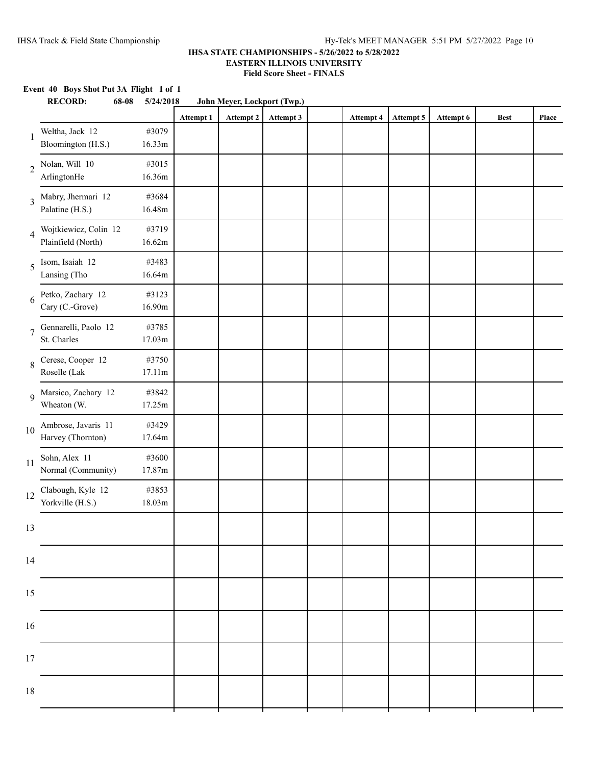## **Event 40 Boys Shot Put 3A Flight 1 of 1 RECORD: 68-08 5/24/2018 John Meyer, Lockport (Twp.) Attempt 1 Attempt 2 Attempt 3 Attempt 4 Attempt 5 Attempt 6 Best Place** 1 Weltha, Jack 12 #3079 Bloomington (H.S.) 16.33m 2 Nolan, Will 10 #3015 ArlingtonHe 16.36m 3 Mabry, Jhermari 12 #3684 Palatine (H.S.) 16.48m 4 Wojtkiewicz, Colin 12 #3719 Plainfield (North) 16.62m 5 Isom, Isaiah 12 #3483 Lansing (Tho 16.64m 6 Petko, Zachary 12 #3123 Cary (C.-Grove) 16.90m 7 Gennarelli, Paolo 12 #3785 St. Charles 17.03m 8 Cerese, Cooper 12 #3750 Roselle (Lak 17.11m 9 Marsico, Zachary 12 #3842 Wheaton (W. 17.25m) 10 Ambrose, Javaris 11 #3429<br>Harvey (Thornton) 17.64m Harvey (Thornton) 11 Sohn, Alex 11 #3600<br>Normal (Community) 17.87m Normal (Community) 12 Clabough, Kyle 12 #3853<br>Yorkville (H.S.) 18.03m Yorkville (H.S.) 13 14 15 16 17 18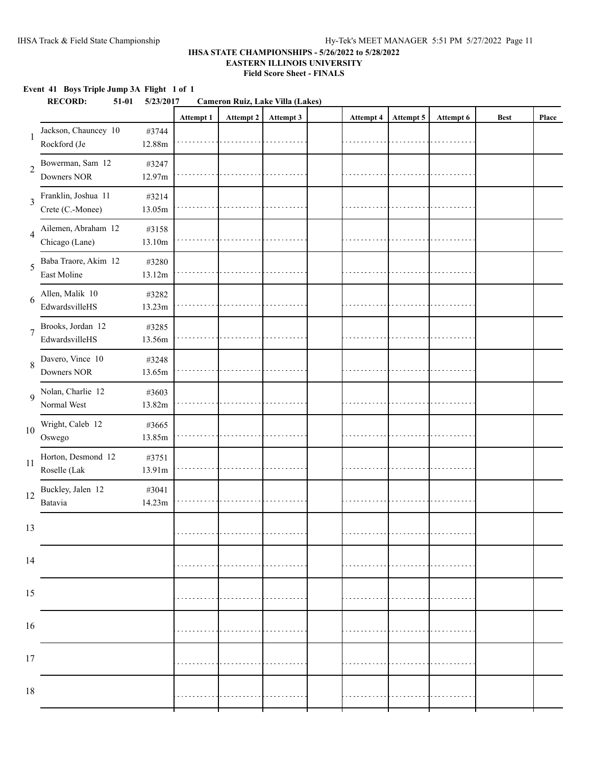### **Event 41 Boys Triple Jump 3A Flight 1 of 1**

| Attempt 1<br>Attempt 2<br>Attempt 3<br>Attempt 5<br>Attempt 6<br>Attempt 4<br><b>Best</b><br>Jackson, Chauncey 10<br>#3744<br>1<br>Rockford (Je<br>12.88m<br>Bowerman, Sam 12<br>#3247<br>$\overline{2}$<br>Downers NOR<br>12.97m<br>Franklin, Joshua 11<br>#3214<br>3<br>Crete (C.-Monee)<br>13.05m<br>Ailemen, Abraham 12<br>#3158<br>$\overline{4}$<br>Chicago (Lane)<br>13.10m<br>Baba Traore, Akim 12<br>#3280<br>5<br>East Moline<br>13.12m<br>Allen, Malik 10<br>#3282<br>6<br>EdwardsvilleHS<br>13.23m<br>Brooks, Jordan 12<br>#3285<br>$\overline{7}$<br>EdwardsvilleHS<br>13.56m<br>Davero, Vince 10<br>#3248<br>8<br>Downers NOR<br>13.65m<br>Nolan, Charlie 12<br>#3603<br>9<br>Normal West<br>13.82m<br>Wright, Caleb 12<br>#3665<br>10<br>Oswego<br>13.85m<br>Horton, Desmond 12<br>#3751<br>11<br>Roselle (Lak<br>13.91m<br>Buckley, Jalen 12<br>#3041<br>12<br>Batavia<br>14.23m<br>13<br>14<br>15<br>$16\,$<br>17<br>$18\,$ | <b>RECORD:</b> | $51-01$ | 5/23/2017 | <b>Cameron Ruiz, Lake Villa (Lakes)</b> |  |  |  |       |
|----------------------------------------------------------------------------------------------------------------------------------------------------------------------------------------------------------------------------------------------------------------------------------------------------------------------------------------------------------------------------------------------------------------------------------------------------------------------------------------------------------------------------------------------------------------------------------------------------------------------------------------------------------------------------------------------------------------------------------------------------------------------------------------------------------------------------------------------------------------------------------------------------------------------------------------------|----------------|---------|-----------|-----------------------------------------|--|--|--|-------|
|                                                                                                                                                                                                                                                                                                                                                                                                                                                                                                                                                                                                                                                                                                                                                                                                                                                                                                                                              |                |         |           |                                         |  |  |  | Place |
|                                                                                                                                                                                                                                                                                                                                                                                                                                                                                                                                                                                                                                                                                                                                                                                                                                                                                                                                              |                |         |           |                                         |  |  |  |       |
|                                                                                                                                                                                                                                                                                                                                                                                                                                                                                                                                                                                                                                                                                                                                                                                                                                                                                                                                              |                |         |           |                                         |  |  |  |       |
|                                                                                                                                                                                                                                                                                                                                                                                                                                                                                                                                                                                                                                                                                                                                                                                                                                                                                                                                              |                |         |           |                                         |  |  |  |       |
|                                                                                                                                                                                                                                                                                                                                                                                                                                                                                                                                                                                                                                                                                                                                                                                                                                                                                                                                              |                |         |           |                                         |  |  |  |       |
|                                                                                                                                                                                                                                                                                                                                                                                                                                                                                                                                                                                                                                                                                                                                                                                                                                                                                                                                              |                |         |           |                                         |  |  |  |       |
|                                                                                                                                                                                                                                                                                                                                                                                                                                                                                                                                                                                                                                                                                                                                                                                                                                                                                                                                              |                |         |           |                                         |  |  |  |       |
|                                                                                                                                                                                                                                                                                                                                                                                                                                                                                                                                                                                                                                                                                                                                                                                                                                                                                                                                              |                |         |           |                                         |  |  |  |       |
|                                                                                                                                                                                                                                                                                                                                                                                                                                                                                                                                                                                                                                                                                                                                                                                                                                                                                                                                              |                |         |           |                                         |  |  |  |       |
|                                                                                                                                                                                                                                                                                                                                                                                                                                                                                                                                                                                                                                                                                                                                                                                                                                                                                                                                              |                |         |           |                                         |  |  |  |       |
|                                                                                                                                                                                                                                                                                                                                                                                                                                                                                                                                                                                                                                                                                                                                                                                                                                                                                                                                              |                |         |           |                                         |  |  |  |       |
|                                                                                                                                                                                                                                                                                                                                                                                                                                                                                                                                                                                                                                                                                                                                                                                                                                                                                                                                              |                |         |           |                                         |  |  |  |       |
|                                                                                                                                                                                                                                                                                                                                                                                                                                                                                                                                                                                                                                                                                                                                                                                                                                                                                                                                              |                |         |           |                                         |  |  |  |       |
|                                                                                                                                                                                                                                                                                                                                                                                                                                                                                                                                                                                                                                                                                                                                                                                                                                                                                                                                              |                |         |           |                                         |  |  |  |       |
|                                                                                                                                                                                                                                                                                                                                                                                                                                                                                                                                                                                                                                                                                                                                                                                                                                                                                                                                              |                |         |           |                                         |  |  |  |       |
|                                                                                                                                                                                                                                                                                                                                                                                                                                                                                                                                                                                                                                                                                                                                                                                                                                                                                                                                              |                |         |           |                                         |  |  |  |       |
|                                                                                                                                                                                                                                                                                                                                                                                                                                                                                                                                                                                                                                                                                                                                                                                                                                                                                                                                              |                |         |           |                                         |  |  |  |       |
|                                                                                                                                                                                                                                                                                                                                                                                                                                                                                                                                                                                                                                                                                                                                                                                                                                                                                                                                              |                |         |           |                                         |  |  |  |       |
|                                                                                                                                                                                                                                                                                                                                                                                                                                                                                                                                                                                                                                                                                                                                                                                                                                                                                                                                              |                |         |           |                                         |  |  |  |       |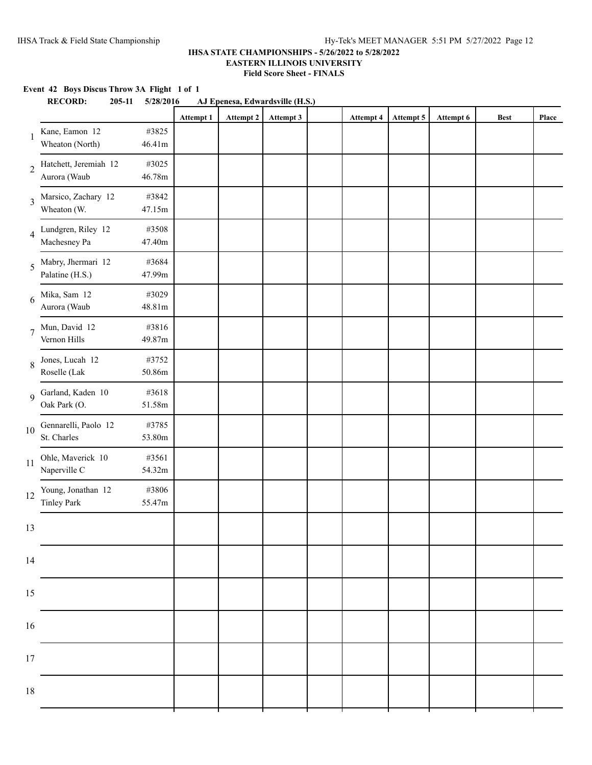### **Event 42 Boys Discus Throw 3A Flight 1 of 1**

|                | <b>RECORD:</b><br>205-11<br>AJ Epenesa, Edwardsville (H.S.)<br>5/28/2016 |                 |           |           |           |  |           |           |           |             |       |
|----------------|--------------------------------------------------------------------------|-----------------|-----------|-----------|-----------|--|-----------|-----------|-----------|-------------|-------|
|                |                                                                          |                 | Attempt 1 | Attempt 2 | Attempt 3 |  | Attempt 4 | Attempt 5 | Attempt 6 | <b>Best</b> | Place |
| -1             | Kane, Eamon 12<br>Wheaton (North)                                        | #3825<br>46.41m |           |           |           |  |           |           |           |             |       |
| $\sqrt{2}$     | Hatchett, Jeremiah 12<br>Aurora (Waub                                    | #3025<br>46.78m |           |           |           |  |           |           |           |             |       |
| 3              | Marsico, Zachary 12<br>Wheaton (W.                                       | #3842<br>47.15m |           |           |           |  |           |           |           |             |       |
| $\overline{4}$ | Lundgren, Riley 12<br>Machesney Pa                                       | #3508<br>47.40m |           |           |           |  |           |           |           |             |       |
| 5              | Mabry, Jhermari 12<br>Palatine (H.S.)                                    | #3684<br>47.99m |           |           |           |  |           |           |           |             |       |
| 6              | Mika, Sam 12<br>Aurora (Waub                                             | #3029<br>48.81m |           |           |           |  |           |           |           |             |       |
| $\overline{7}$ | Mun, David 12<br>Vernon Hills                                            | #3816<br>49.87m |           |           |           |  |           |           |           |             |       |
| 8              | Jones, Lucah 12<br>Roselle (Lak                                          | #3752<br>50.86m |           |           |           |  |           |           |           |             |       |
| 9              | Garland, Kaden 10<br>Oak Park (O.                                        | #3618<br>51.58m |           |           |           |  |           |           |           |             |       |
| 10             | Gennarelli, Paolo 12<br>St. Charles                                      | #3785<br>53.80m |           |           |           |  |           |           |           |             |       |
| 11             | Ohle, Maverick 10<br>Naperville C                                        | #3561<br>54.32m |           |           |           |  |           |           |           |             |       |
| 12             | Young, Jonathan 12<br>Tinley Park                                        | #3806<br>55.47m |           |           |           |  |           |           |           |             |       |
| 13             |                                                                          |                 |           |           |           |  |           |           |           |             |       |
| 14             |                                                                          |                 |           |           |           |  |           |           |           |             |       |
| 15             |                                                                          |                 |           |           |           |  |           |           |           |             |       |
| 16             |                                                                          |                 |           |           |           |  |           |           |           |             |       |
| 17             |                                                                          |                 |           |           |           |  |           |           |           |             |       |
| 18             |                                                                          |                 |           |           |           |  |           |           |           |             |       |
|                |                                                                          |                 |           |           |           |  |           |           |           |             |       |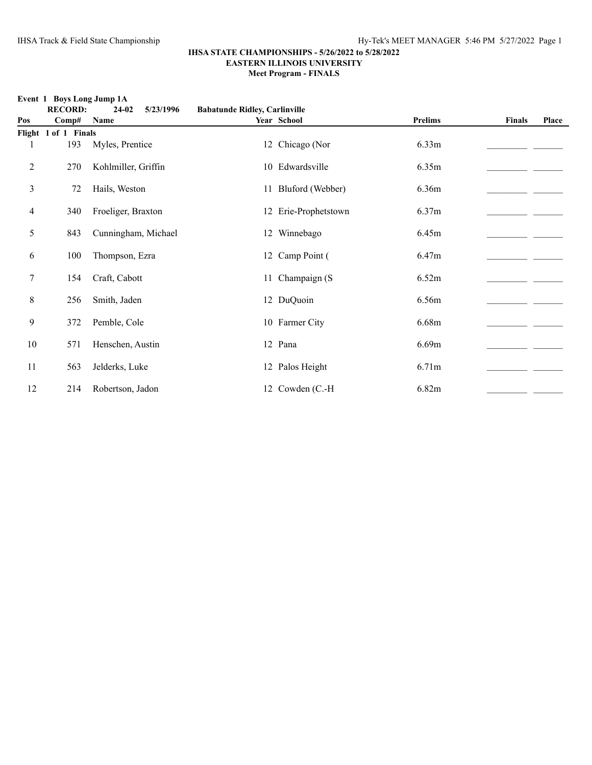**Event 1 Boys Long Jump 1A RECORD: 24-02 5/23/1996 Babatunde Ridley, Carlinville Pos Comp# Name Year School Prelims Finals Place Flight 1 of 1 Finals** 1 193 Myles, Prentice 12 Chicago (Nor 6.33m 2 270 Kohlmiller, Griffin 10 Edwardsville 6.35m 3 72 Hails, Weston 11 Bluford (Webber) 6.36m 22 Hails, Weston 4 340 Froeliger, Braxton 12 Erie-Prophetstown 6.37m 5 843 Cunningham, Michael 12 Winnebago 6.45m 6 100 Thompson, Ezra 12 Camp Point ( 6.47m  $\frac{6.47 \text{m}}{2.0 \text{cm}^2}$ 7 154 Craft, Cabott 11 Champaign (S 6.52m 8 256 Smith, Jaden 12 DuQuoin 6.56m\_\_\_\_\_\_\_\_\_\_\_\_\_\_\_\_\_\_\_\_\_\_ \_\_\_\_\_\_\_ 9  $372$  Pemble, Cole  $10$  Farmer City  $6.68$ m  $\qquad \qquad$ 10 571 Henschen, Austin 12 Pana 6.69m 11 563 Jelderks, Luke 12 Palos Height 6.71m\_\_\_\_\_\_\_\_\_\_\_\_\_\_\_\_\_\_\_\_\_\_ \_\_\_\_\_\_\_ 12 214 Robertson, Jadon 12 Cowden (C.-H 6.82m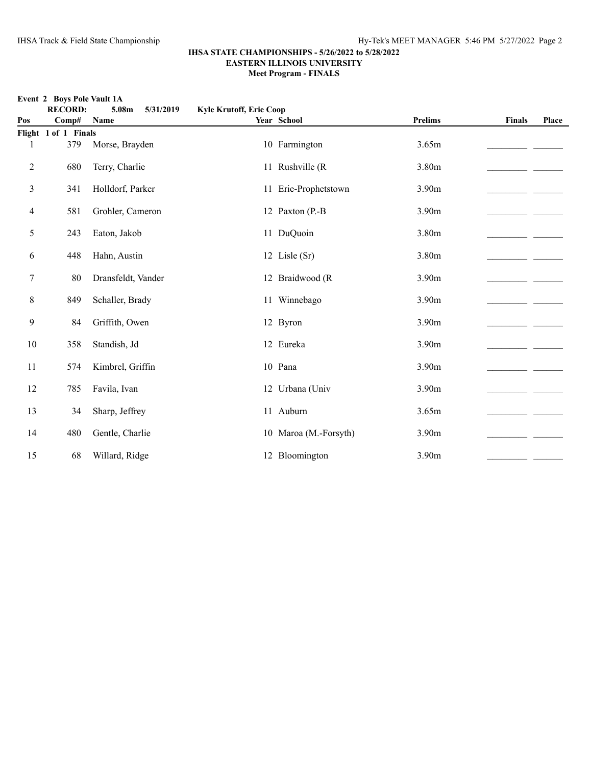**Event 2 Boys Pole Vault 1A**

|                | <b>RECORD:</b>              | 5.08m<br>5/31/2019 | <b>Kyle Krutoff, Erie Coop</b> |                       |                   |        |       |
|----------------|-----------------------------|--------------------|--------------------------------|-----------------------|-------------------|--------|-------|
| Pos            | Comp#                       | Name               |                                | Year School           | <b>Prelims</b>    | Finals | Place |
|                | Flight 1 of 1 Finals<br>379 | Morse, Brayden     |                                | 10 Farmington         | 3.65m             |        |       |
| $\overline{c}$ | 680                         | Terry, Charlie     |                                | 11 Rushville (R       | 3.80m             |        |       |
| 3              | 341                         | Holldorf, Parker   |                                | 11 Erie-Prophetstown  | 3.90 <sub>m</sub> |        |       |
| 4              | 581                         | Grohler, Cameron   |                                | 12 Paxton (P.-B       | 3.90 <sub>m</sub> |        |       |
| 5              | 243                         | Eaton, Jakob       |                                | 11 DuQuoin            | 3.80m             |        |       |
| 6              | 448                         | Hahn, Austin       |                                | 12 Lisle (Sr)         | 3.80m             |        |       |
| 7              | 80                          | Dransfeldt, Vander |                                | 12 Braidwood (R       | 3.90 <sub>m</sub> |        |       |
| 8              | 849                         | Schaller, Brady    |                                | 11 Winnebago          | 3.90m             |        |       |
| 9              | 84                          | Griffith, Owen     |                                | 12 Byron              | 3.90m             |        |       |
| 10             | 358                         | Standish, Jd       |                                | 12 Eureka             | 3.90m             |        |       |
| 11             | 574                         | Kimbrel, Griffin   |                                | 10 Pana               | 3.90 <sub>m</sub> |        |       |
| 12             | 785                         | Favila, Ivan       |                                | 12 Urbana (Univ       | 3.90 <sub>m</sub> |        |       |
| 13             | 34                          | Sharp, Jeffrey     |                                | 11 Auburn             | 3.65m             |        |       |
| 14             | 480                         | Gentle, Charlie    |                                | 10 Maroa (M.-Forsyth) | 3.90m             |        |       |
| 15             | 68                          | Willard, Ridge     |                                | 12 Bloomington        | 3.90 <sub>m</sub> |        |       |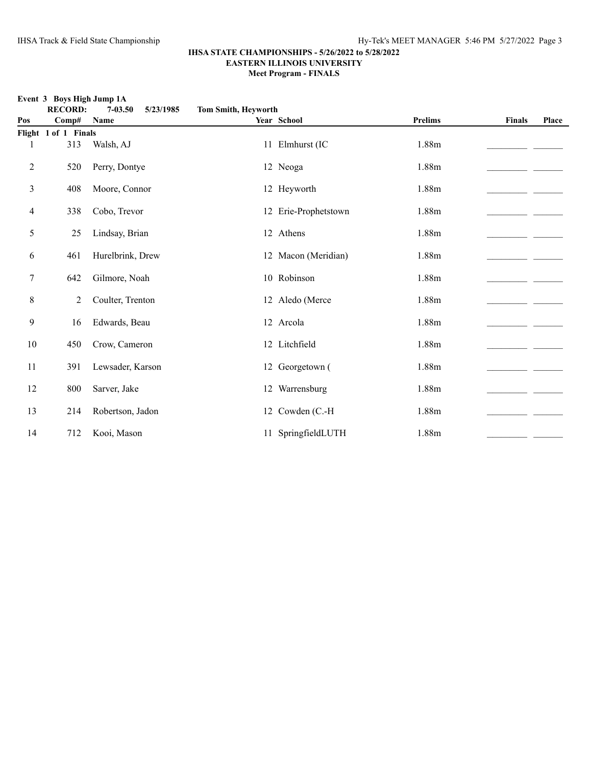|     | Event 3 Boys High Jump 1A |                          |                            |                      |                |               |       |  |  |  |  |  |  |
|-----|---------------------------|--------------------------|----------------------------|----------------------|----------------|---------------|-------|--|--|--|--|--|--|
|     | <b>RECORD:</b>            | 5/23/1985<br>$7 - 03.50$ | <b>Tom Smith, Heyworth</b> |                      |                |               |       |  |  |  |  |  |  |
| Pos | Comp#                     | Name                     |                            | Year School          | <b>Prelims</b> | <b>Finals</b> | Place |  |  |  |  |  |  |
|     | Flight 1 of 1 Finals      |                          |                            |                      |                |               |       |  |  |  |  |  |  |
|     | 313                       | Walsh, AJ                |                            | 11 Elmhurst (IC      | 1.88m          |               |       |  |  |  |  |  |  |
| 2   | 520                       | Perry, Dontye            |                            | 12 Neoga             | 1.88m          |               |       |  |  |  |  |  |  |
| 3   | 408                       | Moore, Connor            |                            | 12 Heyworth          | 1.88m          |               |       |  |  |  |  |  |  |
| 4   | 338                       | Cobo, Trevor             |                            | 12 Erie-Prophetstown | 1.88m          |               |       |  |  |  |  |  |  |
| 5   | 25                        | Lindsay, Brian           |                            | 12 Athens            | 1.88m          |               |       |  |  |  |  |  |  |
| 6   | 461                       | Hurelbrink, Drew         |                            | 12 Macon (Meridian)  | 1.88m          |               |       |  |  |  |  |  |  |
| 7   | 642                       | Gilmore, Noah            |                            | 10 Robinson          | 1.88m          |               |       |  |  |  |  |  |  |
| 8   | 2                         | Coulter, Trenton         |                            | 12 Aledo (Merce      | 1.88m          |               |       |  |  |  |  |  |  |
| 9   | 16                        | Edwards, Beau            |                            | 12 Arcola            | 1.88m          |               |       |  |  |  |  |  |  |
| 10  | 450                       | Crow, Cameron            |                            | 12 Litchfield        | 1.88m          |               |       |  |  |  |  |  |  |
| 11  | 391                       | Lewsader, Karson         |                            | 12 Georgetown (      | 1.88m          |               |       |  |  |  |  |  |  |
| 12  | $800\,$                   | Sarver, Jake             |                            | 12 Warrensburg       | 1.88m          |               |       |  |  |  |  |  |  |
| 13  | 214                       | Robertson, Jadon         |                            | 12 Cowden (C.-H)     | 1.88m          |               |       |  |  |  |  |  |  |
| 14  | 712                       | Kooi, Mason              |                            | 11 SpringfieldLUTH   | 1.88m          |               |       |  |  |  |  |  |  |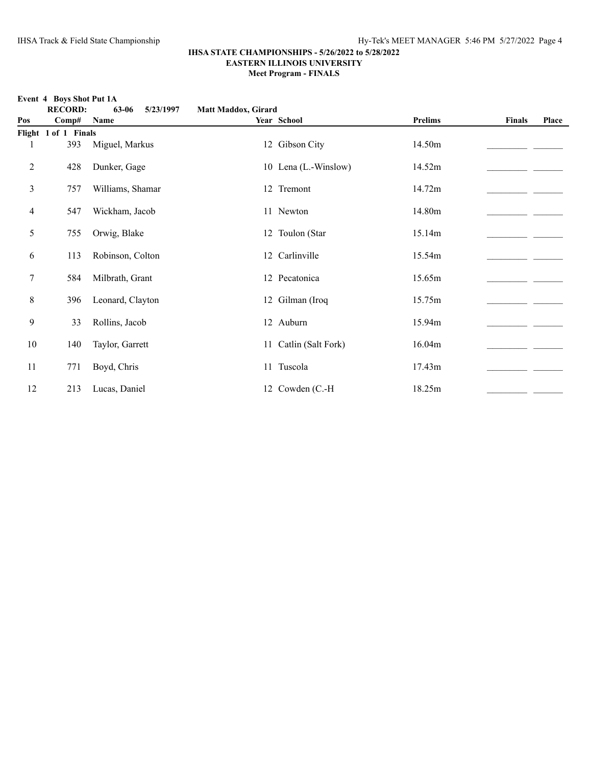**Event 4 Boys Shot Put 1A RECORD: 63-06 5/23/1997 Matt Maddox, Girard Pos Comp# Name Year School Prelims Finals Place Flight 1 of 1 Finals** 1 393 Miguel, Markus 12 Gibson City 14.50m 2 428 Dunker, Gage 10 Lena (L.-Winslow) 14.52m \_\_\_\_\_\_\_\_\_\_\_\_\_\_\_\_\_\_\_\_\_\_\_\_\_\_\_\_\_\_\_\_\_ 3 757 Williams, Shamar 12 Tremont 14.72m 20 20 2012 4 547 Wickham, Jacob 11 Newton 14.80m 5 755 Orwig, Blake 12 Toulon (Star 15.14m\_\_\_\_\_\_\_\_\_\_\_\_\_\_\_\_\_\_\_\_\_\_ \_\_\_\_\_\_\_ 6 113 Robinson, Colton 12 Carlinville 15.54m 15.54m 7 584 Milbrath, Grant 12 Pecatonica 15.65m\_\_\_\_\_\_\_\_\_\_\_\_\_\_\_\_\_\_\_\_\_\_ \_\_\_\_\_\_\_ 8 396 Leonard, Clayton 12 Gilman (Iroq 15.75m \_\_\_\_\_\_\_\_\_\_\_\_\_\_\_\_ 9 33 Rollins, Jacob 12 Auburn 15.94m 15.94m 10 140 Taylor, Garrett 11 Catlin (Salt Fork) 16.04m 140 Taylor, Garrett 11 771 Boyd, Chris 11 Tuscola 17.43m\_\_\_\_\_\_\_\_\_\_\_\_\_\_\_\_\_\_\_\_\_\_ \_\_\_\_\_\_\_ 12 213 Lucas, Daniel 12 Cowden (C.-H 18.25m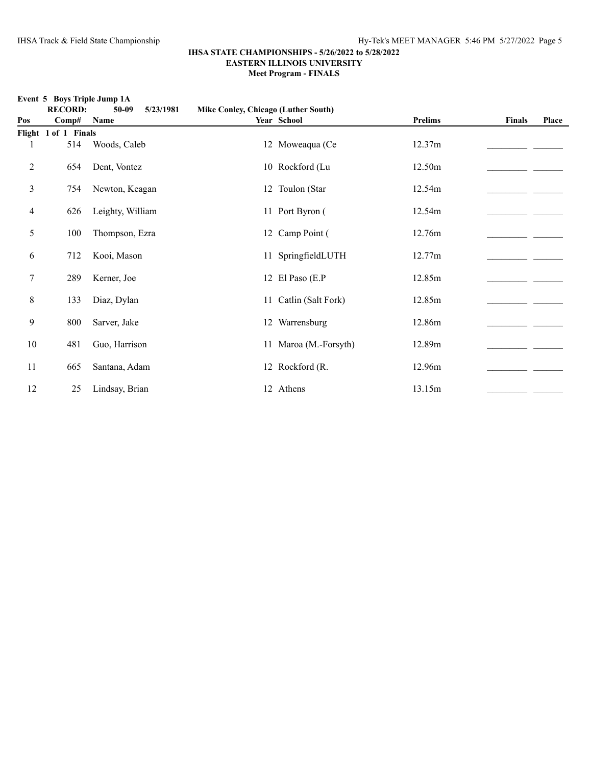**Event 5 Boys Triple Jump 1A**

|     | <b>RECORD:</b>       | $50-09$<br>5/23/1981 |                       |                |               |       |
|-----|----------------------|----------------------|-----------------------|----------------|---------------|-------|
| Pos | Comp#                | Name                 | Year School           | <b>Prelims</b> | <b>Finals</b> | Place |
|     | Flight 1 of 1 Finals |                      |                       |                |               |       |
| 1   | 514                  | Woods, Caleb         | 12 Moweaqua (Ce       | 12.37m         |               |       |
| 2   | 654                  | Dent, Vontez         | 10 Rockford (Lu       | 12.50m         |               |       |
| 3   | 754                  | Newton, Keagan       | 12 Toulon (Star       | 12.54m         |               |       |
| 4   | 626                  | Leighty, William     | 11 Port Byron (       | 12.54m         |               |       |
| 5   | 100                  | Thompson, Ezra       | 12 Camp Point (       | 12.76m         |               |       |
| 6   | 712                  | Kooi, Mason          | 11 SpringfieldLUTH    | 12.77m         |               |       |
| 7   | 289                  | Kerner, Joe          | 12 El Paso (E.P       | 12.85m         |               |       |
| 8   | 133                  | Diaz, Dylan          | 11 Catlin (Salt Fork) | 12.85m         |               |       |
| 9   | 800                  | Sarver, Jake         | 12 Warrensburg        | 12.86m         |               |       |
| 10  | 481                  | Guo, Harrison        | 11 Maroa (M.-Forsyth) | 12.89m         |               |       |
| 11  | 665                  | Santana, Adam        | 12 Rockford (R.       | 12.96m         |               |       |
| 12  | 25                   | Lindsay, Brian       | 12 Athens             | 13.15m         |               |       |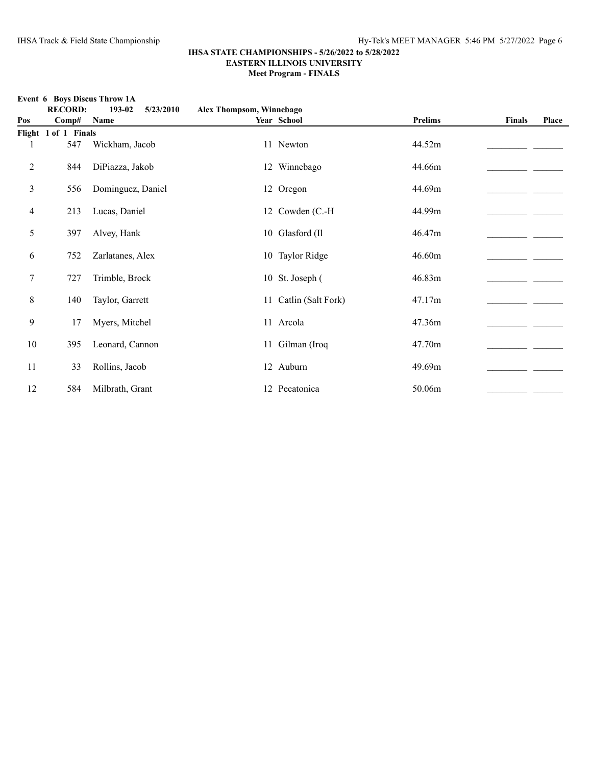|                | <b>RECORD:</b>       | 193-02<br>5/23/2010 | Alex Thompsom, Winnebago |                       |                |               |       |
|----------------|----------------------|---------------------|--------------------------|-----------------------|----------------|---------------|-------|
| Pos            | Comp#                | Name                |                          | Year School           | <b>Prelims</b> | <b>Finals</b> | Place |
|                | Flight 1 of 1 Finals |                     |                          |                       |                |               |       |
| 1              | 547                  | Wickham, Jacob      |                          | 11 Newton             | 44.52m         |               |       |
| $\overline{c}$ | 844                  | DiPiazza, Jakob     |                          | 12 Winnebago          | 44.66m         |               |       |
| 3              | 556                  | Dominguez, Daniel   |                          | 12 Oregon             | 44.69m         |               |       |
| 4              | 213                  | Lucas, Daniel       |                          | 12 Cowden (C.-H)      | 44.99m         |               |       |
| 5              | 397                  | Alvey, Hank         |                          | 10 Glasford (Il       | 46.47m         |               |       |
| 6              | 752                  | Zarlatanes, Alex    |                          | 10 Taylor Ridge       | 46.60m         |               |       |
| 7              | 727                  | Trimble, Brock      |                          | 10 St. Joseph (       | 46.83m         |               |       |
| $\,8\,$        | 140                  | Taylor, Garrett     |                          | 11 Catlin (Salt Fork) | 47.17m         |               |       |
| 9              | 17                   | Myers, Mitchel      |                          | 11 Arcola             | 47.36m         |               |       |
| 10             | 395                  | Leonard, Cannon     |                          | 11 Gilman (Iroq       | 47.70m         |               |       |
| 11             | 33                   | Rollins, Jacob      |                          | 12 Auburn             | 49.69m         |               |       |
| 12             | 584                  | Milbrath, Grant     |                          | 12 Pecatonica         | 50.06m         |               |       |

# **Event 6 Boys Discus Throw 1A**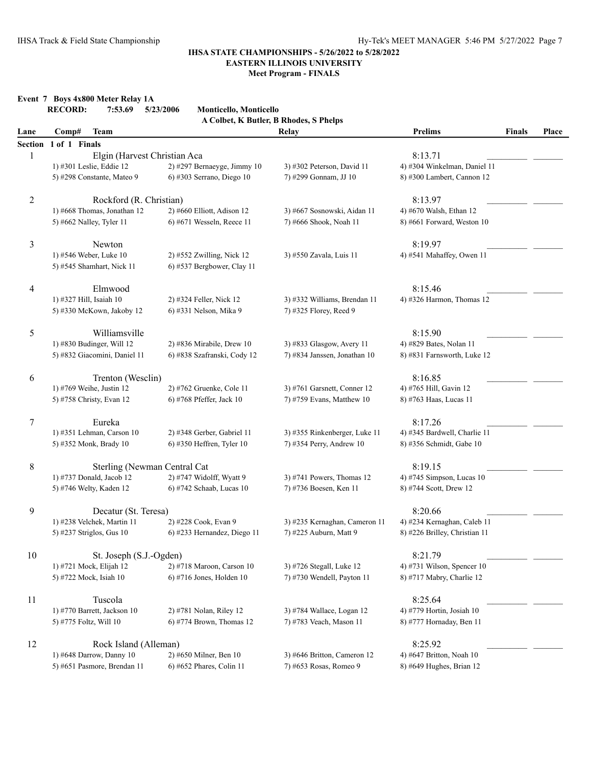**Event 7 Boys 4x800 Meter Relay 1A**

|                | <b>RECORD:</b><br>7:53.69    | Monticello, Monticello<br>5/23/2006 | A Colbet, K Butler, B Rhodes, S Phelps |                               |               |       |
|----------------|------------------------------|-------------------------------------|----------------------------------------|-------------------------------|---------------|-------|
| Lane           | <b>Team</b><br>Comp#         |                                     | Relay                                  | <b>Prelims</b>                | <b>Finals</b> | Place |
| <b>Section</b> | 1 of 1 Finals                |                                     |                                        |                               |               |       |
| 1              | Elgin (Harvest Christian Aca |                                     |                                        | 8:13.71                       |               |       |
|                | 1) #301 Leslie, Eddie 12     | $2)$ #297 Bernaeyge, Jimmy 10       | 3) #302 Peterson, David 11             | 4) #304 Winkelman, Daniel 11  |               |       |
|                | 5) #298 Constante, Mateo 9   | 6) #303 Serrano, Diego 10           | 7) #299 Gonnam, JJ 10                  | 8) #300 Lambert, Cannon 12    |               |       |
| $\overline{c}$ | Rockford (R. Christian)      |                                     |                                        | 8:13.97                       |               |       |
|                | 1) #668 Thomas, Jonathan 12  | 2) #660 Elliott, Adison 12          | 3) #667 Sosnowski, Aidan 11            | 4) #670 Walsh, Ethan 12       |               |       |
|                | 5) #662 Nalley, Tyler 11     | 6) #671 Wesseln, Reece 11           | 7) #666 Shook, Noah 11                 | 8) #661 Forward, Weston 10    |               |       |
| 3              | Newton                       |                                     |                                        | 8:19.97                       |               |       |
|                | 1) #546 Weber, Luke 10       | 2) #552 Zwilling, Nick 12           | 3) #550 Zavala, Luis 11                | 4) #541 Mahaffey, Owen 11     |               |       |
|                | 5) #545 Shamhart, Nick 11    | 6) #537 Bergbower, Clay 11          |                                        |                               |               |       |
| 4              | Elmwood                      |                                     |                                        | 8:15.46                       |               |       |
|                | 1) #327 Hill, Isaiah 10      | 2) #324 Feller, Nick 12             | 3) #332 Williams, Brendan 11           | 4) #326 Harmon, Thomas $12$   |               |       |
|                | 5) #330 McKown, Jakoby 12    | 6) #331 Nelson, Mika 9              | 7) #325 Florey, Reed 9                 |                               |               |       |
| 5              | Williamsville                |                                     |                                        | 8:15.90                       |               |       |
|                | 1) #830 Budinger, Will 12    | 2) #836 Mirabile, Drew 10           | 3) #833 Glasgow, Avery 11              | 4) #829 Bates, Nolan 11       |               |       |
|                | 5) #832 Giacomini, Daniel 11 | 6) #838 Szafranski, Cody 12         | 7) #834 Janssen, Jonathan 10           | 8) #831 Farnsworth, Luke 12   |               |       |
| 6              | Trenton (Wesclin)            |                                     |                                        | 8:16.85                       |               |       |
|                | 1) #769 Weihe, Justin 12     | 2) #762 Gruenke, Cole 11            | 3) #761 Garsnett, Conner 12            | 4) #765 Hill, Gavin 12        |               |       |
|                | 5) #758 Christy, Evan 12     | 6) #768 Pfeffer, Jack 10            | 7) #759 Evans, Matthew 10              | 8) #763 Haas, Lucas 11        |               |       |
| 7              | Eureka                       |                                     |                                        | 8:17.26                       |               |       |
|                | 1) #351 Lehman, Carson 10    | 2) #348 Gerber, Gabriel 11          | 3) #355 Rinkenberger, Luke 11          | 4) #345 Bardwell, Charlie 11  |               |       |
|                | 5) #352 Monk, Brady 10       | 6) #350 Heffren, Tyler 10           | 7) #354 Perry, Andrew 10               | 8) #356 Schmidt, Gabe 10      |               |       |
| 8              | Sterling (Newman Central Cat |                                     |                                        | 8:19.15                       |               |       |
|                | 1) #737 Donald, Jacob 12     | 2) #747 Widolff, Wyatt 9            | 3) #741 Powers, Thomas $12$            | 4) #745 Simpson, Lucas 10     |               |       |
|                | 5) #746 Welty, Kaden 12      | 6) #742 Schaab, Lucas 10            | 7) #736 Boesen, Ken 11                 | 8) #744 Scott, Drew 12        |               |       |
| 9              | Decatur (St. Teresa)         |                                     |                                        | 8:20.66                       |               |       |
|                | 1) #238 Velchek, Martin 11   | 2) #228 Cook, Evan 9                | 3) #235 Kernaghan, Cameron 11          | 4) #234 Kernaghan, Caleb 11   |               |       |
|                | 5) #237 Striglos, Gus 10     | 6) #233 Hernandez, Diego 11         | 7) #225 Auburn, Matt 9                 | 8) #226 Brilley, Christian 11 |               |       |
| 10             | St. Joseph (S.J.-Ogden)      |                                     |                                        | 8:21.79                       |               |       |
|                | 1) #721 Mock, Elijah 12      | 2) #718 Maroon, Carson 10           | 3) #726 Stegall, Luke 12               | 4) #731 Wilson, Spencer 10    |               |       |
|                | 5) #722 Mock, Isiah 10       | $6$ ) #716 Jones, Holden 10         | 7) #730 Wendell, Payton 11             | 8) #717 Mabry, Charlie 12     |               |       |
| 11             | Tuscola                      |                                     |                                        | 8:25.64                       |               |       |
|                | 1) #770 Barrett, Jackson 10  | 2) #781 Nolan, Riley 12             | 3) #784 Wallace, Logan 12              | 4) #779 Hortin, Josiah 10     |               |       |
|                | 5) #775 Foltz, Will 10       | $6$ ) #774 Brown, Thomas 12         | 7) #783 Veach, Mason 11                | 8) #777 Hornaday, Ben 11      |               |       |
| 12             | Rock Island (Alleman)        |                                     |                                        | 8:25.92                       |               |       |
|                | 1) #648 Darrow, Danny 10     | 2) #650 Milner, Ben 10              | 3) #646 Britton, Cameron 12            | 4) #647 Britton, Noah 10      |               |       |
|                | 5) #651 Pasmore, Brendan 11  | 6) #652 Phares, Colin 11            | 7) #653 Rosas, Romeo 9                 | 8) #649 Hughes, Brian 12      |               |       |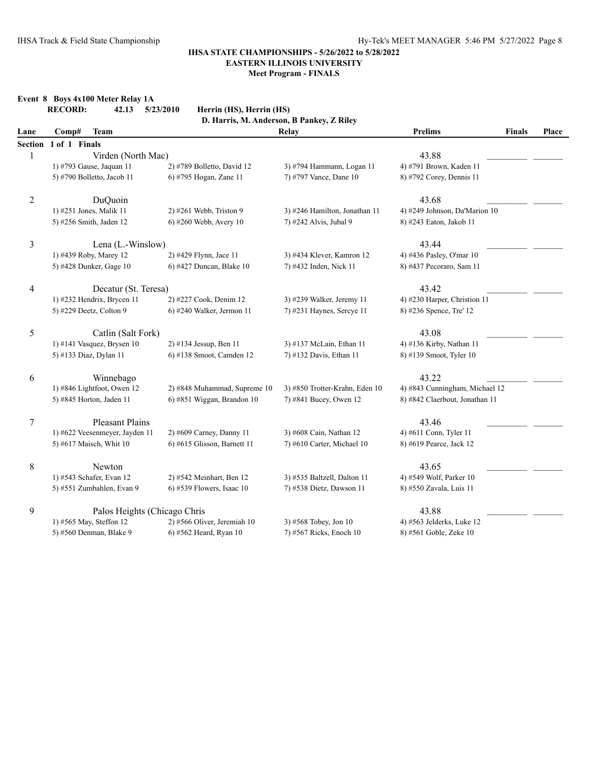|                | Event 8 Boys 4x100 Meter Relay 1A<br><b>RECORD:</b><br>42.13 | 5/23/2010<br>Herrin (HS), Herrin (HS) |                                           |                                 |       |
|----------------|--------------------------------------------------------------|---------------------------------------|-------------------------------------------|---------------------------------|-------|
|                |                                                              |                                       | D. Harris, M. Anderson, B Pankey, Z Riley |                                 |       |
| Lane           | Comp#<br><b>Team</b>                                         |                                       | Relay                                     | <b>Prelims</b><br><b>Finals</b> | Place |
| Section        | 1 of 1 Finals                                                |                                       |                                           |                                 |       |
| 1              | Virden (North Mac)                                           |                                       |                                           | 43.88                           |       |
|                | 1) #793 Gause, Jaquan 11                                     | 2) #789 Bolletto, David 12            | 3) #794 Hammann, Logan 11                 | 4) #791 Brown, Kaden 11         |       |
|                | 5) #790 Bolletto, Jacob 11                                   | 6) #795 Hogan, Zane 11                | 7) #797 Vance, Dane 10                    | 8) #792 Corey, Dennis 11        |       |
| $\overline{c}$ | DuQuoin                                                      |                                       |                                           | 43.68                           |       |
|                | 1) #251 Jones, Malik 11                                      | 2) #261 Webb, Triston 9               | 3) #246 Hamilton, Jonathan 11             | 4) #249 Johnson, Da'Marion 10   |       |
|                | 5) #256 Smith, Jaden 12                                      | 6) #260 Webb, Avery 10                | 7) #242 Alvis, Jubal 9                    | 8) #243 Eaton, Jakob 11         |       |
| 3              | Lena (L.-Winslow)                                            |                                       |                                           | 43.44                           |       |
|                | 1) #439 Roby, Marey 12                                       | 2) #429 Flynn, Jace 11                | 3) #434 Klever, Kamron 12                 | 4) #436 Pasley, O'mar 10        |       |
|                | 5) #428 Dunker, Gage 10                                      | 6) #427 Duncan, Blake 10              | 7) #432 Inden, Nick 11                    | 8) #437 Pecoraro, Sam 11        |       |
| 4              | Decatur (St. Teresa)                                         |                                       |                                           | 43.42                           |       |
|                | 1) #232 Hendrix, Brycen 11                                   | 2) #227 Cook, Denim 12                | 3) #239 Walker, Jeremy 11                 | 4) #230 Harper, Christion 11    |       |
|                | 5) #229 Deetz, Colton 9                                      | 6) #240 Walker, Jermon 11             | 7) #231 Haynes, Sercye 11                 | 8) #236 Spence, Tre' 12         |       |
| 5              | Catlin (Salt Fork)                                           |                                       |                                           | 43.08                           |       |
|                | 1) #141 Vasquez, Brysen 10                                   | 2) #134 Jessup, Ben 11                | 3) #137 McLain, Ethan 11                  | 4) #136 Kirby, Nathan 11        |       |
|                | 5) #133 Diaz, Dylan 11                                       | 6) #138 Smoot, Camden 12              | 7) #132 Davis, Ethan 11                   | 8) #139 Smoot, Tyler 10         |       |
| 6              | Winnebago                                                    |                                       |                                           | 43.22                           |       |
|                | 1) #846 Lightfoot, Owen 12                                   | 2) #848 Muhammad, Supreme 10          | 3) #850 Trotter-Krahn, Eden 10            | 4) #843 Cunningham, Michael 12  |       |
|                | 5) #845 Horton, Jaden 11                                     | $6$ ) #851 Wiggan, Brandon 10         | 7) #841 Bucey, Owen 12                    | 8) #842 Claerbout, Jonathan 11  |       |
| 7              | <b>Pleasant Plains</b>                                       |                                       |                                           | 43.46                           |       |
|                | 1) #622 Veesenmeyer, Jayden 11                               | 2) #609 Carney, Danny 11              | 3) #608 Cain, Nathan 12                   | 4) #611 Conn, Tyler 11          |       |
|                | 5) #617 Maisch, Whit 10                                      | 6) #615 Glisson, Barnett 11           | 7) #610 Carter, Michael 10                | 8) #619 Pearce, Jack 12         |       |
| 8              | Newton                                                       |                                       |                                           | 43.65                           |       |
|                | 1) #543 Schafer, Evan 12                                     | 2) #542 Meinhart, Ben 12              | 3) #535 Baltzell, Dalton 11               | 4) #549 Wolf, Parker 10         |       |
|                | 5) #551 Zumbahlen, Evan 9                                    | 6) #539 Flowers, Isaac 10             | 7) #538 Dietz, Dawson 11                  | 8) #550 Zavala, Luis 11         |       |
| 9              | Palos Heights (Chicago Chris                                 |                                       |                                           | 43.88                           |       |
|                | 1) #565 May, Steffon 12                                      | 2) #566 Oliver, Jeremiah 10           | 3) #568 Tobey, Jon 10                     | 4) #563 Jelderks, Luke 12       |       |
|                | 5) #560 Denman, Blake 9                                      | 6) #562 Heard, Ryan 10                | 7) #567 Ricks, Enoch 10                   | 8) #561 Goble, Zeke 10          |       |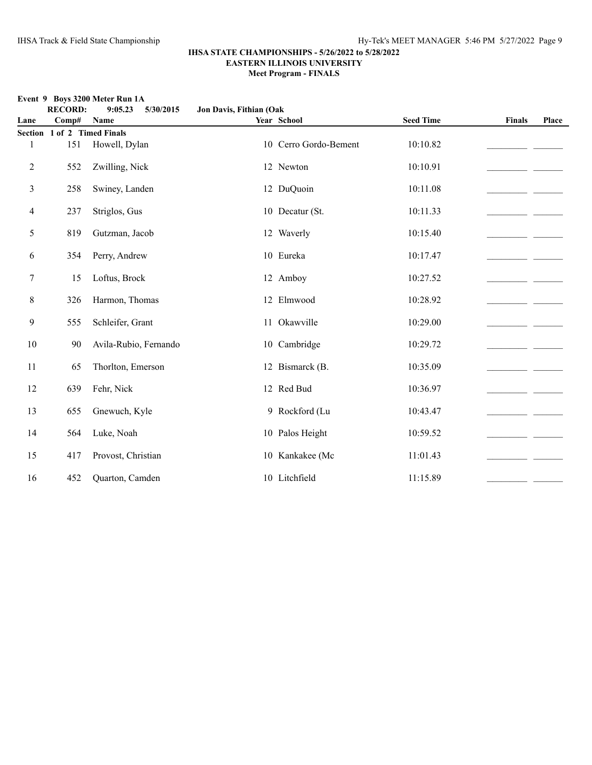# **RECORD: 9:05.23 5/30/2015 Jon Davis, Fithian (Oak Lane Comp# Name Year School Seed Time Finals Place Section 1 of 2 Timed Finals** 1 151 Howell, Dylan 10 10 Cerro Gordo-Bement 10:10.82 2 552 Zwilling, Nick 12 Newton 10:10.91\_\_\_\_\_\_\_\_\_\_\_\_\_\_\_\_\_\_\_\_\_\_ \_\_\_\_\_\_\_ 3 258 Swiney, Landen 12 DuQuoin 10:11.08\_\_\_\_\_\_\_\_\_\_\_\_\_\_\_\_\_\_\_\_\_\_ \_\_\_\_\_\_\_

| $\overline{4}$ | 237 | Striglos, Gus         | 10 Decatur (St. | 10:11.33 |  |
|----------------|-----|-----------------------|-----------------|----------|--|
| 5              | 819 | Gutzman, Jacob        | 12 Waverly      | 10:15.40 |  |
| 6              | 354 | Perry, Andrew         | 10 Eureka       | 10:17.47 |  |
| 7              | 15  | Loftus, Brock         | 12 Amboy        | 10:27.52 |  |
| 8              | 326 | Harmon, Thomas        | 12 Elmwood      | 10:28.92 |  |
| 9              | 555 | Schleifer, Grant      | 11 Okawville    | 10:29.00 |  |
| 10             | 90  | Avila-Rubio, Fernando | 10 Cambridge    | 10:29.72 |  |
| 11             | 65  | Thorlton, Emerson     | 12 Bismarck (B. | 10:35.09 |  |
| 12             | 639 | Fehr, Nick            | 12 Red Bud      | 10:36.97 |  |
| 13             | 655 | Gnewuch, Kyle         | 9 Rockford (Lu  | 10:43.47 |  |
| 14             | 564 | Luke, Noah            | 10 Palos Height | 10:59.52 |  |
| 15             | 417 | Provost, Christian    | 10 Kankakee (Mc | 11:01.43 |  |
|                |     |                       |                 |          |  |

16 452 Quarton, Camden 10 Litchfield 11:15.89 \_\_\_\_\_\_\_\_\_\_\_\_\_\_\_\_\_\_\_\_\_\_\_\_\_\_\_\_\_\_\_\_\_\_

### **Event 9 Boys 3200 Meter Run 1A**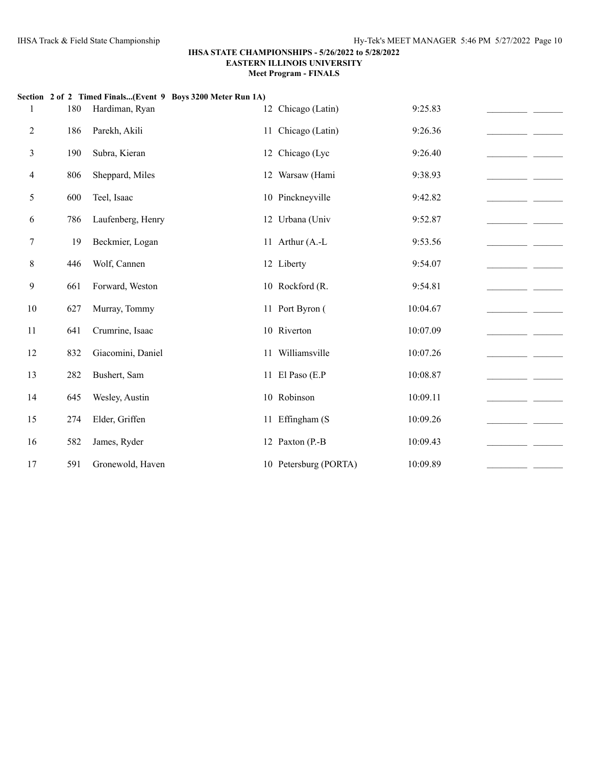|                | 180 | Section 2 of 2 Timed Finals(Event 9 Boys 3200 Meter Run 1A)<br>Hardiman, Ryan | 12 Chicago (Latin)    | 9:25.83  |  |
|----------------|-----|-------------------------------------------------------------------------------|-----------------------|----------|--|
| $\overline{c}$ | 186 | Parekh, Akili                                                                 | 11 Chicago (Latin)    | 9:26.36  |  |
| 3              | 190 | Subra, Kieran                                                                 | 12 Chicago (Lyc       | 9:26.40  |  |
| 4              | 806 | Sheppard, Miles                                                               | 12 Warsaw (Hami       | 9:38.93  |  |
| 5              | 600 | Teel, Isaac                                                                   | 10 Pinckneyville      | 9:42.82  |  |
| 6              | 786 | Laufenberg, Henry                                                             | 12 Urbana (Univ       | 9:52.87  |  |
| 7              | 19  | Beckmier, Logan                                                               | 11 Arthur (A.-L       | 9:53.56  |  |
| 8              | 446 | Wolf, Cannen                                                                  | 12 Liberty            | 9:54.07  |  |
| 9              | 661 | Forward, Weston                                                               | 10 Rockford (R.       | 9:54.81  |  |
| $10\,$         | 627 | Murray, Tommy                                                                 | 11 Port Byron (       | 10:04.67 |  |
| 11             | 641 | Crumrine, Isaac                                                               | 10 Riverton           | 10:07.09 |  |
| 12             | 832 | Giacomini, Daniel                                                             | 11 Williamsville      | 10:07.26 |  |
| 13             | 282 | Bushert, Sam                                                                  | 11 El Paso (E.P       | 10:08.87 |  |
| 14             | 645 | Wesley, Austin                                                                | 10 Robinson           | 10:09.11 |  |
| 15             | 274 | Elder, Griffen                                                                | 11 Effingham (S       | 10:09.26 |  |
| 16             | 582 | James, Ryder                                                                  | 12 Paxton (P.-B       | 10:09.43 |  |
| 17             | 591 | Gronewold, Haven                                                              | 10 Petersburg (PORTA) | 10:09.89 |  |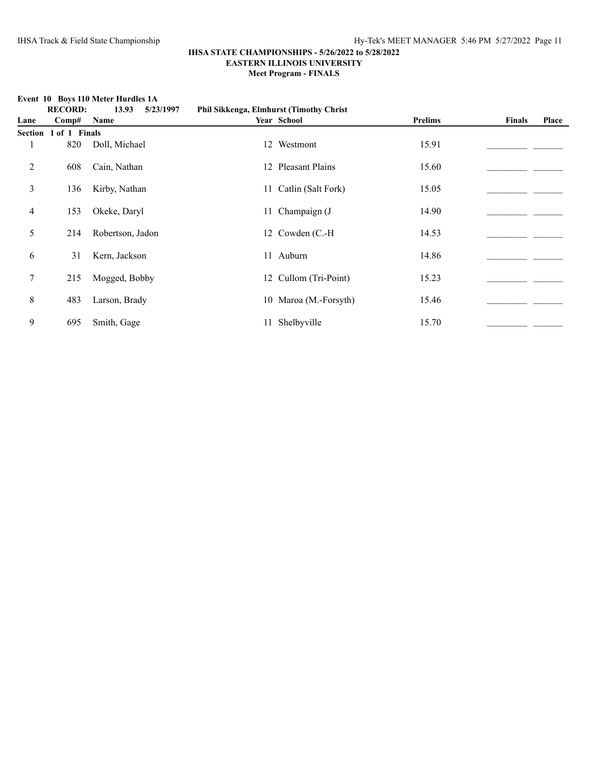### **IHSA STATE CHAMPIONSHIPS - 5/26/2022 to 5/28/2022 EASTERN ILLINOIS UNIVERSITY**

**Meet Program - FINALS**

**Event 10 Boys 110 Meter Hurdles 1A**

|                | <b>RECORD:</b>        | 13.93<br>5/23/1997 | <b>Phil Sikkenga, Elmhurst (Timothy Christ)</b> |                       |                |               |       |
|----------------|-----------------------|--------------------|-------------------------------------------------|-----------------------|----------------|---------------|-------|
| Lane           | Comp#                 | Name               |                                                 | Year School           | <b>Prelims</b> | <b>Finals</b> | Place |
|                | Section 1 of 1 Finals |                    |                                                 |                       |                |               |       |
| 1              | 820                   | Doll, Michael      |                                                 | 12 Westmont           | 15.91          |               |       |
| $\overline{2}$ | 608                   | Cain, Nathan       |                                                 | 12 Pleasant Plains    | 15.60          |               |       |
| 3              | 136                   | Kirby, Nathan      |                                                 | 11 Catlin (Salt Fork) | 15.05          |               |       |
| 4              | 153                   | Okeke, Daryl       |                                                 | 11 Champaign (J       | 14.90          |               |       |
| 5              | 214                   | Robertson, Jadon   |                                                 | 12 Cowden (C.-H)      | 14.53          |               |       |
| 6              | 31                    | Kern, Jackson      |                                                 | 11 Auburn             | 14.86          |               |       |
| $\tau$         | 215                   | Mogged, Bobby      |                                                 | 12 Cullom (Tri-Point) | 15.23          |               |       |
| 8              | 483                   | Larson, Brady      |                                                 | 10 Maroa (M.-Forsyth) | 15.46          |               |       |
| 9              | 695                   | Smith, Gage        |                                                 | 11 Shelbyville        | 15.70          |               |       |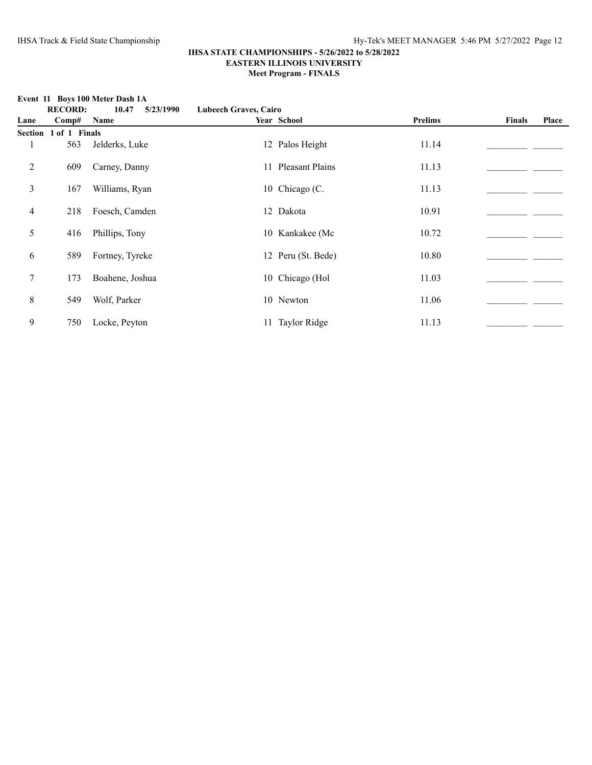|      |                       | <b>EVEIL 11 DOYS TOU MELET DASH IA</b> |                              |                    |         |               |       |
|------|-----------------------|----------------------------------------|------------------------------|--------------------|---------|---------------|-------|
|      | <b>RECORD:</b>        | 10.47<br>5/23/1990                     | <b>Lubeech Graves, Cairo</b> |                    |         |               |       |
| Lane | Comp#                 | Name                                   |                              | Year School        | Prelims | <b>Finals</b> | Place |
|      | Section 1 of 1 Finals |                                        |                              |                    |         |               |       |
|      | 563                   | Jelderks, Luke                         |                              | 12 Palos Height    | 11.14   |               |       |
| 2    | 609                   | Carney, Danny                          |                              | 11 Pleasant Plains | 11.13   |               |       |
| 3    | 167                   | Williams, Ryan                         |                              | 10 Chicago (C.     | 11.13   |               |       |
| 4    | 218                   | Foesch, Camden                         |                              | 12 Dakota          | 10.91   |               |       |
| 5    | 416                   | Phillips, Tony                         |                              | 10 Kankakee (Mc    | 10.72   |               |       |
| 6    | 589                   | Fortney, Tyreke                        |                              | 12 Peru (St. Bede) | 10.80   |               |       |
| 7    | 173                   | Boahene, Joshua                        |                              | 10 Chicago (Hol    | 11.03   |               |       |
| 8    | 549                   | Wolf, Parker                           |                              | 10 Newton          | 11.06   |               |       |
| 9    | 750                   | Locke, Peyton                          |                              | 11 Taylor Ridge    | 11.13   |               |       |

# **Event 11 Boys 100 Meter Dash 1A**<br>**RECORD:** 10.47 5/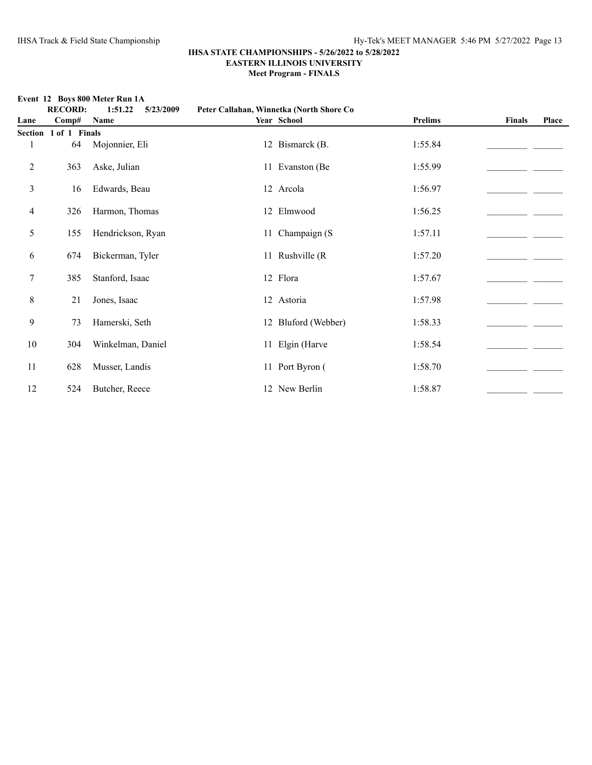**Event 12 Boys 800 Meter Run 1A**

|                | <b>RECORD:</b> | 1:51.22<br>5/23/2009 |    | Peter Callahan, Winnetka (North Shore Co |                |        |       |
|----------------|----------------|----------------------|----|------------------------------------------|----------------|--------|-------|
| Lane           | Comp#          | Name                 |    | Year School                              | <b>Prelims</b> | Finals | Place |
| <b>Section</b> | 1 of 1 Finals  |                      |    |                                          |                |        |       |
| 1              | 64             | Mojonnier, Eli       |    | 12 Bismarck (B.                          | 1:55.84        |        |       |
| 2              | 363            | Aske, Julian         |    | 11 Evanston (Be                          | 1:55.99        |        |       |
| 3              | 16             | Edwards, Beau        |    | 12 Arcola                                | 1:56.97        |        |       |
| 4              | 326            | Harmon, Thomas       |    | 12 Elmwood                               | 1:56.25        |        |       |
| 5              | 155            | Hendrickson, Ryan    |    | 11 Champaign (S                          | 1:57.11        |        |       |
| 6              | 674            | Bickerman, Tyler     |    | 11 Rushville (R)                         | 1:57.20        |        |       |
| 7              | 385            | Stanford, Isaac      |    | 12 Flora                                 | 1:57.67        |        |       |
| $8\,$          | 21             | Jones, Isaac         |    | 12 Astoria                               | 1:57.98        |        |       |
| 9              | 73             | Hamerski, Seth       |    | 12 Bluford (Webber)                      | 1:58.33        |        |       |
| 10             | 304            | Winkelman, Daniel    | 11 | Elgin (Harve                             | 1:58.54        |        |       |
| 11             | 628            | Musser, Landis       |    | 11 Port Byron (                          | 1:58.70        |        |       |
| 12             | 524            | Butcher, Reece       |    | 12 New Berlin                            | 1:58.87        |        |       |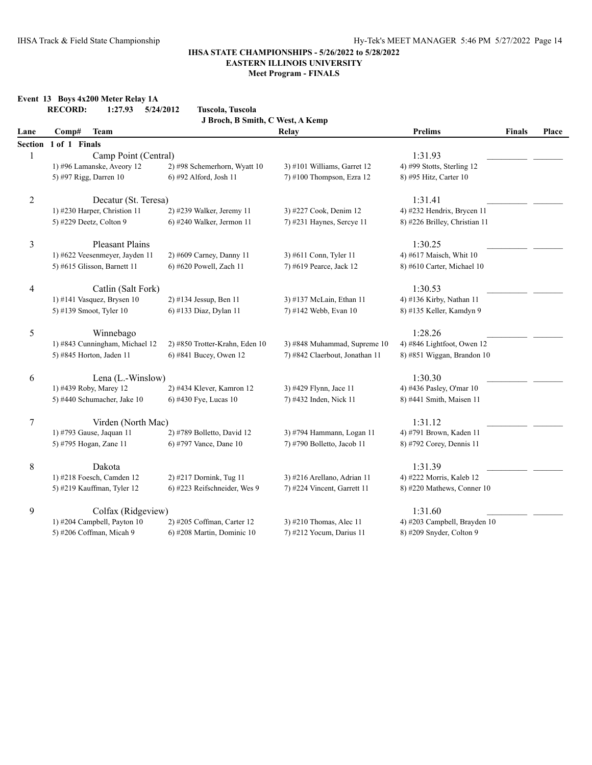# **Event 13 Boys 4x200 Meter Relay 1A**

|                | <b>RECORD:</b><br>1:27.93      | Tuscola, Tuscola<br>5/24/2012    |                                |                               |               |       |
|----------------|--------------------------------|----------------------------------|--------------------------------|-------------------------------|---------------|-------|
|                |                                | J Broch, B Smith, C West, A Kemp |                                |                               |               |       |
| Lane           | <b>Team</b><br>Comp#           |                                  | Relay                          | <b>Prelims</b>                | <b>Finals</b> | Place |
| <b>Section</b> | 1 of 1 Finals                  |                                  |                                |                               |               |       |
| 1              | Camp Point (Central)           |                                  |                                | 1:31.93                       |               |       |
|                | 1) #96 Lamanske, Aveory 12     | 2) #98 Schemerhorn, Wyatt 10     | 3) #101 Williams, Garret 12    | 4) #99 Stotts, Sterling 12    |               |       |
|                | 5) #97 Rigg, Darren 10         | 6) #92 Alford, Josh 11           | 7) #100 Thompson, Ezra 12      | 8) #95 Hitz, Carter 10        |               |       |
| 2              | Decatur (St. Teresa)           |                                  |                                | 1:31.41                       |               |       |
|                | 1) #230 Harper, Christion 11   | 2) #239 Walker, Jeremy 11        | 3) #227 Cook, Denim 12         | 4) #232 Hendrix, Brycen 11    |               |       |
|                | 5) #229 Deetz, Colton 9        | $6$ ) #240 Walker, Jermon 11     | 7) #231 Haynes, Sercye 11      | 8) #226 Brilley, Christian 11 |               |       |
| 3              | <b>Pleasant Plains</b>         |                                  |                                | 1:30.25                       |               |       |
|                | 1) #622 Veesenmeyer, Jayden 11 | 2) #609 Carney, Danny 11         | 3) #611 Conn, Tyler 11         | 4) #617 Maisch, Whit 10       |               |       |
|                | 5) #615 Glisson, Barnett 11    | 6) #620 Powell, Zach 11          | 7) #619 Pearce, Jack 12        | 8) #610 Carter, Michael 10    |               |       |
| 4              | Catlin (Salt Fork)             |                                  |                                | 1:30.53                       |               |       |
|                | 1) #141 Vasquez, Brysen 10     | 2) #134 Jessup, Ben 11           | 3) #137 McLain, Ethan 11       | 4) #136 Kirby, Nathan 11      |               |       |
|                | 5) #139 Smoot, Tyler 10        | 6) #133 Diaz, Dylan 11           | 7) #142 Webb, Evan 10          | 8) #135 Keller, Kamdyn 9      |               |       |
| 5              | Winnebago                      |                                  |                                | 1:28.26                       |               |       |
|                | 1) #843 Cunningham, Michael 12 | 2) #850 Trotter-Krahn, Eden 10   | 3) #848 Muhammad, Supreme 10   | 4) #846 Lightfoot, Owen 12    |               |       |
|                | 5) #845 Horton, Jaden 11       | 6) #841 Bucey, Owen 12           | 7) #842 Claerbout, Jonathan 11 | 8) #851 Wiggan, Brandon 10    |               |       |
| 6              | Lena (L.-Winslow)              |                                  |                                | 1:30.30                       |               |       |
|                | 1) #439 Roby, Marey 12         | 2) #434 Klever, Kamron 12        | 3) #429 Flynn, Jace 11         | 4) #436 Pasley, O'mar 10      |               |       |
|                | 5) #440 Schumacher, Jake 10    | 6) #430 Fye, Lucas 10            | 7) #432 Inden, Nick 11         | 8) #441 Smith, Maisen 11      |               |       |
| 7              | Virden (North Mac)             |                                  |                                | 1:31.12                       |               |       |
|                | 1) #793 Gause, Jaquan 11       | 2) #789 Bolletto, David 12       | 3) #794 Hammann, Logan 11      | 4) #791 Brown, Kaden 11       |               |       |
|                | 5) #795 Hogan, Zane 11         | 6) #797 Vance, Dane 10           | 7) #790 Bolletto, Jacob 11     | 8) #792 Corey, Dennis 11      |               |       |
| 8              | Dakota                         |                                  |                                | 1:31.39                       |               |       |
|                | 1) #218 Foesch, Camden 12      | 2) #217 Dornink, Tug 11          | 3) #216 Arellano, Adrian 11    | 4) #222 Morris, Kaleb 12      |               |       |
|                | 5) #219 Kauffman, Tyler 12     | 6) #223 Reifschneider, Wes 9     | 7) #224 Vincent, Garrett 11    | 8) #220 Mathews, Conner 10    |               |       |
| 9              | Colfax (Ridgeview)             |                                  |                                | 1:31.60                       |               |       |
|                | 1) #204 Campbell, Payton 10    | 2) #205 Coffman, Carter 12       | 3) #210 Thomas, Alec 11        | 4) #203 Campbell, Brayden 10  |               |       |
|                | 5) #206 Coffman, Micah 9       | 6) #208 Martin, Dominic 10       | 7) #212 Yocum, Darius 11       | 8) #209 Snyder, Colton 9      |               |       |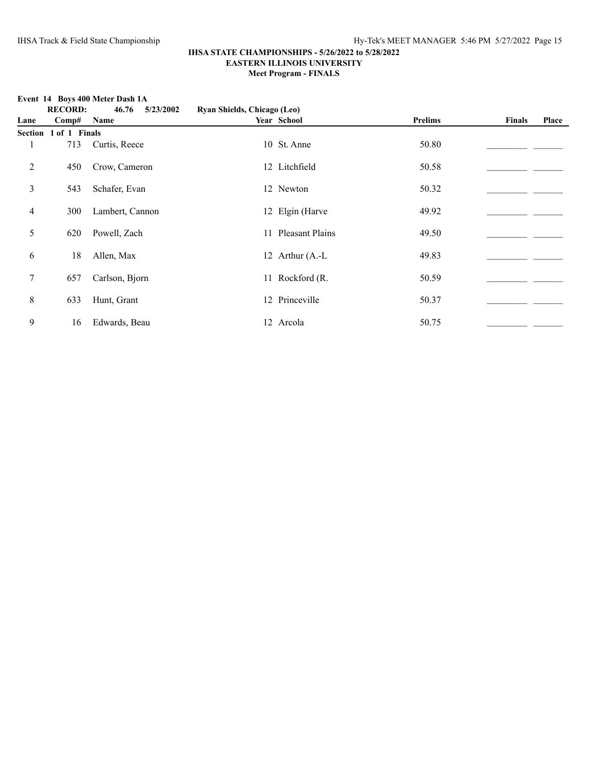### **Event 14 Boys 400 Meter Dash 1A**

|                | <b>RECORD:</b>        | 46.76<br>5/23/2002 | Ryan Shields, Chicago (Leo) |                    |                |               |       |
|----------------|-----------------------|--------------------|-----------------------------|--------------------|----------------|---------------|-------|
| Lane           | Comp#                 | Name               |                             | Year School        | <b>Prelims</b> | <b>Finals</b> | Place |
|                | Section 1 of 1 Finals |                    |                             |                    |                |               |       |
|                | 713                   | Curtis, Reece      |                             | 10 St. Anne        | 50.80          |               |       |
| $\overline{2}$ | 450                   | Crow, Cameron      |                             | 12 Litchfield      | 50.58          |               |       |
| 3              | 543                   | Schafer, Evan      |                             | 12 Newton          | 50.32          |               |       |
| 4              | 300                   | Lambert, Cannon    |                             | 12 Elgin (Harve    | 49.92          |               |       |
| 5              | 620                   | Powell, Zach       |                             | 11 Pleasant Plains | 49.50          |               |       |
| 6              | 18                    | Allen, Max         |                             | 12 Arthur (A.-L    | 49.83          |               |       |
| $\tau$         | 657                   | Carlson, Bjorn     |                             | 11 Rockford (R.    | 50.59          |               |       |
| $8\,$          | 633                   | Hunt, Grant        |                             | 12 Princeville     | 50.37          |               |       |
| 9              | 16                    | Edwards, Beau      |                             | 12 Arcola          | 50.75          |               |       |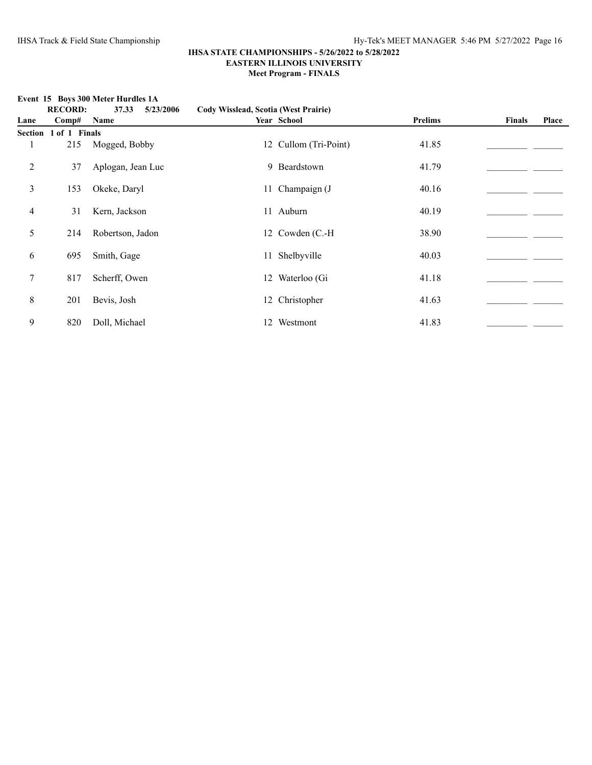**Event 15 Boys 300 Meter Hurdles 1A**

### **IHSA STATE CHAMPIONSHIPS - 5/26/2022 to 5/28/2022 EASTERN ILLINOIS UNIVERSITY Meet Program - FINALS**

**RECORD: 37.33 5/23/2006 Cody Wisslead, Scotia (West Prairie) Lane Comp# Name Year School Prelims Finals Place Section 1 of 1 Finals** 1 215 Mogged, Bobby 12 Cullom (Tri-Point) 41.85 2 37 Aplogan, Jean Luc 9 Beardstown 41.79\_\_\_\_\_\_\_\_\_\_\_\_\_\_\_\_\_\_\_\_\_\_ \_\_\_\_\_\_\_ 3 153 Okeke, Daryl 11 Champaign (J 40.16\_\_\_\_\_\_\_\_\_\_\_\_\_\_\_\_\_\_\_\_\_\_ \_\_\_\_\_\_\_ 4 31 Kern, Jackson 11 Auburn 11 Auburn 40.19 5 214 Robertson, Jadon 12 Cowden (C.-H 38.90 \_\_\_\_\_\_\_\_\_\_\_\_\_\_\_\_\_\_ 6 695 Smith, Gage 11 Shelbyville 40.03  $\qquad$ 7 817 Scherff, Owen 12 Waterloo (Gi 41.18\_\_\_\_\_\_\_\_\_\_\_\_\_\_\_\_\_\_\_\_\_\_ \_\_\_\_\_\_\_ 8 201 Bevis, Josh 12 Christopher 41.63\_\_\_\_\_\_\_\_\_\_\_\_\_\_\_\_\_\_\_\_\_\_ \_\_\_\_\_\_\_ 9 820 Doll, Michael 12 Westmont 41.83 20 Doll, Michael 42.03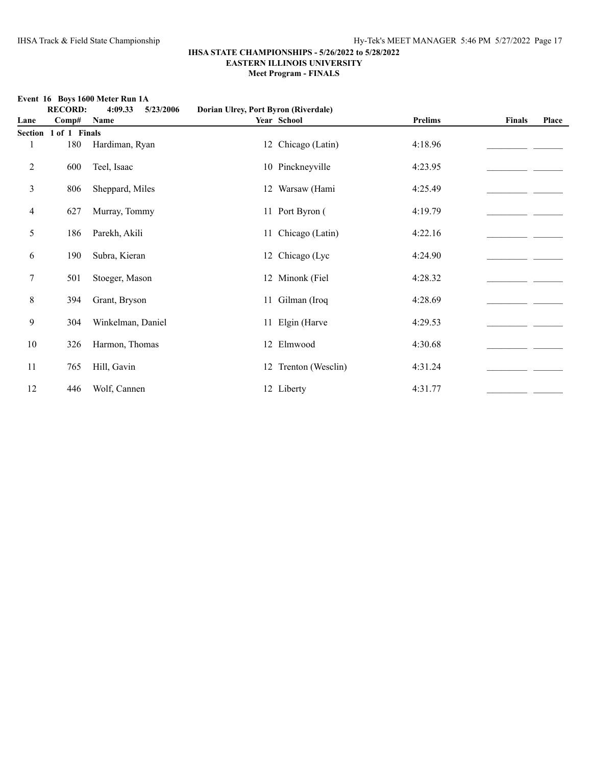# **Event 16 Boys 1600 Meter Run 1A**<br>**RECORD**:  $4.0933$  5/2

|      | <b>RECORD:</b>        | етсие то проуз торо месет кан тле<br>4:09.33<br>5/23/2006 | Dorian Ulrey, Port Byron (Riverdale) |                      |                |               |       |
|------|-----------------------|-----------------------------------------------------------|--------------------------------------|----------------------|----------------|---------------|-------|
| Lane | Comp#                 | Name                                                      |                                      | Year School          | <b>Prelims</b> | <b>Finals</b> | Place |
|      | Section 1 of 1 Finals |                                                           |                                      |                      |                |               |       |
|      | 180                   | Hardiman, Ryan                                            |                                      | 12 Chicago (Latin)   | 4:18.96        |               |       |
| 2    | 600                   | Teel, Isaac                                               |                                      | 10 Pinckneyville     | 4:23.95        |               |       |
| 3    | 806                   | Sheppard, Miles                                           |                                      | 12 Warsaw (Hami      | 4:25.49        |               |       |
| 4    | 627                   | Murray, Tommy                                             |                                      | 11 Port Byron (      | 4:19.79        |               |       |
| 5    | 186                   | Parekh, Akili                                             |                                      | 11 Chicago (Latin)   | 4:22.16        |               |       |
| 6    | 190                   | Subra, Kieran                                             |                                      | 12 Chicago (Lyc      | 4:24.90        |               |       |
| 7    | 501                   | Stoeger, Mason                                            |                                      | 12 Minonk (Fiel      | 4:28.32        |               |       |
| 8    | 394                   | Grant, Bryson                                             |                                      | 11 Gilman (Iroq      | 4:28.69        |               |       |
| 9    | 304                   | Winkelman, Daniel                                         |                                      | 11 Elgin (Harve      | 4:29.53        |               |       |
| 10   | 326                   | Harmon, Thomas                                            |                                      | 12 Elmwood           | 4:30.68        |               |       |
| 11   | 765                   | Hill, Gavin                                               |                                      | 12 Trenton (Wesclin) | 4:31.24        |               |       |
| 12   | 446                   | Wolf, Cannen                                              |                                      | 12 Liberty           | 4:31.77        |               |       |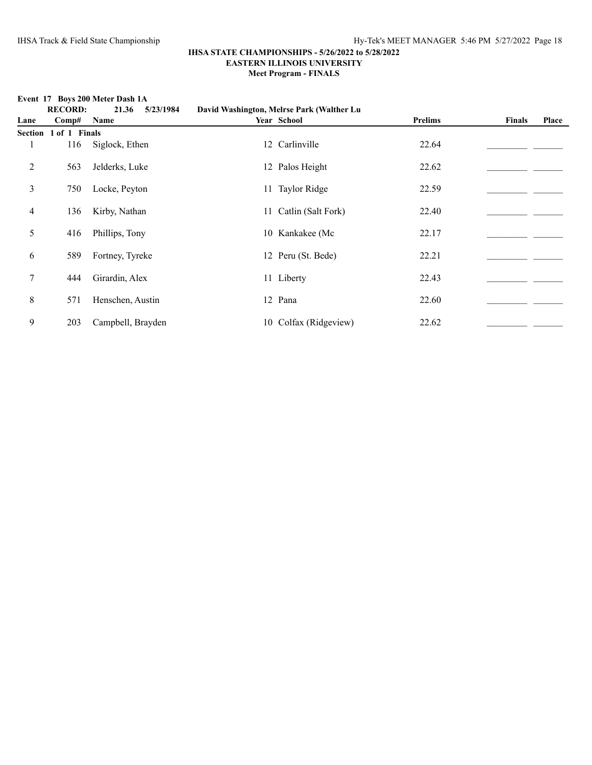**RECORD: 21.36 5/23/1984 David Washington, Melrse Park (Walther Lu Lane Comp# Name Year School Prelims Finals Place Section 1 of 1 Finals** 1 116 Siglock, Ethen 12 Carlinville 22.64 2 563 Jelderks, Luke 12 Palos Height 22.62\_\_\_\_\_\_\_\_\_\_\_\_\_\_\_\_\_\_\_\_\_\_ \_\_\_\_\_\_\_ 3 750 Locke, Peyton 11 Taylor Ridge 22.59 22.59 4 136 Kirby, Nathan 11 Catlin (Salt Fork) 22.40 5 416 Phillips, Tony 10 Kankakee (Mc 22.17\_\_\_\_\_\_\_\_\_\_\_\_\_\_\_\_\_\_\_\_\_\_ \_\_\_\_\_\_\_ 6 589 Fortney, Tyreke 12 Peru (St. Bede) 22.21  $\frac{22.21}{\frac{12.21}{\frac{12.21}{\frac{12.21}{\frac{12.21}{\frac{12.21}{\frac{12.21}{\frac{12.21}{\frac{12.21}{\frac{12.21}{\frac{12.21}{\frac{12.21}{\frac{12.21}{\frac{12.21}{\frac{12.21}{\frac{12.21}{\frac{12.21}{\frac{12.21}{\frac{12.21}{\frac$ 7 444 Girardin, Alex 11 Liberty 22.43\_\_\_\_\_\_\_\_\_\_\_\_\_\_\_\_\_\_\_\_\_\_ \_\_\_\_\_\_\_ 8 571 Henschen, Austin 12 Pana 22.60\_\_\_\_\_\_\_\_\_\_\_\_\_\_\_\_\_\_\_\_\_\_ \_\_\_\_\_\_\_ 9 203 Campbell, Brayden 10 Colfax (Ridgeview) 22.62 \_\_\_\_\_\_\_\_\_\_\_\_\_\_\_\_\_\_\_\_\_

## **Event 17 Boys 200 Meter Dash 1A**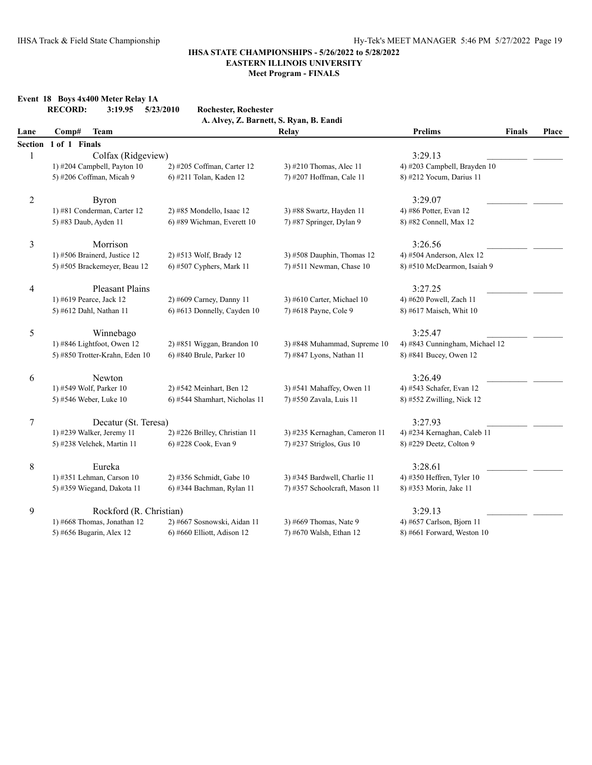**Event 18 Boys 4x400 Meter Relay 1A**

### **IHSA STATE CHAMPIONSHIPS - 5/26/2022 to 5/28/2022 EASTERN ILLINOIS UNIVERSITY Meet Program - FINALS**

## **RECORD: 3:19.95 5/23/2010 Rochester, Rochester A. Alvey, Z. Barnett, S. Ryan, B. Eandi Lane Comp# Team Relay Prelims Finals Place Section 1 of 1 Finals**  $1 \qquad \qquad \text{Colfax (Rideview)} \qquad \qquad 3:29.13$ 1) #204 Campbell, Payton 10 2) #205 Coffman, Carter 12 3) #210 Thomas, Alec 11 4) #203 Campbell, Brayden 10 5) #206 Coffman, Micah 9 6) #211 Tolan, Kaden 12 7) #207 Hoffman, Cale 11 8) #212 Yocum, Darius 11 2 Byron  $3:29.07$   $\qquad \qquad$ 1) #81 Conderman, Carter 12 2) #85 Mondello, Isaac 12 3) #88 Swartz, Hayden 11 4) #86 Potter, Evan 12 5) #83 Daub, Ayden 11 6) #89 Wichman, Everett 10 7) #87 Springer, Dylan 9 8) #82 Connell, Max 12 3 Morrison 3:26.56\_\_\_\_\_\_\_\_\_\_\_\_\_\_\_\_\_\_\_\_\_\_ \_\_\_\_\_\_\_ 1) #506 Brainerd, Justice 12 2) #513 Wolf, Brady 12 3) #508 Dauphin, Thomas 12 4) #504 Anderson, Alex 12 5) #505 Brackemeyer, Beau 12 6) #507 Cyphers, Mark 11 7) #511 Newman, Chase 10 8) #510 McDearmon, Isaiah 9 4 Pleasant Plains 2:27.25 Pleasant Plains 3:27.25 1) #619 Pearce, Jack 12 2) #609 Carney, Danny 11 3) #610 Carter, Michael 10 4) #620 Powell, Zach 11 5) #612 Dahl, Nathan 11 6) #613 Donnelly, Cayden 10 7) #618 Payne, Cole 9 8) #617 Maisch, Whit 10 5 Winnebago  $3:25.47$   $\qquad \qquad$ 1) #846 Lightfoot, Owen 12 2) #851 Wiggan, Brandon 10 3) #848 Muhammad, Supreme 10 4) #843 Cunningham, Michael 12 5) #850 Trotter-Krahn, Eden 10 6) #840 Brule, Parker 10 7) #847 Lyons, Nathan 11 8) #841 Bucey, Owen 12 6 Newton  $3:26.49$   $\qquad \qquad$ 1) #549 Wolf, Parker 10 2) #542 Meinhart, Ben 12 3) #541 Mahaffey, Owen 11 4) #543 Schafer, Evan 12 5) #546 Weber, Luke 10 6) #544 Shamhart, Nicholas 11 7) #550 Zavala, Luis 11 8) #552 Zwilling, Nick 12 7 Decatur (St. Teresa) 3:27.93 1) #239 Walker, Jeremy 11 2) #226 Brilley, Christian 11 3) #235 Kernaghan, Cameron 11 4) #234 Kernaghan, Caleb 11 5) #238 Velchek, Martin 11 6) #228 Cook, Evan 9 7) #237 Striglos, Gus 10 8) #229 Deetz, Colton 9 8 Eureka 3:28.61\_\_\_\_\_\_\_\_\_\_\_\_\_\_\_\_\_\_\_\_\_\_ \_\_\_\_\_\_\_ 1) #351 Lehman, Carson 10 2) #356 Schmidt, Gabe 10 3) #345 Bardwell, Charlie 11 4) #350 Heffren, Tyler 10 5) #359 Wiegand, Dakota 11 6) #344 Bachman, Rylan 11 7) #357 Schoolcraft, Mason 11 8) #353 Morin, Jake 11

### 9 Rockford (R. Christian) 3:29.13

1) #668 Thomas, Jonathan 12 2) #667 Sosnowski, Aidan 11 3) #669 Thomas, Nate 9 4) #657 Carlson, Bjorn 11

5) #656 Bugarin, Alex 12 6) #660 Elliott, Adison 12 7) #670 Walsh, Ethan 12 8) #661 Forward, Weston 10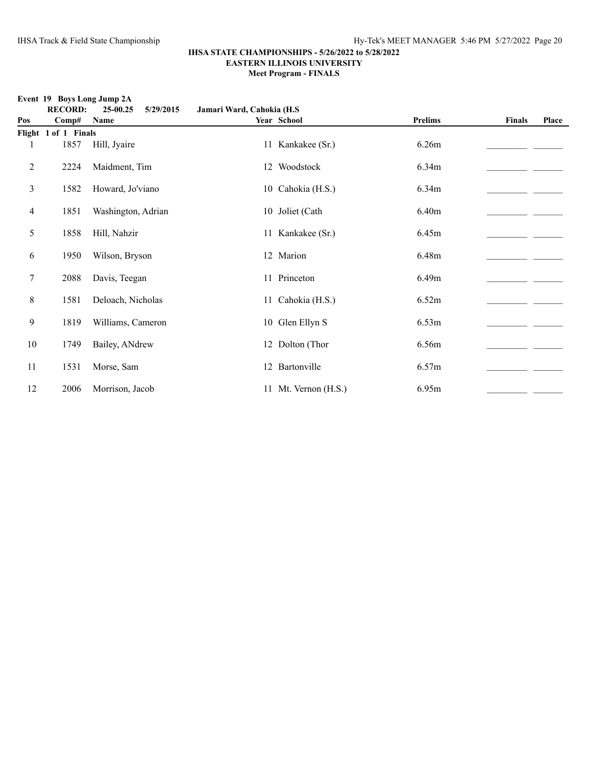**Event 19 Boys Long Jump 2A**<br>**RECORD:** 25.00.25

|                | вусие ту проуз воне ошир дл<br><b>RECORD:</b> | 25-00.25<br>5/29/2015 | Jamari Ward, Cahokia (H.S. |                      |                |               |       |
|----------------|-----------------------------------------------|-----------------------|----------------------------|----------------------|----------------|---------------|-------|
| Pos            | Comp#                                         | Name                  |                            | Year School          | <b>Prelims</b> | <b>Finals</b> | Place |
|                | Flight 1 of 1 Finals                          |                       |                            |                      |                |               |       |
|                | 1857                                          | Hill, Jyaire          |                            | 11 Kankakee (Sr.)    | 6.26m          |               |       |
| $\overline{2}$ | 2224                                          | Maidment, Tim         |                            | 12 Woodstock         | 6.34m          |               |       |
| 3              | 1582                                          | Howard, Jo'viano      |                            | 10 Cahokia (H.S.)    | 6.34m          |               |       |
| 4              | 1851                                          | Washington, Adrian    |                            | 10 Joliet (Cath      | 6.40m          |               |       |
| 5              | 1858                                          | Hill, Nahzir          |                            | 11 Kankakee (Sr.)    | 6.45m          |               |       |
| 6              | 1950                                          | Wilson, Bryson        |                            | 12 Marion            | 6.48m          |               |       |
| $\tau$         | 2088                                          | Davis, Teegan         |                            | 11 Princeton         | 6.49m          |               |       |
| $8\,$          | 1581                                          | Deloach, Nicholas     |                            | 11 Cahokia (H.S.)    | 6.52m          |               |       |
| 9              | 1819                                          | Williams, Cameron     |                            | 10 Glen Ellyn S      | 6.53m          |               |       |
| 10             | 1749                                          | Bailey, ANdrew        |                            | 12 Dolton (Thor      | 6.56m          |               |       |
| 11             | 1531                                          | Morse, Sam            |                            | 12 Bartonville       | 6.57m          |               |       |
| 12             | 2006                                          | Morrison, Jacob       |                            | 11 Mt. Vernon (H.S.) | 6.95m          |               |       |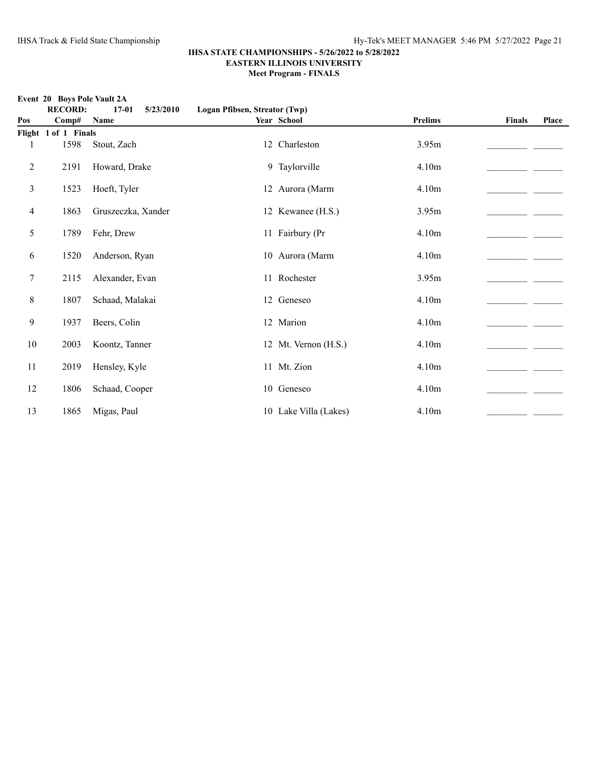**Event 20 Boys Pole Vault 2A**<br>**RECOPD** 

|     | EVEIR ZU DUYS LUIC VAUR ZA<br><b>RECORD:</b> | 5/23/2010<br>$17 - 01$ | Logan Pfibsen, Streator (Twp) |                       |                   |               |       |
|-----|----------------------------------------------|------------------------|-------------------------------|-----------------------|-------------------|---------------|-------|
| Pos | Comp#                                        | Name                   |                               | Year School           | <b>Prelims</b>    | <b>Finals</b> | Place |
|     | Flight 1 of 1 Finals                         |                        |                               |                       |                   |               |       |
|     | 1598                                         | Stout, Zach            |                               | 12 Charleston         | 3.95m             |               |       |
| 2   | 2191                                         | Howard, Drake          |                               | 9 Taylorville         | 4.10m             |               |       |
| 3   | 1523                                         | Hoeft, Tyler           |                               | 12 Aurora (Marm       | 4.10m             |               |       |
| 4   | 1863                                         | Gruszeczka, Xander     |                               | 12 Kewanee (H.S.)     | 3.95m             |               |       |
| 5   | 1789                                         | Fehr, Drew             |                               | 11 Fairbury (Pr       | 4.10m             |               |       |
| 6   | 1520                                         | Anderson, Ryan         |                               | 10 Aurora (Marm       | 4.10 <sub>m</sub> |               |       |
| 7   | 2115                                         | Alexander, Evan        |                               | 11 Rochester          | 3.95m             |               |       |
| 8   | 1807                                         | Schaad, Malakai        |                               | 12 Geneseo            | 4.10m             |               |       |
| 9   | 1937                                         | Beers, Colin           |                               | 12 Marion             | 4.10m             |               |       |
| 10  | 2003                                         | Koontz, Tanner         |                               | 12 Mt. Vernon (H.S.)  | 4.10m             |               |       |
| 11  | 2019                                         | Hensley, Kyle          |                               | 11 Mt. Zion           | 4.10m             |               |       |
| 12  | 1806                                         | Schaad, Cooper         |                               | 10 Geneseo            | 4.10m             |               |       |
| 13  | 1865                                         | Migas, Paul            |                               | 10 Lake Villa (Lakes) | 4.10m             |               |       |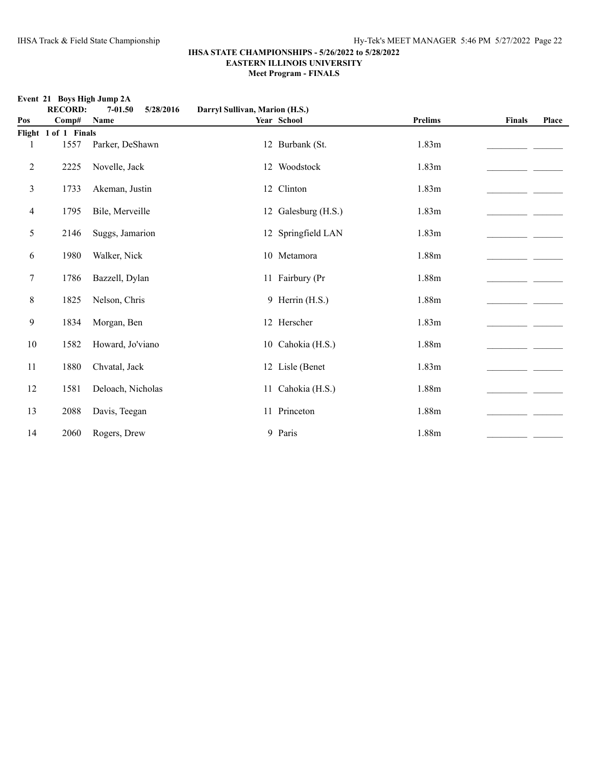### **Event 21 Boys High Jump 2A**

|     | <b>RECORD:</b>       | $7 - 01.50$<br>5/28/2016 | Darryl Sullivan, Marion (H.S.) |                     |                |               |       |  |
|-----|----------------------|--------------------------|--------------------------------|---------------------|----------------|---------------|-------|--|
| Pos | Comp#                | Name                     |                                | Year School         | <b>Prelims</b> | <b>Finals</b> | Place |  |
|     | Flight 1 of 1 Finals |                          |                                |                     |                |               |       |  |
| 1   | 1557                 | Parker, DeShawn          |                                | 12 Burbank (St.     | 1.83m          |               |       |  |
| 2   | 2225                 | Novelle, Jack            |                                | 12 Woodstock        | 1.83m          |               |       |  |
| 3   | 1733                 | Akeman, Justin           |                                | 12 Clinton          | 1.83m          |               |       |  |
| 4   | 1795                 | Bile, Merveille          |                                | 12 Galesburg (H.S.) | 1.83m          |               |       |  |
| 5   | 2146                 | Suggs, Jamarion          |                                | 12 Springfield LAN  | 1.83m          |               |       |  |
| 6   | 1980                 | Walker, Nick             |                                | 10 Metamora         | 1.88m          |               |       |  |
| 7   | 1786                 | Bazzell, Dylan           |                                | 11 Fairbury (Pr     | 1.88m          |               |       |  |
| 8   | 1825                 | Nelson, Chris            |                                | 9 Herrin (H.S.)     | 1.88m          |               |       |  |
| 9   | 1834                 | Morgan, Ben              |                                | 12 Herscher         | 1.83m          |               |       |  |
| 10  | 1582                 | Howard, Jo'viano         |                                | 10 Cahokia (H.S.)   | 1.88m          |               |       |  |
| 11  | 1880                 | Chvatal, Jack            |                                | 12 Lisle (Benet     | 1.83m          |               |       |  |
| 12  | 1581                 | Deloach, Nicholas        |                                | 11 Cahokia (H.S.)   | 1.88m          |               |       |  |
| 13  | 2088                 | Davis, Teegan            |                                | 11 Princeton        | 1.88m          |               |       |  |
| 14  | 2060                 | Rogers, Drew             |                                | 9 Paris             | 1.88m          |               |       |  |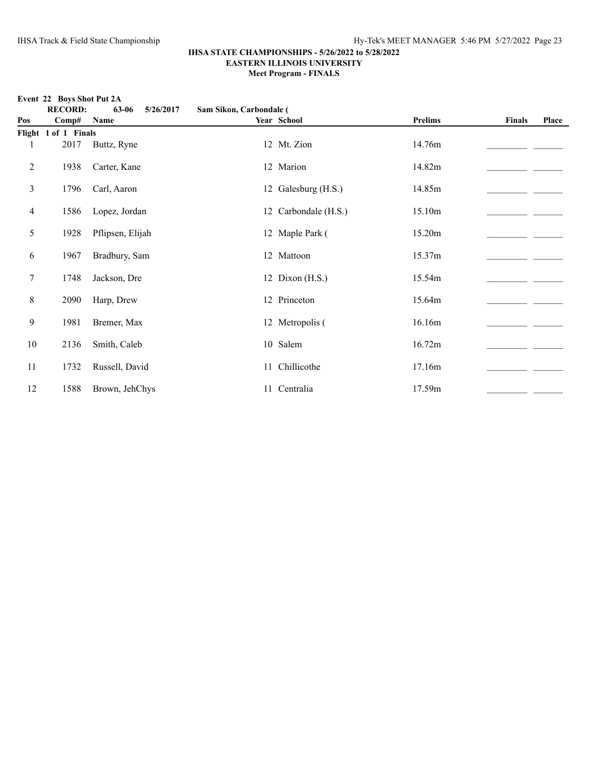**Event 22 Boys Shot Put 2A**<br>**RECORD:** 63-0

| $E$ vent 22 Doys Shot I ut 2 $\Lambda$<br><b>RECORD:</b><br>63-06<br>5/26/2017<br>Sam Sikon, Carbondale ( |                      |                  |  |                      |                |               |       |
|-----------------------------------------------------------------------------------------------------------|----------------------|------------------|--|----------------------|----------------|---------------|-------|
| Pos                                                                                                       | Comp#                | Name             |  | Year School          | <b>Prelims</b> | <b>Finals</b> | Place |
|                                                                                                           | Flight 1 of 1 Finals |                  |  |                      |                |               |       |
|                                                                                                           | 2017                 | Buttz, Ryne      |  | 12 Mt. Zion          | 14.76m         |               |       |
| $\boldsymbol{2}$                                                                                          | 1938                 | Carter, Kane     |  | 12 Marion            | 14.82m         |               |       |
| 3                                                                                                         | 1796                 | Carl, Aaron      |  | 12 Galesburg (H.S.)  | 14.85m         |               |       |
| $\overline{4}$                                                                                            | 1586                 | Lopez, Jordan    |  | 12 Carbondale (H.S.) | 15.10m         |               |       |
| 5                                                                                                         | 1928                 | Pflipsen, Elijah |  | 12 Maple Park (      | 15.20m         |               |       |
| 6                                                                                                         | 1967                 | Bradbury, Sam    |  | 12 Mattoon           | 15.37m         |               |       |
| $\tau$                                                                                                    | 1748                 | Jackson, Dre     |  | 12 Dixon (H.S.)      | 15.54m         |               |       |
| $\,8\,$                                                                                                   | 2090                 | Harp, Drew       |  | 12 Princeton         | 15.64m         |               |       |
| 9                                                                                                         | 1981                 | Bremer, Max      |  | 12 Metropolis (      | 16.16m         |               |       |
| 10                                                                                                        | 2136                 | Smith, Caleb     |  | 10 Salem             | 16.72m         |               |       |
| 11                                                                                                        | 1732                 | Russell, David   |  | 11 Chillicothe       | 17.16m         |               |       |
| 12                                                                                                        | 1588                 | Brown, JehChys   |  | 11 Centralia         | 17.59m         |               |       |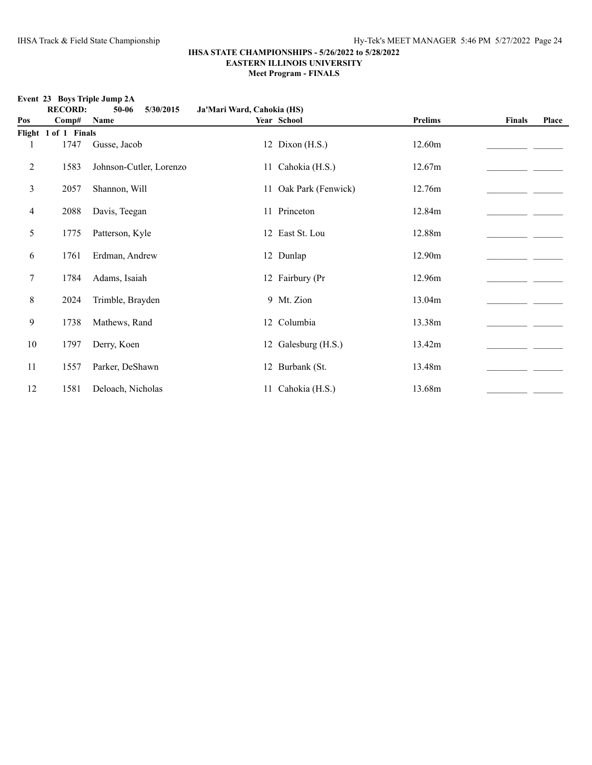### **Event 23 Boys Triple Jump 2A**

|                | <b>RECORD:</b>       | $50 - 06$<br>5/30/2015  | Ja'Mari Ward, Cahokia (HS) |                       |                |               |       |
|----------------|----------------------|-------------------------|----------------------------|-----------------------|----------------|---------------|-------|
| Pos            | Comp#                | Name                    |                            | Year School           | <b>Prelims</b> | <b>Finals</b> | Place |
|                | Flight 1 of 1 Finals |                         |                            |                       |                |               |       |
| 1              | 1747                 | Gusse, Jacob            |                            | 12 Dixon (H.S.)       | 12.60m         |               |       |
| $\overline{2}$ | 1583                 | Johnson-Cutler, Lorenzo |                            | 11 Cahokia (H.S.)     | 12.67m         |               |       |
| 3              | 2057                 | Shannon, Will           |                            | 11 Oak Park (Fenwick) | 12.76m         |               |       |
| 4              | 2088                 | Davis, Teegan           |                            | 11 Princeton          | 12.84m         |               |       |
| 5              | 1775                 | Patterson, Kyle         |                            | 12 East St. Lou       | 12.88m         |               |       |
| 6              | 1761                 | Erdman, Andrew          |                            | 12 Dunlap             | 12.90m         |               |       |
| 7              | 1784                 | Adams, Isaiah           |                            | 12 Fairbury (Pr       | 12.96m         |               |       |
| 8              | 2024                 | Trimble, Brayden        |                            | 9 Mt. Zion            | 13.04m         |               |       |
| 9              | 1738                 | Mathews, Rand           |                            | 12 Columbia           | 13.38m         |               |       |
| 10             | 1797                 | Derry, Koen             |                            | 12 Galesburg (H.S.)   | 13.42m         |               |       |
| 11             | 1557                 | Parker, DeShawn         |                            | 12 Burbank (St.       | 13.48m         |               |       |
| 12             | 1581                 | Deloach, Nicholas       |                            | 11 Cahokia (H.S.)     | 13.68m         |               |       |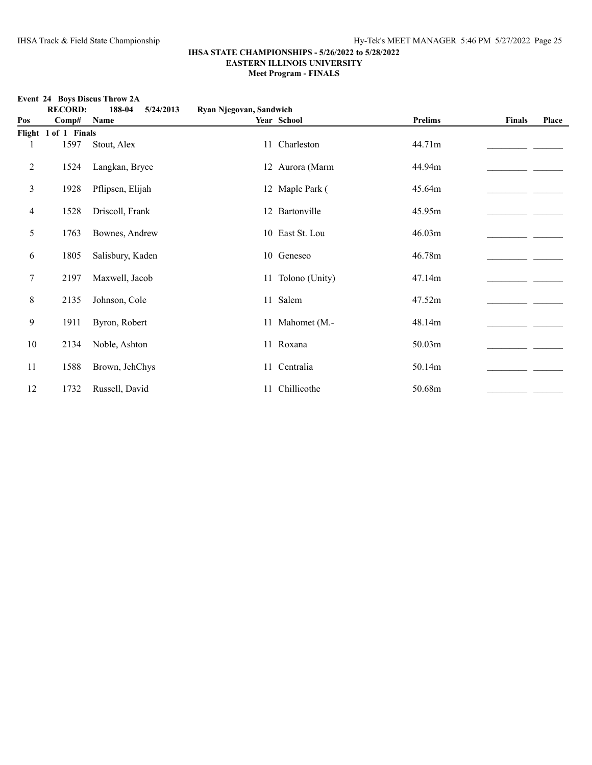|     | <b>RECORD:</b>       | 188-04<br>5/24/2013 | Ryan Njegovan, Sandwich |                   |                |               |       |
|-----|----------------------|---------------------|-------------------------|-------------------|----------------|---------------|-------|
| Pos | Comp#                | Name                |                         | Year School       | <b>Prelims</b> | <b>Finals</b> | Place |
|     | Flight 1 of 1 Finals |                     |                         |                   |                |               |       |
| 1   | 1597                 | Stout, Alex         |                         | 11 Charleston     | 44.71m         |               |       |
| 2   | 1524                 | Langkan, Bryce      |                         | 12 Aurora (Marm   | 44.94m         |               |       |
| 3   | 1928                 | Pflipsen, Elijah    |                         | 12 Maple Park (   | 45.64m         |               |       |
| 4   | 1528                 | Driscoll, Frank     |                         | 12 Bartonville    | 45.95m         |               |       |
| 5   | 1763                 | Bownes, Andrew      |                         | 10 East St. Lou   | 46.03m         |               |       |
| 6   | 1805                 | Salisbury, Kaden    |                         | 10 Geneseo        | 46.78m         |               |       |
| 7   | 2197                 | Maxwell, Jacob      |                         | 11 Tolono (Unity) | 47.14m         |               |       |
| 8   | 2135                 | Johnson, Cole       |                         | 11 Salem          | 47.52m         |               |       |
| 9   | 1911                 | Byron, Robert       |                         | 11 Mahomet (M.-   | 48.14m         |               |       |
| 10  | 2134                 | Noble, Ashton       |                         | 11 Roxana         | 50.03m         |               |       |
| 11  | 1588                 | Brown, JehChys      |                         | 11 Centralia      | 50.14m         |               |       |
| 12  | 1732                 | Russell, David      |                         | 11 Chillicothe    | 50.68m         |               |       |

#### **Event 24 Boys Discus Throw 2A**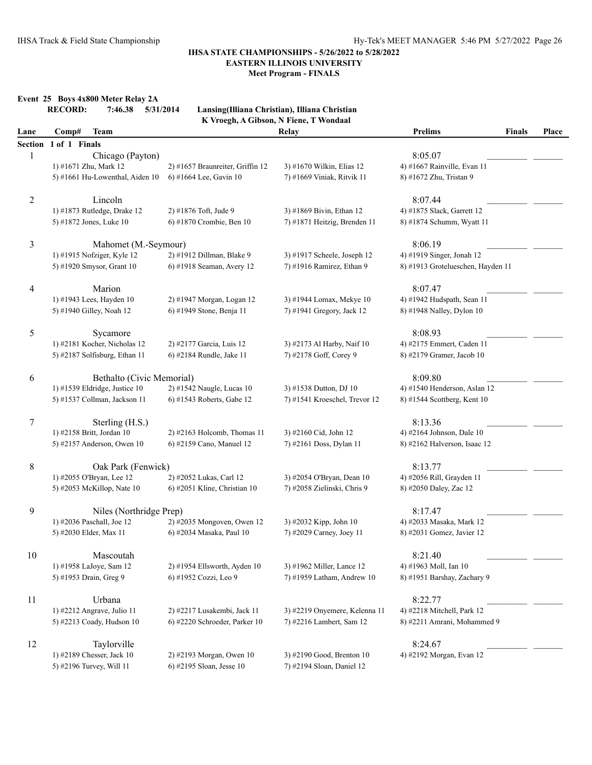**Meet Program - FINALS**

| <b>Relay</b><br>Lane<br>Comp#<br>1 of 1 Finals<br><b>Section</b><br>1<br>Chicago (Payton)<br>2) #1657 Braunreiter, Griffin 12<br>1) #1671 Zhu, Mark 12<br>3) #1670 Wilkin, Elias 12<br>5) #1661 Hu-Lowenthal, Aiden 10<br>6) #1664 Lee, Gavin 10<br>7) #1669 Viniak, Ritvik 11<br>$\overline{c}$<br>Lincoln<br>1) #1873 Rutledge, Drake 12<br>2) #1876 Toft, Jude 9<br>3) #1869 Bivin, Ethan 12<br>7) #1871 Heitzig, Brenden 11<br>5) #1872 Jones, Luke 10<br>6) #1870 Crombie, Ben 10<br>3<br>Mahomet (M.-Seymour)<br>1) #1915 Nofziger, Kyle 12<br>2) #1912 Dillman, Blake 9<br>3) #1917 Scheele, Joseph 12<br>5) #1920 Smysor, Grant 10<br>6) #1918 Seaman, Avery 12<br>7) #1916 Ramirez, Ethan 9<br>Marion<br>4<br>1) #1943 Lees, Hayden 10<br>2) #1947 Morgan, Logan 12<br>3) #1944 Lomax, Mekye 10<br>6) #1949 Stone, Benja 11<br>7) #1941 Gregory, Jack 12<br>5) #1940 Gilley, Noah 12<br>5<br>Sycamore<br>1) #2181 Kocher, Nicholas 12<br>2) #2177 Garcia, Luis 12<br>3) #2173 Al Harby, Naif 10<br>5) #2187 Solfisburg, Ethan 11<br>7) #2178 Goff, Corey 9<br>6) #2184 Rundle, Jake 11<br>6<br>Bethalto (Civic Memorial)<br>1) #1539 Eldridge, Justice 10<br>2) #1542 Naugle, Lucas 10<br>3) #1538 Dutton, DJ 10 | <b>Prelims</b><br>8:05.07<br>4) #1667 Rainville, Evan 11<br>8) #1672 Zhu, Tristan 9 |  |
|---------------------------------------------------------------------------------------------------------------------------------------------------------------------------------------------------------------------------------------------------------------------------------------------------------------------------------------------------------------------------------------------------------------------------------------------------------------------------------------------------------------------------------------------------------------------------------------------------------------------------------------------------------------------------------------------------------------------------------------------------------------------------------------------------------------------------------------------------------------------------------------------------------------------------------------------------------------------------------------------------------------------------------------------------------------------------------------------------------------------------------------------------------------------------------------------------------------------------|-------------------------------------------------------------------------------------|--|
|                                                                                                                                                                                                                                                                                                                                                                                                                                                                                                                                                                                                                                                                                                                                                                                                                                                                                                                                                                                                                                                                                                                                                                                                                           |                                                                                     |  |
|                                                                                                                                                                                                                                                                                                                                                                                                                                                                                                                                                                                                                                                                                                                                                                                                                                                                                                                                                                                                                                                                                                                                                                                                                           |                                                                                     |  |
|                                                                                                                                                                                                                                                                                                                                                                                                                                                                                                                                                                                                                                                                                                                                                                                                                                                                                                                                                                                                                                                                                                                                                                                                                           |                                                                                     |  |
|                                                                                                                                                                                                                                                                                                                                                                                                                                                                                                                                                                                                                                                                                                                                                                                                                                                                                                                                                                                                                                                                                                                                                                                                                           |                                                                                     |  |
|                                                                                                                                                                                                                                                                                                                                                                                                                                                                                                                                                                                                                                                                                                                                                                                                                                                                                                                                                                                                                                                                                                                                                                                                                           | 8:07.44                                                                             |  |
|                                                                                                                                                                                                                                                                                                                                                                                                                                                                                                                                                                                                                                                                                                                                                                                                                                                                                                                                                                                                                                                                                                                                                                                                                           | 4) #1875 Slack, Garrett 12                                                          |  |
|                                                                                                                                                                                                                                                                                                                                                                                                                                                                                                                                                                                                                                                                                                                                                                                                                                                                                                                                                                                                                                                                                                                                                                                                                           | 8) #1874 Schumm, Wyatt 11                                                           |  |
|                                                                                                                                                                                                                                                                                                                                                                                                                                                                                                                                                                                                                                                                                                                                                                                                                                                                                                                                                                                                                                                                                                                                                                                                                           | 8:06.19                                                                             |  |
|                                                                                                                                                                                                                                                                                                                                                                                                                                                                                                                                                                                                                                                                                                                                                                                                                                                                                                                                                                                                                                                                                                                                                                                                                           | 4) #1919 Singer, Jonah 12                                                           |  |
|                                                                                                                                                                                                                                                                                                                                                                                                                                                                                                                                                                                                                                                                                                                                                                                                                                                                                                                                                                                                                                                                                                                                                                                                                           | 8) #1913 Grotelueschen, Hayden 11                                                   |  |
|                                                                                                                                                                                                                                                                                                                                                                                                                                                                                                                                                                                                                                                                                                                                                                                                                                                                                                                                                                                                                                                                                                                                                                                                                           | 8:07.47                                                                             |  |
|                                                                                                                                                                                                                                                                                                                                                                                                                                                                                                                                                                                                                                                                                                                                                                                                                                                                                                                                                                                                                                                                                                                                                                                                                           | 4) #1942 Hudspath, Sean 11                                                          |  |
|                                                                                                                                                                                                                                                                                                                                                                                                                                                                                                                                                                                                                                                                                                                                                                                                                                                                                                                                                                                                                                                                                                                                                                                                                           | 8) #1948 Nalley, Dylon 10                                                           |  |
|                                                                                                                                                                                                                                                                                                                                                                                                                                                                                                                                                                                                                                                                                                                                                                                                                                                                                                                                                                                                                                                                                                                                                                                                                           | 8:08.93                                                                             |  |
|                                                                                                                                                                                                                                                                                                                                                                                                                                                                                                                                                                                                                                                                                                                                                                                                                                                                                                                                                                                                                                                                                                                                                                                                                           | 4) #2175 Emmert, Caden 11                                                           |  |
|                                                                                                                                                                                                                                                                                                                                                                                                                                                                                                                                                                                                                                                                                                                                                                                                                                                                                                                                                                                                                                                                                                                                                                                                                           | 8) #2179 Gramer, Jacob 10                                                           |  |
|                                                                                                                                                                                                                                                                                                                                                                                                                                                                                                                                                                                                                                                                                                                                                                                                                                                                                                                                                                                                                                                                                                                                                                                                                           | 8:09.80                                                                             |  |
|                                                                                                                                                                                                                                                                                                                                                                                                                                                                                                                                                                                                                                                                                                                                                                                                                                                                                                                                                                                                                                                                                                                                                                                                                           | 4) #1540 Henderson, Aslan 12                                                        |  |
| 5) #1537 Collman, Jackson 11<br>6) #1543 Roberts, Gabe 12<br>7) #1541 Kroeschel, Trevor 12                                                                                                                                                                                                                                                                                                                                                                                                                                                                                                                                                                                                                                                                                                                                                                                                                                                                                                                                                                                                                                                                                                                                | 8) #1544 Scottberg, Kent 10                                                         |  |
| 7<br>Sterling (H.S.)                                                                                                                                                                                                                                                                                                                                                                                                                                                                                                                                                                                                                                                                                                                                                                                                                                                                                                                                                                                                                                                                                                                                                                                                      | 8:13.36                                                                             |  |
| 1) #2158 Britt, Jordan 10<br>$2)$ #2163 Holcomb, Thomas 11<br>3) #2160 Cid, John 12                                                                                                                                                                                                                                                                                                                                                                                                                                                                                                                                                                                                                                                                                                                                                                                                                                                                                                                                                                                                                                                                                                                                       | 4) #2164 Johnson, Dale 10                                                           |  |
| 6) #2159 Cano, Manuel 12<br>7) #2161 Doss, Dylan 11<br>5) #2157 Anderson, Owen 10                                                                                                                                                                                                                                                                                                                                                                                                                                                                                                                                                                                                                                                                                                                                                                                                                                                                                                                                                                                                                                                                                                                                         | 8) #2162 Halverson, Isaac 12                                                        |  |
| 8<br>Oak Park (Fenwick)                                                                                                                                                                                                                                                                                                                                                                                                                                                                                                                                                                                                                                                                                                                                                                                                                                                                                                                                                                                                                                                                                                                                                                                                   | 8:13.77                                                                             |  |
| 1) #2055 O'Bryan, Lee 12<br>2) #2052 Lukas, Carl 12<br>3) #2054 O'Bryan, Dean 10                                                                                                                                                                                                                                                                                                                                                                                                                                                                                                                                                                                                                                                                                                                                                                                                                                                                                                                                                                                                                                                                                                                                          | 4) #2056 Rill, Grayden 11                                                           |  |
| 7) #2058 Zielinski, Chris 9<br>5) #2053 McKillop, Nate 10<br>$6$ ) #2051 Kline, Christian 10                                                                                                                                                                                                                                                                                                                                                                                                                                                                                                                                                                                                                                                                                                                                                                                                                                                                                                                                                                                                                                                                                                                              | 8) #2050 Daley, Zac 12                                                              |  |
| 9<br>Niles (Northridge Prep)                                                                                                                                                                                                                                                                                                                                                                                                                                                                                                                                                                                                                                                                                                                                                                                                                                                                                                                                                                                                                                                                                                                                                                                              | 8:17.47                                                                             |  |
| 1) #2036 Paschall, Joe 12<br>2) #2035 Mongoven, Owen 12<br>3) #2032 Kipp, John 10                                                                                                                                                                                                                                                                                                                                                                                                                                                                                                                                                                                                                                                                                                                                                                                                                                                                                                                                                                                                                                                                                                                                         | 4) #2033 Masaka, Mark 12                                                            |  |
| 5) #2030 Elder, Max 11<br>7) #2029 Carney, Joey 11<br>6) #2034 Masaka, Paul 10                                                                                                                                                                                                                                                                                                                                                                                                                                                                                                                                                                                                                                                                                                                                                                                                                                                                                                                                                                                                                                                                                                                                            | 8) #2031 Gomez, Javier 12                                                           |  |
| 10<br>Mascoutah                                                                                                                                                                                                                                                                                                                                                                                                                                                                                                                                                                                                                                                                                                                                                                                                                                                                                                                                                                                                                                                                                                                                                                                                           | 8:21.40                                                                             |  |
| 1) #1958 LaJoye, Sam 12<br>2) #1954 Ellsworth, Ayden 10<br>3) #1962 Miller, Lance 12                                                                                                                                                                                                                                                                                                                                                                                                                                                                                                                                                                                                                                                                                                                                                                                                                                                                                                                                                                                                                                                                                                                                      | 4) #1963 Moll, Ian 10                                                               |  |
| 5) #1953 Drain, Greg 9<br>6) #1952 Cozzi, Leo 9<br>7) #1959 Latham, Andrew 10                                                                                                                                                                                                                                                                                                                                                                                                                                                                                                                                                                                                                                                                                                                                                                                                                                                                                                                                                                                                                                                                                                                                             | 8) #1951 Barshay, Zachary 9                                                         |  |
| Urbana<br>11                                                                                                                                                                                                                                                                                                                                                                                                                                                                                                                                                                                                                                                                                                                                                                                                                                                                                                                                                                                                                                                                                                                                                                                                              | 8:22.77                                                                             |  |
| 1) #2212 Angrave, Julio 11<br>2) #2217 Lusakembi, Jack 11<br>3) #2219 Onyemere, Kelenna 11                                                                                                                                                                                                                                                                                                                                                                                                                                                                                                                                                                                                                                                                                                                                                                                                                                                                                                                                                                                                                                                                                                                                | 4) #2218 Mitchell, Park 12                                                          |  |
| 7) #2216 Lambert, Sam 12<br>5) #2213 Coady, Hudson 10<br>6) #2220 Schroeder, Parker 10                                                                                                                                                                                                                                                                                                                                                                                                                                                                                                                                                                                                                                                                                                                                                                                                                                                                                                                                                                                                                                                                                                                                    |                                                                                     |  |
| Taylorville<br>12                                                                                                                                                                                                                                                                                                                                                                                                                                                                                                                                                                                                                                                                                                                                                                                                                                                                                                                                                                                                                                                                                                                                                                                                         | 8) #2211 Amrani, Mohammed 9                                                         |  |
| 1) #2189 Chesser, Jack 10<br>2) #2193 Morgan, Owen 10<br>3) #2190 Good, Brenton 10                                                                                                                                                                                                                                                                                                                                                                                                                                                                                                                                                                                                                                                                                                                                                                                                                                                                                                                                                                                                                                                                                                                                        |                                                                                     |  |
| 5) #2196 Turvey, Will 11<br>6) #2195 Sloan, Jesse 10<br>7) #2194 Sloan, Daniel 12                                                                                                                                                                                                                                                                                                                                                                                                                                                                                                                                                                                                                                                                                                                                                                                                                                                                                                                                                                                                                                                                                                                                         | 8:24.67<br>4) #2192 Morgan, Evan 12                                                 |  |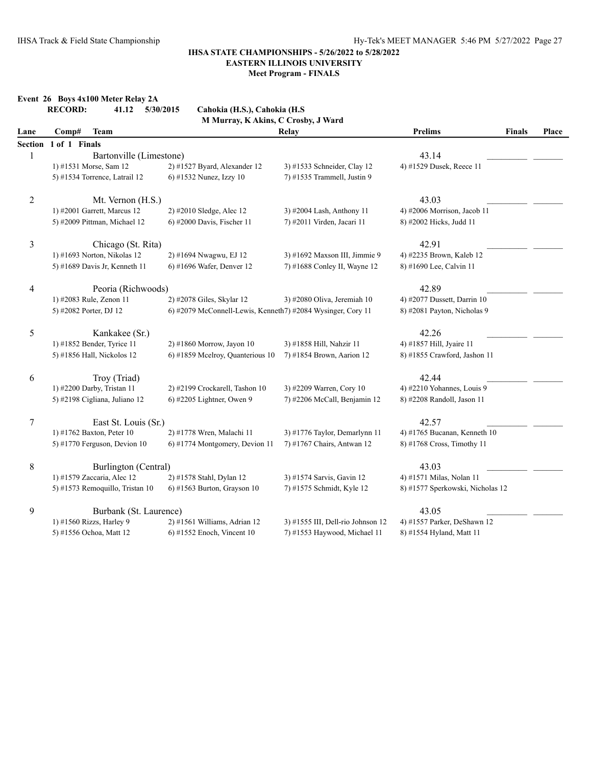|                  | Event 26 Boys 4x100 Meter Relay 2A<br><b>RECORD:</b><br>41.12 | 5/30/2015<br>Cahokia (H.S.), Cahokia (H.S.                  |                                   |                                  |               |       |
|------------------|---------------------------------------------------------------|-------------------------------------------------------------|-----------------------------------|----------------------------------|---------------|-------|
|                  |                                                               | M Murray, K Akins, C Crosby, J Ward                         |                                   |                                  |               |       |
| Lane             | Comp#<br><b>Team</b>                                          |                                                             | Relay                             | <b>Prelims</b>                   | <b>Finals</b> | Place |
| <b>Section</b>   | 1 of 1 Finals                                                 |                                                             |                                   |                                  |               |       |
| 1                | Bartonville (Limestone)                                       |                                                             |                                   | 43.14                            |               |       |
|                  | 1) #1531 Morse, Sam 12                                        | 2) #1527 Byard, Alexander 12                                | 3) #1533 Schneider, Clay 12       | 4) #1529 Dusek, Reece 11         |               |       |
|                  | 5) #1534 Torrence, Latrail 12                                 | 6) #1532 Nunez, Izzy 10                                     | 7) #1535 Trammell, Justin 9       |                                  |               |       |
| $\overline{c}$   | Mt. Vernon (H.S.)                                             |                                                             |                                   | 43.03                            |               |       |
|                  | 1) #2001 Garrett, Marcus 12                                   | 2) #2010 Sledge, Alec 12                                    | 3) #2004 Lash, Anthony 11         | 4) #2006 Morrison, Jacob 11      |               |       |
|                  | 5) #2009 Pittman, Michael 12                                  | $6$ ) #2000 Davis, Fischer 11                               | 7) #2011 Virden, Jacari 11        | 8) #2002 Hicks, Judd 11          |               |       |
| $\mathfrak{Z}$   | Chicago (St. Rita)                                            |                                                             |                                   | 42.91                            |               |       |
|                  | 1) #1693 Norton, Nikolas 12                                   | 2) #1694 Nwagwu, EJ 12                                      | 3) #1692 Maxson III, Jimmie 9     | 4) #2235 Brown, Kaleb 12         |               |       |
|                  | 5) #1689 Davis Jr, Kenneth 11                                 | 6) #1696 Wafer, Denver 12                                   | 7) #1688 Conley II, Wayne 12      | 8) #1690 Lee, Calvin 11          |               |       |
| $\overline{4}$   | Peoria (Richwoods)                                            |                                                             |                                   | 42.89                            |               |       |
|                  | 1) #2083 Rule, Zenon 11                                       | 2) #2078 Giles, Skylar 12                                   | 3) #2080 Oliva, Jeremiah 10       | 4) #2077 Dussett, Darrin 10      |               |       |
|                  | 5) #2082 Porter, DJ 12                                        | 6) #2079 McConnell-Lewis, Kenneth7) #2084 Wysinger, Cory 11 |                                   | 8) #2081 Payton, Nicholas 9      |               |       |
| 5                | Kankakee (Sr.)                                                |                                                             |                                   | 42.26                            |               |       |
|                  | 1) #1852 Bender, Tyrice 11                                    | 2) #1860 Morrow, Jayon 10                                   | 3) #1858 Hill, Nahzir 11          | 4) #1857 Hill, Jyaire 11         |               |       |
|                  | 5) #1856 Hall, Nickolos 12                                    | 6) #1859 Mcelroy, Quanterious 10                            | 7) #1854 Brown, Aarion 12         | 8) #1855 Crawford, Jashon 11     |               |       |
| 6                | Troy (Triad)                                                  |                                                             |                                   | 42.44                            |               |       |
|                  | 1) #2200 Darby, Tristan 11                                    | 2) #2199 Crockarell, Tashon 10                              | 3) #2209 Warren, Cory 10          | 4) #2210 Yohannes, Louis 9       |               |       |
|                  | 5) #2198 Cigliana, Juliano 12                                 | 6) #2205 Lightner, Owen 9                                   | 7) #2206 McCall, Benjamin 12      | 8) #2208 Randoll, Jason 11       |               |       |
| $\boldsymbol{7}$ | East St. Louis (Sr.)                                          |                                                             |                                   | 42.57                            |               |       |
|                  | 1) #1762 Baxton, Peter 10                                     | 2) #1778 Wren, Malachi 11                                   | 3) #1776 Taylor, Demarlynn 11     | 4) #1765 Bucanan, Kenneth 10     |               |       |
|                  | 5) #1770 Ferguson, Devion 10                                  | 6) #1774 Montgomery, Devion 11                              | 7) #1767 Chairs, Antwan 12        | 8) #1768 Cross, Timothy 11       |               |       |
| $8\,$            | Burlington (Central)                                          |                                                             |                                   | 43.03                            |               |       |
|                  | 1) #1579 Zaccaria, Alec 12                                    | 2) #1578 Stahl, Dylan 12                                    | 3) #1574 Sarvis, Gavin 12         | 4) #1571 Milas, Nolan 11         |               |       |
|                  | 5) #1573 Remoquillo, Tristan 10                               | $6$ ) #1563 Burton, Grayson 10                              | 7) #1575 Schmidt, Kyle 12         | 8) #1577 Sperkowski, Nicholas 12 |               |       |
| 9                | Burbank (St. Laurence)                                        |                                                             |                                   | 43.05                            |               |       |
|                  | 1) #1560 Rizzs, Harley 9                                      | 2) #1561 Williams, Adrian 12                                | 3) #1555 III, Dell-rio Johnson 12 | 4) #1557 Parker, DeShawn 12      |               |       |
|                  | 5) #1556 Ochoa, Matt 12                                       | $6$ ) #1552 Enoch, Vincent 10                               | 7) #1553 Haywood, Michael 11      | 8) #1554 Hyland, Matt 11         |               |       |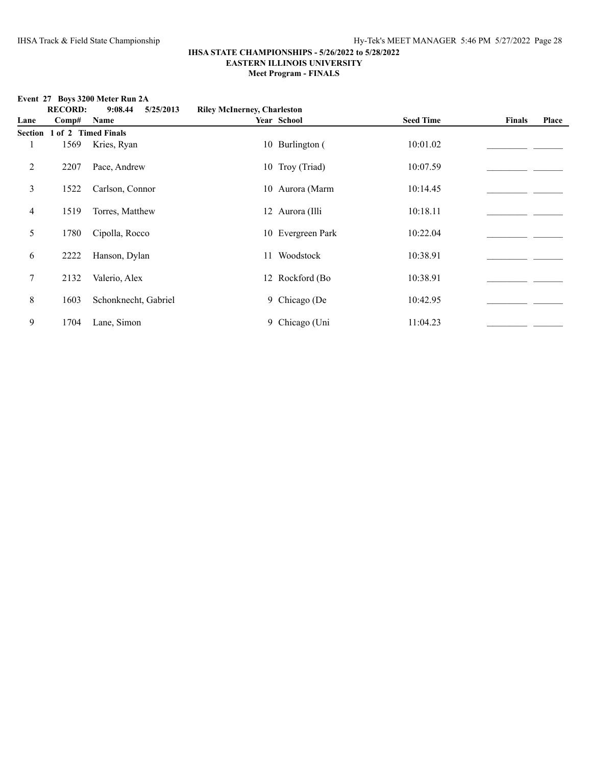# **RECORD: 9:08.44 5/25/2013 Riley McInerney, Charleston Lane Comp# Name Year School Seed Time Finals Place Section 1 of 2 Timed Finals** 1 1569 Kries, Ryan 10 Burlington ( 10:01.02 2 2207 Pace, Andrew 10 Troy (Triad) 10:07.59 \_\_\_\_\_\_\_\_\_\_\_\_\_\_\_\_\_\_\_\_\_\_\_\_\_\_\_\_\_\_\_\_\_\_\_ 3 1522 Carlson, Connor 10 Aurora (Marm 10:14.45 10:14.45 4 1519 Torres, Matthew 12 Aurora (Illi 10:18.11 5 1780 Cipolla, Rocco 10 Evergreen Park 10:22.04 10 22.04 6 2222 Hanson, Dylan 11 Woodstock 10:38.91\_\_\_\_\_\_\_\_\_\_\_\_\_\_\_\_\_\_\_\_\_\_ \_\_\_\_\_\_\_ 7 2132 Valerio, Alex 12 Rockford (Bo 10:38.91 8 1603 Schonknecht, Gabriel 9 Chicago (De 10:42.95 \_\_\_\_\_\_\_\_\_\_\_\_\_\_\_\_\_\_\_\_\_\_ 9 1704 Lane, Simon 9 Chicago (Uni 11:04.23\_\_\_\_\_\_\_\_\_\_\_\_\_\_\_\_\_\_\_\_\_\_ \_\_\_\_\_\_\_

#### **Event 27 Boys 3200 Meter Run 2A**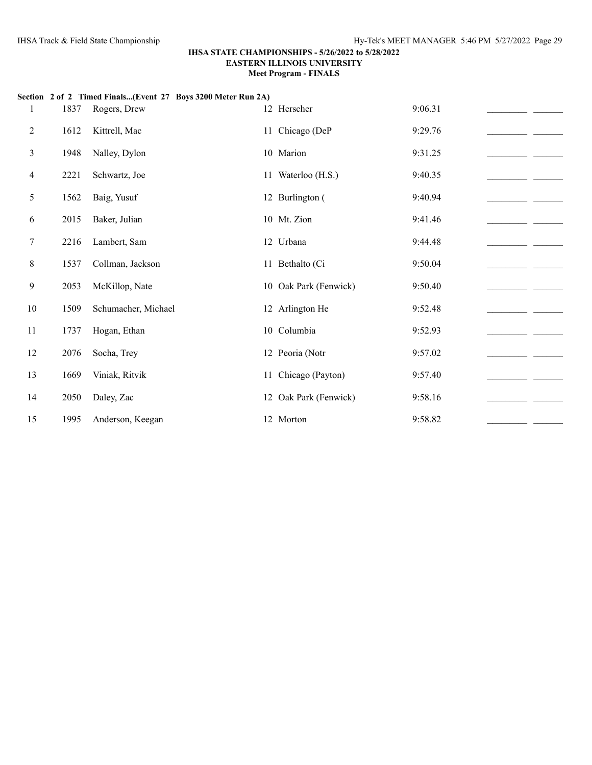|                |      | Section 2 of 2 Timed Finals(Event 27 Boys 3200 Meter Run 2A) |                       |         |  |
|----------------|------|--------------------------------------------------------------|-----------------------|---------|--|
| 1              | 1837 | Rogers, Drew                                                 | 12 Herscher           | 9:06.31 |  |
| 2              | 1612 | Kittrell, Mac                                                | 11 Chicago (DeP       | 9:29.76 |  |
| 3              | 1948 | Nalley, Dylon                                                | 10 Marion             | 9:31.25 |  |
| $\overline{4}$ | 2221 | Schwartz, Joe                                                | 11 Waterloo (H.S.)    | 9:40.35 |  |
| 5              | 1562 | Baig, Yusuf                                                  | 12 Burlington (       | 9:40.94 |  |
| 6              | 2015 | Baker, Julian                                                | 10 Mt. Zion           | 9:41.46 |  |
| 7              | 2216 | Lambert, Sam                                                 | 12 Urbana             | 9:44.48 |  |
| 8              | 1537 | Collman, Jackson                                             | 11 Bethalto (Ci       | 9:50.04 |  |
| 9              | 2053 | McKillop, Nate                                               | 10 Oak Park (Fenwick) | 9:50.40 |  |
| 10             | 1509 | Schumacher, Michael                                          | 12 Arlington He       | 9:52.48 |  |
| 11             | 1737 | Hogan, Ethan                                                 | 10 Columbia           | 9:52.93 |  |
| 12             | 2076 | Socha, Trey                                                  | 12 Peoria (Notr       | 9:57.02 |  |
| 13             | 1669 | Viniak, Ritvik                                               | 11 Chicago (Payton)   | 9:57.40 |  |
| 14             | 2050 | Daley, Zac                                                   | 12 Oak Park (Fenwick) | 9:58.16 |  |
| 15             | 1995 | Anderson, Keegan                                             | 12 Morton             | 9:58.82 |  |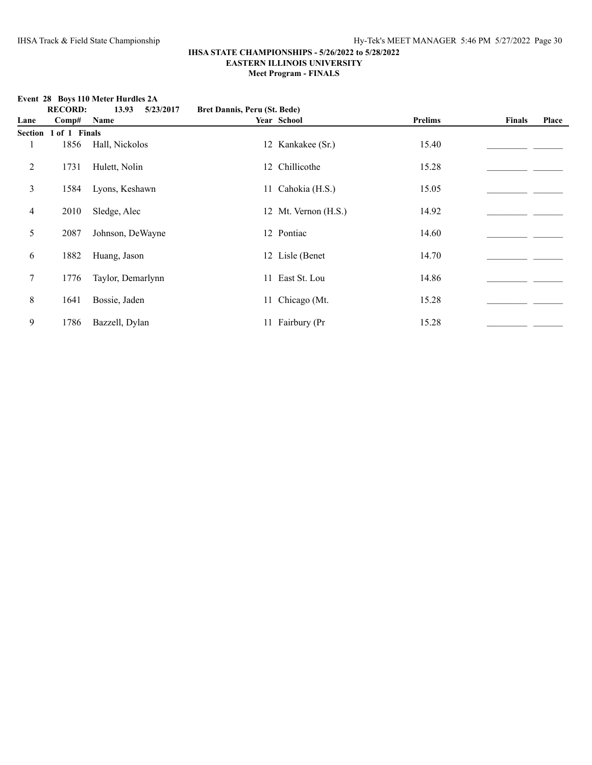**Event 28 Boys 110 Meter Hurdles 2A**<br>**RECORD:** 13.93 5/23/

|                |                | $E$ and $E_0$ boys troubled that this $E_1$ |                              |                      |                |               |       |
|----------------|----------------|---------------------------------------------|------------------------------|----------------------|----------------|---------------|-------|
|                | <b>RECORD:</b> | 13.93<br>5/23/2017                          | Bret Dannis, Peru (St. Bede) |                      |                |               |       |
| Lane           | Comp#          | Name                                        |                              | Year School          | <b>Prelims</b> | <b>Finals</b> | Place |
| <b>Section</b> | 1 of 1 Finals  |                                             |                              |                      |                |               |       |
|                | 1856           | Hall, Nickolos                              |                              | 12 Kankakee (Sr.)    | 15.40          |               |       |
| 2              | 1731           | Hulett, Nolin                               |                              | 12 Chillicothe       | 15.28          |               |       |
| 3              | 1584           | Lyons, Keshawn                              |                              | 11 Cahokia (H.S.)    | 15.05          |               |       |
| 4              | 2010           | Sledge, Alec                                |                              | 12 Mt. Vernon (H.S.) | 14.92          |               |       |
| 5              | 2087           | Johnson, DeWayne                            |                              | 12 Pontiac           | 14.60          |               |       |
| 6              | 1882           | Huang, Jason                                |                              | 12 Lisle (Benet)     | 14.70          |               |       |
| $\tau$         | 1776           | Taylor, Demarlynn                           |                              | 11 East St. Lou      | 14.86          |               |       |
| $8\,$          | 1641           | Bossie, Jaden                               |                              | 11 Chicago (Mt.      | 15.28          |               |       |
| 9              | 1786           | Bazzell, Dylan                              |                              | 11 Fairbury (Pr      | 15.28          |               |       |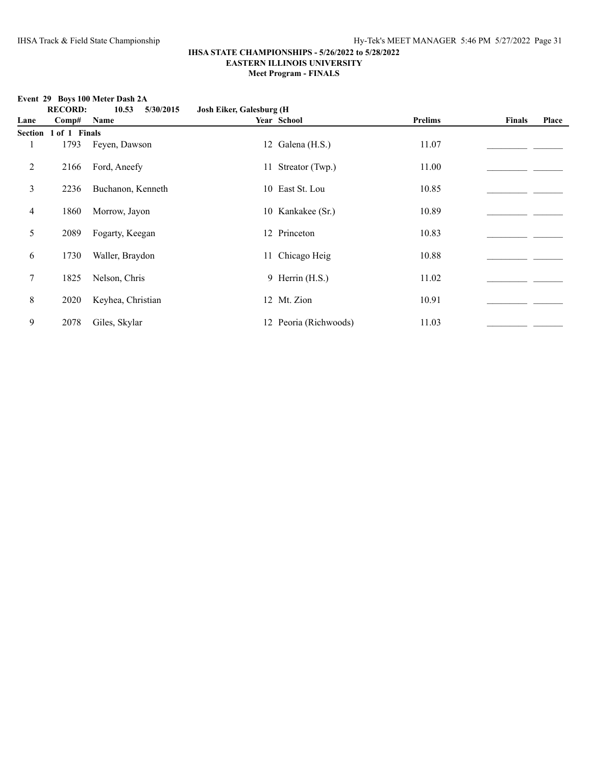## **Event 29 Boys 100 Meter Dash 2A**<br>**RECORD:** 10.53 5/

|                |                | EVENT $27$ DOVS TOO METER DASILE |                                  |                       |         |        |       |
|----------------|----------------|----------------------------------|----------------------------------|-----------------------|---------|--------|-------|
|                | <b>RECORD:</b> | 10.53<br>5/30/2015               | <b>Josh Eiker, Galesburg (H)</b> |                       |         |        |       |
| Lane           | Comp#          | Name                             |                                  | Year School           | Prelims | Finals | Place |
| Section        | 1 of 1 Finals  |                                  |                                  |                       |         |        |       |
|                | 1793           | Feyen, Dawson                    |                                  | 12 Galena (H.S.)      | 11.07   |        |       |
| $\overline{c}$ | 2166           | Ford, Aneefy                     |                                  | 11 Streator (Twp.)    | 11.00   |        |       |
| 3              | 2236           | Buchanon, Kenneth                |                                  | 10 East St. Lou       | 10.85   |        |       |
| $\overline{4}$ | 1860           | Morrow, Jayon                    |                                  | 10 Kankakee (Sr.)     | 10.89   |        |       |
| 5              | 2089           | Fogarty, Keegan                  |                                  | 12 Princeton          | 10.83   |        |       |
| 6              | 1730           | Waller, Braydon                  |                                  | 11 Chicago Heig       | 10.88   |        |       |
| $\tau$         | 1825           | Nelson, Chris                    |                                  | 9 Herrin (H.S.)       | 11.02   |        |       |
| $\,8\,$        | 2020           | Keyhea, Christian                |                                  | 12 Mt. Zion           | 10.91   |        |       |
| 9              | 2078           | Giles, Skylar                    |                                  | 12 Peoria (Richwoods) | 11.03   |        |       |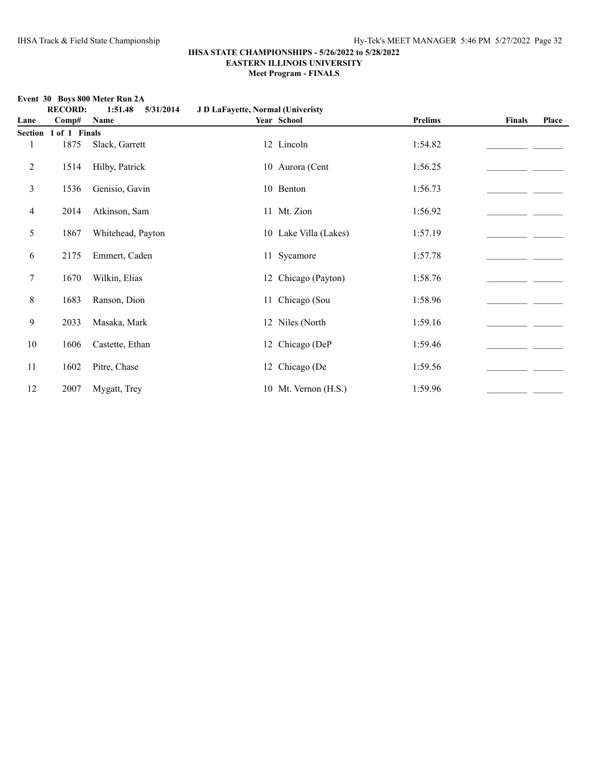**Event 30 Boys 800 Meter Run 2A**

|                | <b>RECORD:</b> | 1:51.48<br>5/31/2014 | J D LaFayette, Normal (Univeristy |                       |                |               |       |
|----------------|----------------|----------------------|-----------------------------------|-----------------------|----------------|---------------|-------|
| Lane           | Comp#          | Name                 |                                   | Year School           | <b>Prelims</b> | <b>Finals</b> | Place |
| Section        | 1 of 1 Finals  |                      |                                   |                       |                |               |       |
|                | 1875           | Slack, Garrett       |                                   | 12 Lincoln            | 1:54.82        |               |       |
| 2              | 1514           | Hilby, Patrick       |                                   | 10 Aurora (Cent       | 1:56.25        |               |       |
| 3              | 1536           | Genisio, Gavin       |                                   | 10 Benton             | 1:56.73        |               |       |
| $\overline{4}$ | 2014           | Atkinson, Sam        |                                   | 11 Mt. Zion           | 1:56.92        |               |       |
| 5              | 1867           | Whitehead, Payton    |                                   | 10 Lake Villa (Lakes) | 1:57.19        |               |       |
| 6              | 2175           | Emmert, Caden        |                                   | 11 Sycamore           | 1:57.78        |               |       |
| 7              | 1670           | Wilkin, Elias        |                                   | 12 Chicago (Payton)   | 1:58.76        |               |       |
| 8              | 1683           | Ranson, Dion         |                                   | 11 Chicago (Sou       | 1:58.96        |               |       |
| 9              | 2033           | Masaka, Mark         |                                   | 12 Niles (North       | 1:59.16        |               |       |
| 10             | 1606           | Castette, Ethan      |                                   | 12 Chicago (DeP       | 1:59.46        |               |       |
| 11             | 1602           | Pitre, Chase         |                                   | 12 Chicago (De        | 1:59.56        |               |       |
| 12             | 2007           | Mygatt, Trey         |                                   | 10 Mt. Vernon (H.S.)  | 1:59.96        |               |       |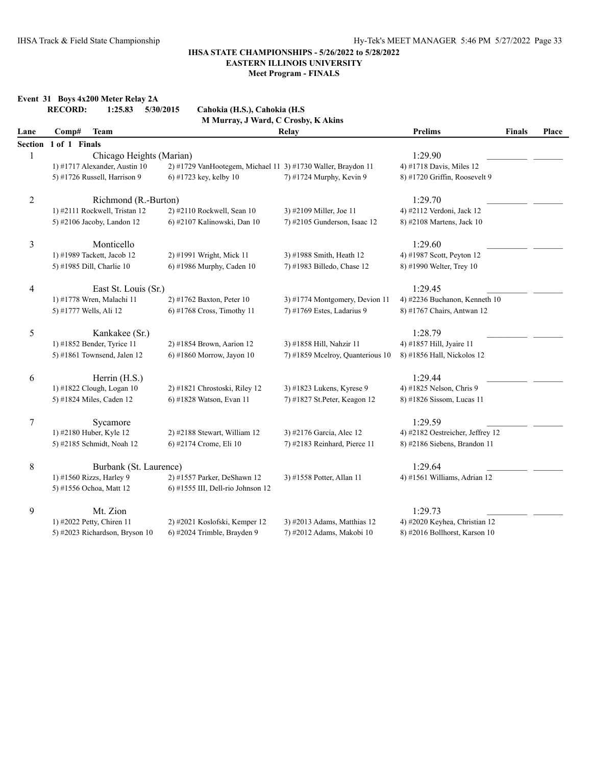#### **Event 31 Boys 4x200 Meter Relay 2A**<br>**RECORD:** 1:25.83 5/30/ **RECORD: 1:25.83 5/30/2015 Cahokia (H.S.), Cahokia (H.S**

|                | <b>KECOKD:</b><br>1:25.85<br>5/30/2015<br>Cahokia (H.S.), Cahokia (H.S<br>M Murray, J Ward, C Crosby, K Akins |                                                              |                                  |                                  |               |       |  |  |  |  |
|----------------|---------------------------------------------------------------------------------------------------------------|--------------------------------------------------------------|----------------------------------|----------------------------------|---------------|-------|--|--|--|--|
| Lane           | Comp#<br><b>Team</b>                                                                                          |                                                              | <b>Relay</b>                     | <b>Prelims</b>                   | <b>Finals</b> | Place |  |  |  |  |
| <b>Section</b> | 1 of 1 Finals                                                                                                 |                                                              |                                  |                                  |               |       |  |  |  |  |
| $\mathbf{1}$   | Chicago Heights (Marian)                                                                                      |                                                              |                                  | 1:29.90                          |               |       |  |  |  |  |
|                | 1) #1717 Alexander, Austin 10                                                                                 | 2) #1729 VanHootegem, Michael 11 3) #1730 Waller, Braydon 11 |                                  | 4) #1718 Davis, Miles 12         |               |       |  |  |  |  |
|                | 5) #1726 Russell, Harrison 9                                                                                  | 6) #1723 key, kelby $10$                                     | 7) #1724 Murphy, Kevin 9         | 8) #1720 Griffin, Roosevelt 9    |               |       |  |  |  |  |
| $\overline{2}$ | Richmond (R.-Burton)                                                                                          |                                                              |                                  | 1:29.70                          |               |       |  |  |  |  |
|                | 1) #2111 Rockwell, Tristan 12                                                                                 | 2) #2110 Rockwell, Sean 10                                   | 3) #2109 Miller, Joe 11          | 4) #2112 Verdoni, Jack 12        |               |       |  |  |  |  |
|                | 5) #2106 Jacoby, Landon 12                                                                                    | 6) #2107 Kalinowski, Dan 10                                  | 7) #2105 Gunderson, Isaac 12     | 8) #2108 Martens, Jack 10        |               |       |  |  |  |  |
| 3              | Monticello                                                                                                    |                                                              |                                  | 1:29.60                          |               |       |  |  |  |  |
|                | 1) #1989 Tackett, Jacob 12                                                                                    | 2) #1991 Wright, Mick 11                                     | 3) #1988 Smith, Heath 12         | 4) #1987 Scott, Peyton 12        |               |       |  |  |  |  |
|                | 5) #1985 Dill, Charlie 10                                                                                     | 6) #1986 Murphy, Caden 10                                    | 7) #1983 Billedo, Chase 12       | 8) #1990 Welter, Trey 10         |               |       |  |  |  |  |
| 4              | East St. Louis (Sr.)                                                                                          |                                                              |                                  | 1:29.45                          |               |       |  |  |  |  |
|                | 1) #1778 Wren, Malachi 11                                                                                     | 2) #1762 Baxton, Peter 10                                    | 3) #1774 Montgomery, Devion 11   | 4) #2236 Buchanon, Kenneth 10    |               |       |  |  |  |  |
|                | 5) #1777 Wells, Ali 12                                                                                        | 6) #1768 Cross, Timothy 11                                   | 7) #1769 Estes, Ladarius 9       | 8) #1767 Chairs, Antwan 12       |               |       |  |  |  |  |
| 5              | Kankakee (Sr.)                                                                                                |                                                              |                                  | 1:28.79                          |               |       |  |  |  |  |
|                | 1) #1852 Bender, Tyrice 11                                                                                    | 2) #1854 Brown, Aarion 12                                    | 3) #1858 Hill, Nahzir 11         | 4) #1857 Hill, Jyaire 11         |               |       |  |  |  |  |
|                | 5) #1861 Townsend, Jalen 12                                                                                   | $6$ ) #1860 Morrow, Jayon 10                                 | 7) #1859 Mcelroy, Quanterious 10 | 8) #1856 Hall, Nickolos 12       |               |       |  |  |  |  |
| 6              | Herrin (H.S.)                                                                                                 |                                                              |                                  | 1:29.44                          |               |       |  |  |  |  |
|                | 1) #1822 Clough, Logan 10                                                                                     | 2) #1821 Chrostoski, Riley 12                                | 3) #1823 Lukens, Kyrese 9        | 4) #1825 Nelson, Chris 9         |               |       |  |  |  |  |
|                | 5) #1824 Miles, Caden 12                                                                                      | 6) #1828 Watson, Evan 11                                     | 7) #1827 St. Peter, Keagon 12    | 8) #1826 Sissom, Lucas 11        |               |       |  |  |  |  |
| 7              | Sycamore                                                                                                      |                                                              |                                  | 1:29.59                          |               |       |  |  |  |  |
|                | 1) #2180 Huber, Kyle 12                                                                                       | 2) #2188 Stewart, William 12                                 | 3) #2176 Garcia, Alec 12         | 4) #2182 Oestreicher, Jeffrey 12 |               |       |  |  |  |  |
|                | 5) #2185 Schmidt, Noah 12                                                                                     | 6) #2174 Crome, Eli 10                                       | 7) #2183 Reinhard, Pierce 11     | 8) #2186 Siebens, Brandon 11     |               |       |  |  |  |  |
| 8              | Burbank (St. Laurence)                                                                                        |                                                              |                                  | 1:29.64                          |               |       |  |  |  |  |
|                | 1) #1560 Rizzs, Harley 9                                                                                      | 2) #1557 Parker, DeShawn 12                                  | 3) #1558 Potter, Allan 11        | 4) #1561 Williams, Adrian 12     |               |       |  |  |  |  |
|                | 5) #1556 Ochoa, Matt 12                                                                                       | 6) #1555 III, Dell-rio Johnson 12                            |                                  |                                  |               |       |  |  |  |  |
| 9              | Mt. Zion                                                                                                      |                                                              |                                  | 1:29.73                          |               |       |  |  |  |  |
|                | 1) #2022 Petty, Chiren 11                                                                                     | 2) #2021 Koslofski, Kemper 12                                | 3) #2013 Adams, Matthias 12      | 4) #2020 Keyhea, Christian 12    |               |       |  |  |  |  |
|                | 5) #2023 Richardson, Bryson 10                                                                                | 6) #2024 Trimble, Brayden 9                                  | 7) #2012 Adams, Makobi 10        | 8) #2016 Bollhorst, Karson 10    |               |       |  |  |  |  |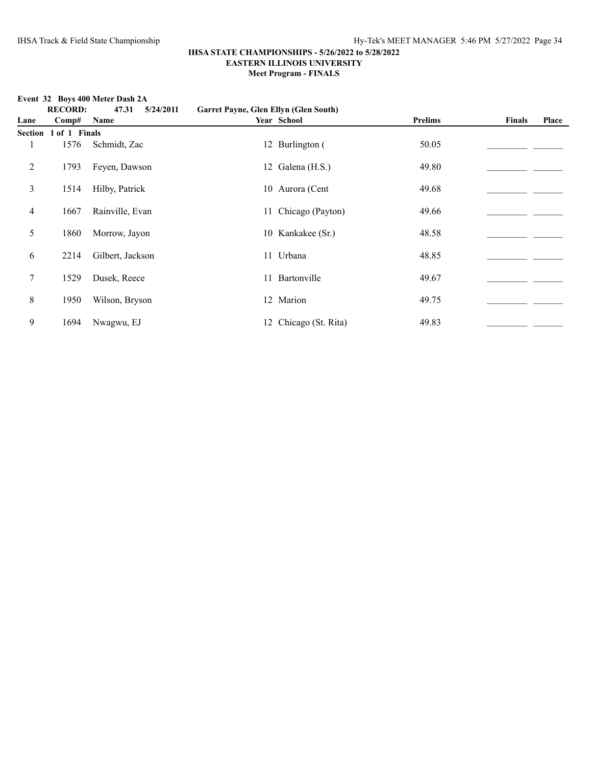**Event 32 Boys 400 Meter Dash 2A**<br>**RECORD:** 47.31 5/2

|      |                       | EVEIL 32 DOYS 400 METER DASILES |                                       |                       |                |               |       |
|------|-----------------------|---------------------------------|---------------------------------------|-----------------------|----------------|---------------|-------|
|      | <b>RECORD:</b>        | 47.31<br>5/24/2011              | Garret Payne, Glen Ellyn (Glen South) |                       |                |               |       |
| Lane | Comp#                 | <b>Name</b>                     |                                       | Year School           | <b>Prelims</b> | <b>Finals</b> | Place |
|      | Section 1 of 1 Finals |                                 |                                       |                       |                |               |       |
|      | 1576                  | Schmidt, Zac                    |                                       | 12 Burlington (       | 50.05          |               |       |
| 2    | 1793                  | Feyen, Dawson                   |                                       | 12 Galena (H.S.)      | 49.80          |               |       |
| 3    | 1514                  | Hilby, Patrick                  |                                       | 10 Aurora (Cent       | 49.68          |               |       |
| 4    | 1667                  | Rainville, Evan                 |                                       | 11 Chicago (Payton)   | 49.66          |               |       |
| 5    | 1860                  | Morrow, Jayon                   |                                       | 10 Kankakee (Sr.)     | 48.58          |               |       |
| 6    | 2214                  | Gilbert, Jackson                |                                       | 11 Urbana             | 48.85          |               |       |
| 7    | 1529                  | Dusek, Reece                    |                                       | 11 Bartonville        | 49.67          |               |       |
| 8    | 1950                  | Wilson, Bryson                  |                                       | 12 Marion             | 49.75          |               |       |
| 9    | 1694                  | Nwagwu, EJ                      |                                       | 12 Chicago (St. Rita) | 49.83          |               |       |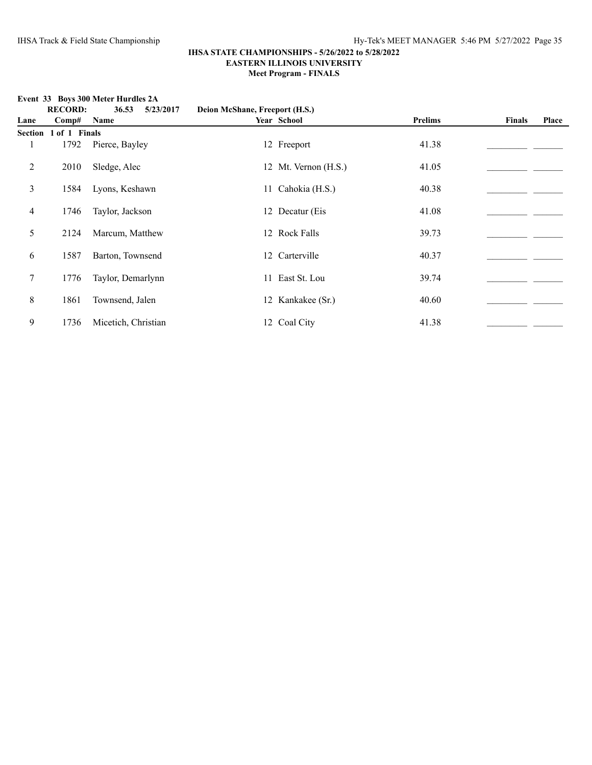**Event 33 Boys 300 Meter Hurdles 2A**<br>**RECORD:** 36.53 5/23/

|                |                | EVENT $33$ DOYS 300 INERET HUI LIES 2A |                                |                      |         |               |       |
|----------------|----------------|----------------------------------------|--------------------------------|----------------------|---------|---------------|-------|
|                | <b>RECORD:</b> | 36.53<br>5/23/2017                     | Deion McShane, Freeport (H.S.) |                      |         |               |       |
| Lane           | Comp#          | <b>Name</b>                            |                                | Year School          | Prelims | <b>Finals</b> | Place |
| <b>Section</b> | 1 of 1 Finals  |                                        |                                |                      |         |               |       |
|                | 1792           | Pierce, Bayley                         |                                | 12 Freeport          | 41.38   |               |       |
| 2              | 2010           | Sledge, Alec                           |                                | 12 Mt. Vernon (H.S.) | 41.05   |               |       |
| 3              | 1584           | Lyons, Keshawn                         |                                | 11 Cahokia (H.S.)    | 40.38   |               |       |
| $\overline{4}$ | 1746           | Taylor, Jackson                        |                                | 12 Decatur (Eis      | 41.08   |               |       |
| 5              | 2124           | Marcum, Matthew                        |                                | 12 Rock Falls        | 39.73   |               |       |
| 6              | 1587           | Barton, Townsend                       |                                | 12 Carterville       | 40.37   |               |       |
| $\tau$         | 1776           | Taylor, Demarlynn                      | 11                             | East St. Lou         | 39.74   |               |       |
| 8              | 1861           | Townsend, Jalen                        |                                | 12 Kankakee (Sr.)    | 40.60   |               |       |
| 9              | 1736           | Micetich, Christian                    |                                | 12 Coal City         | 41.38   |               |       |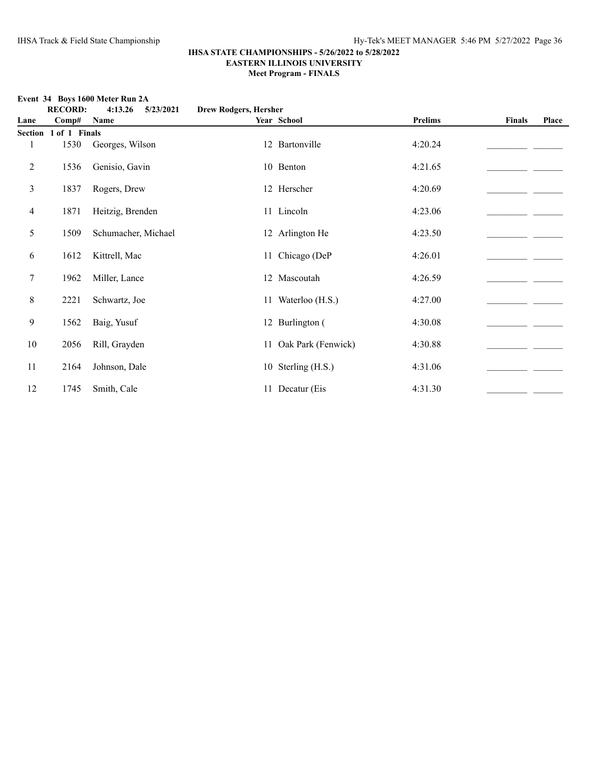# **RECORD: 4:13.26 5/23/2021 Drew Rodgers, Hersher Lane Comp# Name Year School Prelims Finals Place Section 1 of 1 Finals** 1 1530 Georges, Wilson 12 Bartonville 4:20.24 2 1536 Genisio, Gavin 10 Benton 4:21.65\_\_\_\_\_\_\_\_\_\_\_\_\_\_\_\_\_\_\_\_\_\_ \_\_\_\_\_\_\_ 3 1837 Rogers, Drew 12 Herscher 4:20.69\_\_\_\_\_\_\_\_\_\_\_\_\_\_\_\_\_\_\_\_\_\_ \_\_\_\_\_\_\_ 4 1871 Heitzig, Brenden 11 Lincoln 4:23.06 5 1509 Schumacher, Michael 12 Arlington He 4:23.50 1509 Schumacher, Michael 6 1612 Kittrell, Mac 11 Chicago (DeP 4:26.01 \_\_\_\_\_\_\_\_\_\_\_\_\_\_\_\_\_\_ 7 1962 Miller, Lance 12 Mascoutah 4:26.59\_\_\_\_\_\_\_\_\_\_\_\_\_\_\_\_\_\_\_\_\_\_ \_\_\_\_\_\_\_ 8 2221 Schwartz, Joe 11 Waterloo (H.S.) 4:27.00  $\qquad \qquad$ 9 1562 Baig, Yusuf 12 Burlington ( 4:30.08\_\_\_\_\_\_\_\_\_\_\_\_\_\_\_\_\_\_\_\_\_\_ \_\_\_\_\_\_\_ 10 2056 Rill, Grayden 11 Oak Park (Fenwick) 4:30.88 \_\_\_\_\_\_\_\_\_\_\_\_\_\_\_\_\_\_\_\_\_\_\_\_\_\_\_\_ 11 2164 Johnson, Dale 10 Sterling (H.S.) 4:31.06 4:31.06 12 1745 Smith, Cale 11 Decatur (Eis 4:31.30

#### **Event 34 Boys 1600 Meter Run 2A**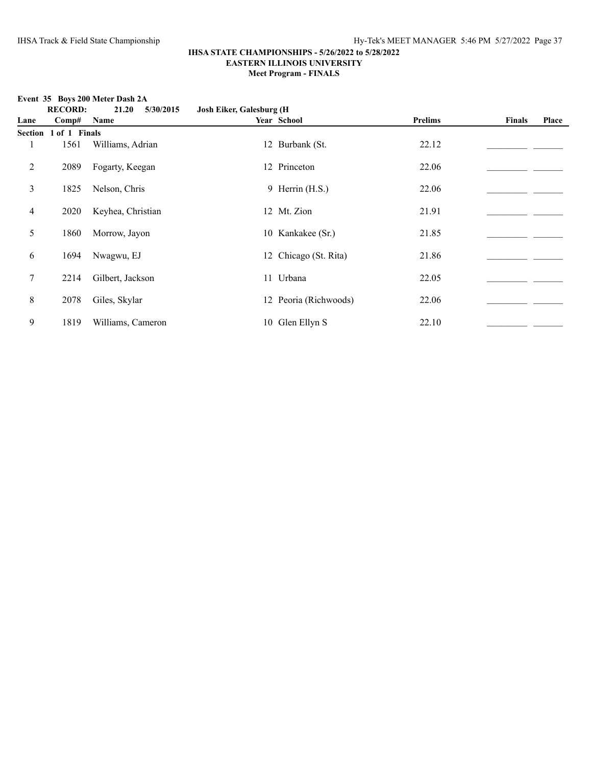**Event 35 Boys 200 Meter Dash 2A**

#### **IHSA STATE CHAMPIONSHIPS - 5/26/2022 to 5/28/2022 EASTERN ILLINOIS UNIVERSITY Meet Program - FINALS**

**RECORD: 21.20 5/30/2015 Josh Eiker, Galesburg (H Lane Comp# Name Year School Prelims Finals Place Section 1 of 1 Finals** 1 1561 Williams, Adrian 12 Burbank (St. 22.12 2 2089 Fogarty, Keegan 12 Princeton 22.06\_\_\_\_\_\_\_\_\_\_\_\_\_\_\_\_\_\_\_\_\_\_ \_\_\_\_\_\_\_ 3 1825 Nelson, Chris 9 Herrin (H.S.) 22.06 22.06 4 2020 Keyhea, Christian 12 Mt. Zion 21.91 5 1860 Morrow, Jayon 10 Kankakee (Sr.) 21.85 \_\_\_\_\_\_\_\_\_\_\_\_\_\_\_\_\_\_\_\_\_\_\_\_\_\_\_\_\_\_\_\_\_\_\_ 6 1694 Nwagwu, EJ 12 Chicago (St. Rita) 21.86 \_\_\_\_\_\_\_\_\_\_\_\_\_\_\_\_\_\_\_\_\_\_\_\_\_\_\_\_\_\_\_\_\_\_ 7 2214 Gilbert, Jackson 11 Urbana 22.05\_\_\_\_\_\_\_\_\_\_\_\_\_\_\_\_\_\_\_\_\_\_ \_\_\_\_\_\_\_ 8 2078 Giles, Skylar 12 Peoria (Richwoods) 22.06 \_\_\_\_\_\_\_\_\_\_\_\_\_\_\_\_\_\_\_\_\_\_\_\_\_\_\_\_\_\_\_ 9 1819 Williams, Cameron 10 Glen Ellyn S 22.10 \_\_\_\_\_\_\_\_\_\_\_\_\_\_\_\_\_\_\_\_\_\_\_\_\_\_\_\_\_\_\_\_\_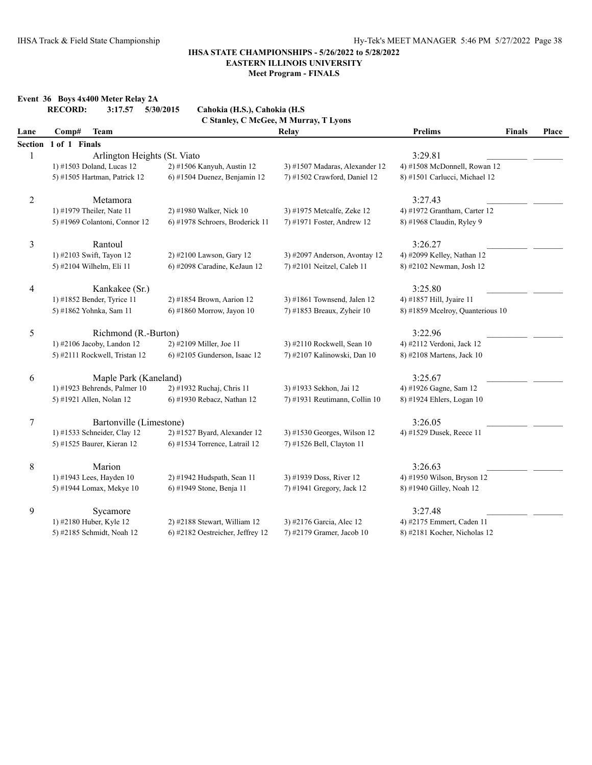## **Event 36 Boys 4x400 Meter Relay 2A**

|                | <b>RECORD:</b><br>3:17.57     | Cahokia (H.S.), Cahokia (H.S.<br>5/30/2015 |                                       |                                  |               |       |
|----------------|-------------------------------|--------------------------------------------|---------------------------------------|----------------------------------|---------------|-------|
|                |                               |                                            | C Stanley, C McGee, M Murray, T Lyons |                                  |               |       |
| Lane           | <b>Team</b><br>Comp#          |                                            | Relay                                 | <b>Prelims</b>                   | <b>Finals</b> | Place |
|                | Section 1 of 1 Finals         |                                            |                                       |                                  |               |       |
| 1              | Arlington Heights (St. Viato  |                                            |                                       | 3:29.81                          |               |       |
|                | 1) #1503 Doland, Lucas 12     | 2) #1506 Kanyuh, Austin 12                 | 3) #1507 Madaras, Alexander 12        | 4) #1508 McDonnell, Rowan 12     |               |       |
|                | 5) #1505 Hartman, Patrick 12  | 6) #1504 Duenez, Benjamin 12               | 7) #1502 Crawford, Daniel 12          | 8) #1501 Carlucci, Michael 12    |               |       |
| $\overline{2}$ | Metamora                      |                                            |                                       | 3:27.43                          |               |       |
|                | 1) #1979 Theiler, Nate 11     | 2) #1980 Walker, Nick 10                   | 3) #1975 Metcalfe, Zeke 12            | 4) #1972 Grantham, Carter 12     |               |       |
|                | 5) #1969 Colantoni, Connor 12 | 6) #1978 Schroers, Broderick 11            | 7) #1971 Foster, Andrew 12            | 8) #1968 Claudin, Ryley 9        |               |       |
| 3              | Rantoul                       |                                            |                                       | 3:26.27                          |               |       |
|                | 1) #2103 Swift, Tayon 12      | 2) #2100 Lawson, Gary 12                   | 3) #2097 Anderson, Avontay 12         | 4) #2099 Kelley, Nathan 12       |               |       |
|                | 5) #2104 Wilhelm, Eli 11      | 6) #2098 Caradine, KeJaun 12               | 7) #2101 Neitzel, Caleb 11            | 8) #2102 Newman, Josh 12         |               |       |
| $\overline{4}$ | Kankakee (Sr.)                |                                            |                                       | 3:25.80                          |               |       |
|                | 1) #1852 Bender, Tyrice 11    | 2) #1854 Brown, Aarion 12                  | 3) #1861 Townsend, Jalen 12           | 4) #1857 Hill, Jyaire 11         |               |       |
|                | 5) #1862 Yohnka, Sam 11       | 6) #1860 Morrow, Jayon 10                  | 7) #1853 Breaux, Zyheir 10            | 8) #1859 Mcelroy, Quanterious 10 |               |       |
| 5              | Richmond (R.-Burton)          |                                            |                                       | 3:22.96                          |               |       |
|                | 1) #2106 Jacoby, Landon 12    | 2) #2109 Miller, Joe 11                    | 3) #2110 Rockwell, Sean 10            | 4) #2112 Verdoni, Jack 12        |               |       |
|                | 5) #2111 Rockwell, Tristan 12 | 6) #2105 Gunderson, Isaac 12               | 7) #2107 Kalinowski, Dan 10           | 8) #2108 Martens, Jack 10        |               |       |
| 6              | Maple Park (Kaneland)         |                                            |                                       | 3:25.67                          |               |       |
|                | 1) #1923 Behrends, Palmer 10  | 2) #1932 Ruchaj, Chris 11                  | 3) #1933 Sekhon, Jai 12               | 4) #1926 Gagne, Sam 12           |               |       |
|                | 5) #1921 Allen, Nolan 12      | 6) #1930 Rebacz, Nathan 12                 | 7) #1931 Reutimann, Collin 10         | 8) #1924 Ehlers, Logan 10        |               |       |
| $\tau$         | Bartonville (Limestone)       |                                            |                                       | 3:26.05                          |               |       |
|                | 1) #1533 Schneider, Clay 12   | 2) #1527 Byard, Alexander 12               | 3) #1530 Georges, Wilson 12           | 4) #1529 Dusek, Reece 11         |               |       |
|                | 5) #1525 Baurer, Kieran 12    | 6) #1534 Torrence, Latrail 12              | 7) #1526 Bell, Clayton 11             |                                  |               |       |
| 8              | Marion                        |                                            |                                       | 3:26.63                          |               |       |
|                | 1) #1943 Lees, Hayden 10      | 2) #1942 Hudspath, Sean 11                 | 3) #1939 Doss, River 12               | 4) #1950 Wilson, Bryson 12       |               |       |
|                | 5) #1944 Lomax, Mekye 10      | 6) #1949 Stone, Benja 11                   | 7) #1941 Gregory, Jack 12             | 8) #1940 Gilley, Noah 12         |               |       |
| 9              | Sycamore                      |                                            |                                       | 3:27.48                          |               |       |
|                | 1) #2180 Huber, Kyle 12       | 2) #2188 Stewart, William 12               | 3) #2176 Garcia, Alec 12              | 4) #2175 Emmert, Caden 11        |               |       |
|                | 5) #2185 Schmidt, Noah 12     | 6) #2182 Oestreicher, Jeffrey 12           | 7) #2179 Gramer, Jacob 10             | 8) #2181 Kocher, Nicholas 12     |               |       |
|                |                               |                                            |                                       |                                  |               |       |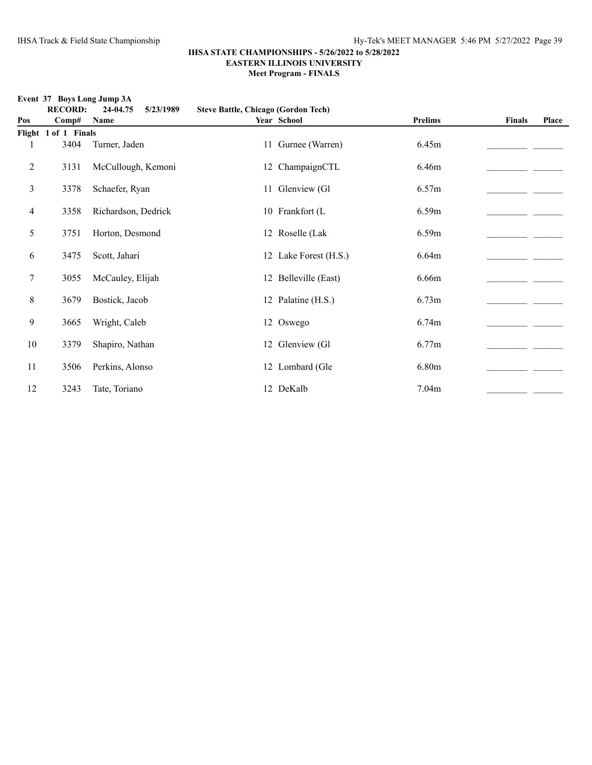**Event 37 Boys Long Jump 3A**

|     | <b>RECORD:</b>       | 24-04.75<br>5/23/1989 | <b>Steve Battle, Chicago (Gordon Tech)</b> |                       |                |               |       |
|-----|----------------------|-----------------------|--------------------------------------------|-----------------------|----------------|---------------|-------|
| Pos | Comp#                | Name                  |                                            | Year School           | <b>Prelims</b> | <b>Finals</b> | Place |
|     | Flight 1 of 1 Finals |                       |                                            |                       |                |               |       |
| 1   | 3404                 | Turner, Jaden         |                                            | 11 Gurnee (Warren)    | 6.45m          |               |       |
| 2   | 3131                 | McCullough, Kemoni    |                                            | 12 ChampaignCTL       | 6.46m          |               |       |
| 3   | 3378                 | Schaefer, Ryan        |                                            | 11 Glenview (Gl       | 6.57m          |               |       |
| 4   | 3358                 | Richardson, Dedrick   |                                            | 10 Frankfort (L       | 6.59m          |               |       |
| 5   | 3751                 | Horton, Desmond       |                                            | 12 Roselle (Lak       | 6.59m          |               |       |
| 6   | 3475                 | Scott, Jahari         |                                            | 12 Lake Forest (H.S.) | 6.64m          |               |       |
| 7   | 3055                 | McCauley, Elijah      |                                            | 12 Belleville (East)  | 6.66m          |               |       |
| 8   | 3679                 | Bostick, Jacob        |                                            | 12 Palatine (H.S.)    | 6.73m          |               |       |
| 9   | 3665                 | Wright, Caleb         |                                            | 12 Oswego             | 6.74m          |               |       |
| 10  | 3379                 | Shapiro, Nathan       |                                            | 12 Glenview (Gl       | 6.77m          |               |       |
| 11  | 3506                 | Perkins, Alonso       |                                            | 12 Lombard (Gle       | 6.80m          |               |       |
| 12  | 3243                 | Tate, Toriano         |                                            | 12 DeKalb             | 7.04m          |               |       |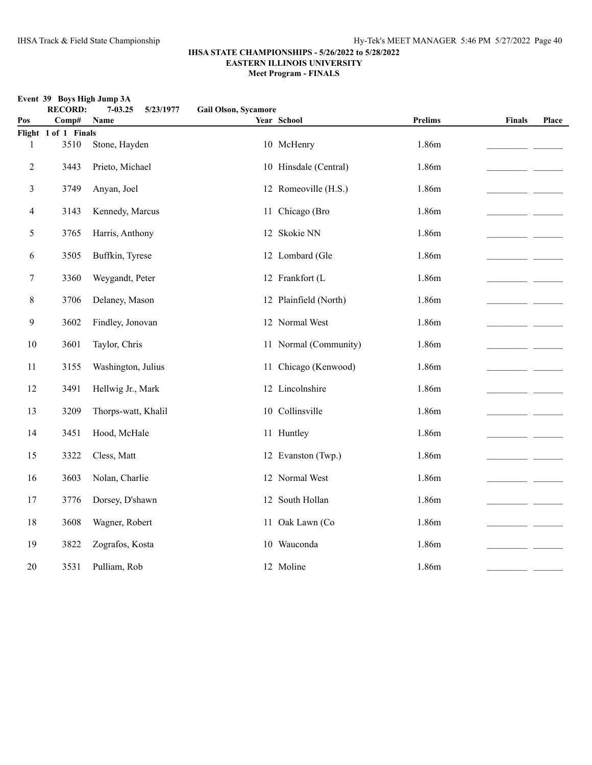**Event 39 Boys High Jump 3A**

| Pos    | <b>RECORD:</b><br>Comp# | $7 - 03.25$<br>5/23/1977<br>Name | <b>Gail Olson, Sycamore</b> | Year School           | <b>Prelims</b> | <b>Finals</b> | Place |
|--------|-------------------------|----------------------------------|-----------------------------|-----------------------|----------------|---------------|-------|
|        | Flight 1 of 1 Finals    |                                  |                             |                       |                |               |       |
| 1      | 3510                    | Stone, Hayden                    |                             | 10 McHenry            | 1.86m          |               |       |
| 2      | 3443                    | Prieto, Michael                  |                             | 10 Hinsdale (Central) | 1.86m          |               |       |
| 3      | 3749                    | Anyan, Joel                      |                             | 12 Romeoville (H.S.)  | 1.86m          |               |       |
| 4      | 3143                    | Kennedy, Marcus                  |                             | 11 Chicago (Bro       | 1.86m          |               |       |
| 5      | 3765                    | Harris, Anthony                  |                             | 12 Skokie NN          | 1.86m          |               |       |
| 6      | 3505                    | Buffkin, Tyrese                  |                             | 12 Lombard (Gle       | 1.86m          |               |       |
| 7      | 3360                    | Weygandt, Peter                  |                             | 12 Frankfort (L       | 1.86m          |               |       |
| 8      | 3706                    | Delaney, Mason                   |                             | 12 Plainfield (North) | 1.86m          |               |       |
| 9      | 3602                    | Findley, Jonovan                 |                             | 12 Normal West        | 1.86m          |               |       |
| $10\,$ | 3601                    | Taylor, Chris                    |                             | 11 Normal (Community) | 1.86m          |               |       |
| 11     | 3155                    | Washington, Julius               |                             | 11 Chicago (Kenwood)  | 1.86m          |               |       |
| 12     | 3491                    | Hellwig Jr., Mark                |                             | 12 Lincolnshire       | 1.86m          |               |       |
| 13     | 3209                    | Thorps-watt, Khalil              |                             | 10 Collinsville       | 1.86m          |               |       |
| 14     | 3451                    | Hood, McHale                     |                             | 11 Huntley            | 1.86m          |               |       |
| 15     | 3322                    | Cless, Matt                      |                             | 12 Evanston (Twp.)    | 1.86m          |               |       |
| 16     | 3603                    | Nolan, Charlie                   |                             | 12 Normal West        | 1.86m          |               |       |
| 17     | 3776                    | Dorsey, D'shawn                  |                             | 12 South Hollan       | 1.86m          |               |       |
| 18     | 3608                    | Wagner, Robert                   |                             | 11 Oak Lawn (Co       | 1.86m          |               |       |
| 19     | 3822                    | Zografos, Kosta                  |                             | 10 Wauconda           | 1.86m          |               |       |
| 20     | 3531                    | Pulliam, Rob                     |                             | 12 Moline             | 1.86m          |               |       |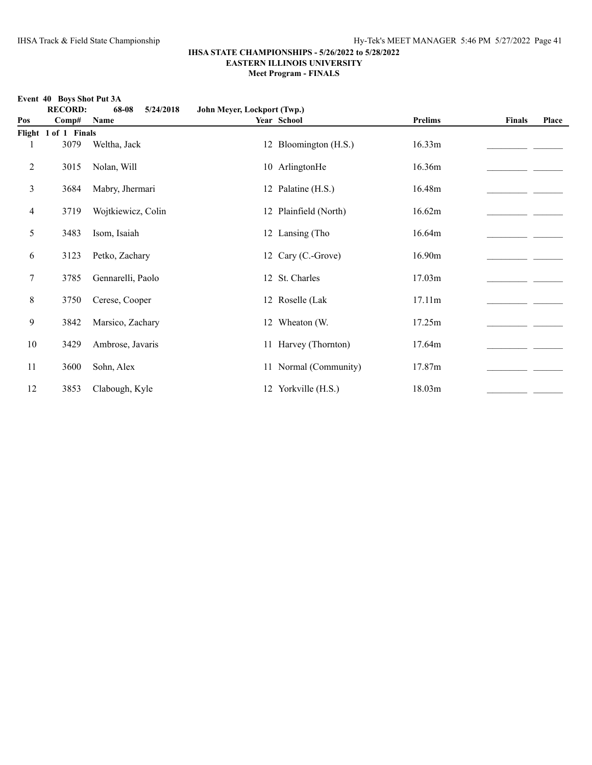**Event 40 Boys Shot Put 3A**

#### **IHSA STATE CHAMPIONSHIPS - 5/26/2022 to 5/28/2022 EASTERN ILLINOIS UNIVERSITY Meet Program - FINALS**

**RECORD: 68-08 5/24/2018 John Meyer, Lockport (Twp.) Pos Comp# Name Year School Prelims Finals Place Flight 1 of 1 Finals** 1 3079 Weltha, Jack 12 Bloomington (H.S.) 16.33m 2 3015 Nolan, Will 10 ArlingtonHe 16.36m 3 3684 Mabry, Jhermari 12 Palatine (H.S.) 16.48m 4 3719 Wojtkiewicz, Colin 12 Plainfield (North) 16.62m 5 3483 Isom, Isaiah 12 Lansing (Tho 16.64m\_\_\_\_\_\_\_\_\_\_\_\_\_\_\_\_\_\_\_\_\_\_ \_\_\_\_\_\_\_ 6 3123 Petko, Zachary 12 Cary (C.-Grove) 16.90m  $\frac{120}{2}$ 7 3785 Gennarelli, Paolo 12 St. Charles 17.03m 8 3750 Cerese, Cooper 12 Roselle (Lak 17.11m\_\_\_\_\_\_\_\_\_\_\_\_\_\_\_\_\_\_\_\_\_\_ \_\_\_\_\_\_\_ 9 3842 Marsico, Zachary 12 Wheaton (W. 17.25m \_\_\_\_\_\_\_\_\_\_\_\_\_\_\_\_ 10 3429 Ambrose, Javaris 11 Harvey (Thornton) 17.64m \_\_\_\_\_\_\_\_\_\_\_\_\_\_\_\_\_\_\_\_ 11 3600 Sohn, Alex 11 Normal (Community) 17.87m \_\_\_\_\_\_\_\_\_\_\_\_\_\_\_ 12 3853 Clabough, Kyle 12 Yorkville (H.S.) 18.03m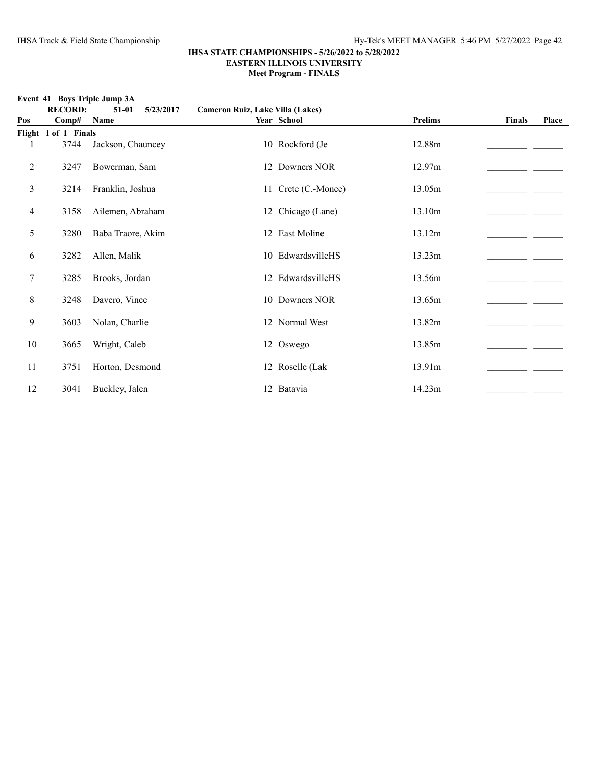**Event 41 Boys Triple Jump 3A**

|        | <b>RECORD:</b>       | $51-01$<br>5/23/2017 | Cameron Ruiz, Lake Villa (Lakes) |                     |         |               |       |
|--------|----------------------|----------------------|----------------------------------|---------------------|---------|---------------|-------|
| Pos    | Comp#                | Name                 |                                  | Year School         | Prelims | <b>Finals</b> | Place |
|        | Flight 1 of 1 Finals |                      |                                  |                     |         |               |       |
|        | 3744                 | Jackson, Chauncey    |                                  | 10 Rockford (Je     | 12.88m  |               |       |
| 2      | 3247                 | Bowerman, Sam        |                                  | 12 Downers NOR      | 12.97m  |               |       |
| 3      | 3214                 | Franklin, Joshua     |                                  | 11 Crete (C.-Monee) | 13.05m  |               |       |
| 4      | 3158                 | Ailemen, Abraham     |                                  | 12 Chicago (Lane)   | 13.10m  |               |       |
| 5      | 3280                 | Baba Traore, Akim    |                                  | 12 East Moline      | 13.12m  |               |       |
| 6      | 3282                 | Allen, Malik         |                                  | 10 EdwardsvilleHS   | 13.23m  |               |       |
| $\tau$ | 3285                 | Brooks, Jordan       |                                  | 12 EdwardsvilleHS   | 13.56m  |               |       |
| 8      | 3248                 | Davero, Vince        |                                  | 10 Downers NOR      | 13.65m  |               |       |
| 9      | 3603                 | Nolan, Charlie       |                                  | 12 Normal West      | 13.82m  |               |       |
| 10     | 3665                 | Wright, Caleb        |                                  | 12 Oswego           | 13.85m  |               |       |
| 11     | 3751                 | Horton, Desmond      |                                  | 12 Roselle (Lak     | 13.91m  |               |       |
| 12     | 3041                 | Buckley, Jalen       |                                  | 12 Batavia          | 14.23m  |               |       |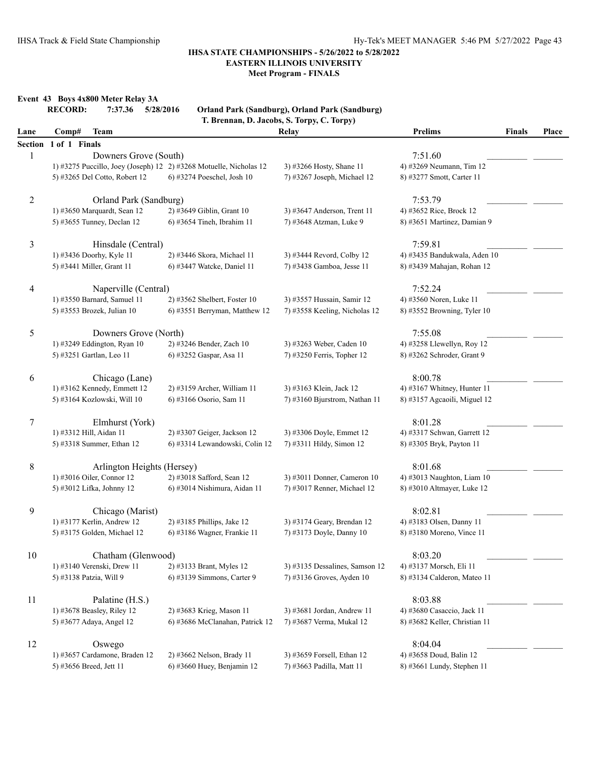**Meet Program - FINALS**

**Event 43 Boys 4x800 Meter Relay 3A**

|                |                       |                                                  |                                                                    | Orland Park (Sandburg), Orland Park (Sandburg)<br>T. Brennan, D. Jacobs, S. Torpy, C. Torpy) |                               |        |       |
|----------------|-----------------------|--------------------------------------------------|--------------------------------------------------------------------|----------------------------------------------------------------------------------------------|-------------------------------|--------|-------|
| Lane           | Comp#                 | <b>Team</b>                                      |                                                                    | <b>Relay</b>                                                                                 | <b>Prelims</b>                | Finals | Place |
|                | Section 1 of 1 Finals |                                                  |                                                                    |                                                                                              |                               |        |       |
| $\mathbf{1}$   |                       | Downers Grove (South)                            |                                                                    |                                                                                              | 7:51.60                       |        |       |
|                |                       |                                                  | 1) #3275 Puccillo, Joey (Joseph) 12 2) #3268 Motuelle, Nicholas 12 | 3) #3266 Hosty, Shane 11                                                                     | 4) #3269 Neumann, Tim 12      |        |       |
|                |                       | 5) #3265 Del Cotto, Robert 12                    | 6) #3274 Poeschel, Josh 10                                         | 7) #3267 Joseph, Michael 12                                                                  | 8) #3277 Smott, Carter 11     |        |       |
| $\overline{2}$ |                       | Orland Park (Sandburg)                           |                                                                    |                                                                                              | 7:53.79                       |        |       |
|                |                       | 1) #3650 Marquardt, Sean 12                      | 2) #3649 Giblin, Grant 10                                          | 3) #3647 Anderson, Trent 11                                                                  | 4) #3652 Rice, Brock 12       |        |       |
|                |                       | 5) #3655 Tunney, Declan 12                       | 6) #3654 Tineh, Ibrahim 11                                         | 7) #3648 Atzman, Luke 9                                                                      | 8) #3651 Martinez, Damian 9   |        |       |
| $\mathfrak{Z}$ |                       | Hinsdale (Central)                               |                                                                    |                                                                                              | 7:59.81                       |        |       |
|                |                       | 1) #3436 Doorhy, Kyle 11                         | 2) #3446 Skora, Michael 11                                         | 3) #3444 Revord, Colby 12                                                                    | 4) #3435 Bandukwala, Aden 10  |        |       |
|                |                       | 5) #3441 Miller, Grant 11                        | 6) #3447 Watcke, Daniel 11                                         | 7) #3438 Gamboa, Jesse 11                                                                    | 8) #3439 Mahajan, Rohan 12    |        |       |
| 4              |                       | Naperville (Central)                             |                                                                    |                                                                                              | 7:52.24                       |        |       |
|                |                       | 1) #3550 Barnard, Samuel 11                      | 2) #3562 Shelbert, Foster 10                                       | 3) #3557 Hussain, Samir 12                                                                   | 4) #3560 Noren, Luke 11       |        |       |
|                |                       | 5) #3553 Brozek, Julian 10                       | 6) #3551 Berryman, Matthew 12                                      | 7) #3558 Keeling, Nicholas 12                                                                | 8) #3552 Browning, Tyler 10   |        |       |
| 5              |                       | Downers Grove (North)                            |                                                                    |                                                                                              | 7:55.08                       |        |       |
|                |                       | 1) #3249 Eddington, Ryan 10                      | 2) #3246 Bender, Zach 10                                           | 3) #3263 Weber, Caden 10                                                                     | 4) #3258 Llewellyn, Roy 12    |        |       |
|                |                       | 5) #3251 Gartlan, Leo 11                         | 6) #3252 Gaspar, Asa 11                                            | 7) #3250 Ferris, Topher 12                                                                   | 8) #3262 Schroder, Grant 9    |        |       |
| 6              |                       | Chicago (Lane)                                   |                                                                    |                                                                                              | 8:00.78                       |        |       |
|                |                       | 1) #3162 Kennedy, Emmett 12                      | 2) #3159 Archer, William 11                                        | 3) #3163 Klein, Jack 12                                                                      | 4) #3167 Whitney, Hunter 11   |        |       |
|                |                       | 5) #3164 Kozlowski, Will 10                      | 6) #3166 Osorio, Sam 11                                            | 7) #3160 Bjurstrom, Nathan 11                                                                | 8) #3157 Agcaoili, Miguel 12  |        |       |
| $\tau$         |                       | Elmhurst (York)                                  |                                                                    |                                                                                              | 8:01.28                       |        |       |
|                |                       | 1) #3312 Hill, Aidan 11                          | 2) #3307 Geiger, Jackson 12                                        | 3) #3306 Doyle, Emmet 12                                                                     | 4) #3317 Schwan, Garrett 12   |        |       |
|                |                       | 5) #3318 Summer, Ethan 12                        | 6) #3314 Lewandowski, Colin 12                                     | 7) #3311 Hildy, Simon 12                                                                     | 8) #3305 Bryk, Payton 11      |        |       |
| 8              |                       | Arlington Heights (Hersey)                       |                                                                    |                                                                                              | 8:01.68                       |        |       |
|                |                       | 1) #3016 Oiler, Connor 12                        | 2) #3018 Safford, Sean 12                                          | 3) #3011 Donner, Cameron 10                                                                  | 4) #3013 Naughton, Liam 10    |        |       |
|                |                       | 5) #3012 Lifka, Johnny 12                        | 6) #3014 Nishimura, Aidan 11                                       | 7) #3017 Renner, Michael 12                                                                  | 8) #3010 Altmayer, Luke 12    |        |       |
| 9              |                       | Chicago (Marist)                                 |                                                                    |                                                                                              | 8:02.81                       |        |       |
|                |                       | 1) #3177 Kerlin, Andrew 12                       | 2) #3185 Phillips, Jake 12                                         | 3) #3174 Geary, Brendan 12                                                                   | 4) #3183 Olsen, Danny 11      |        |       |
|                |                       | 5) #3175 Golden, Michael 12                      | 6) #3186 Wagner, Frankie 11                                        | 7) #3173 Doyle, Danny 10                                                                     | 8) #3180 Moreno, Vince 11     |        |       |
|                |                       |                                                  |                                                                    |                                                                                              | 8:03.20                       |        |       |
| 10             |                       | Chatham (Glenwood)<br>1) #3140 Verenski, Drew 11 |                                                                    |                                                                                              |                               |        |       |
|                |                       |                                                  | 2) #3133 Brant, Myles 12<br>6) #3139 Simmons, Carter 9             | 3) #3135 Dessalines, Samson 12<br>7) #3136 Groves, Ayden 10                                  | 4) #3137 Morsch, Eli 11       |        |       |
|                |                       | 5) #3138 Patzia, Will 9                          |                                                                    |                                                                                              | 8) #3134 Calderon, Mateo 11   |        |       |
| 11             |                       | Palatine (H.S.)                                  |                                                                    |                                                                                              | 8:03.88                       |        |       |
|                |                       | 1) #3678 Beasley, Riley 12                       | 2) #3683 Krieg, Mason 11                                           | 3) #3681 Jordan, Andrew 11                                                                   | 4) #3680 Casaccio, Jack 11    |        |       |
|                |                       | 5) #3677 Adaya, Angel 12                         | 6) #3686 McClanahan, Patrick 12                                    | 7) #3687 Verma, Mukal 12                                                                     | 8) #3682 Keller, Christian 11 |        |       |
| 12             |                       | Oswego                                           |                                                                    |                                                                                              | 8:04.04                       |        |       |
|                |                       | 1) #3657 Cardamone, Braden 12                    | 2) #3662 Nelson, Brady 11                                          | 3) #3659 Forsell, Ethan 12                                                                   | 4) #3658 Doud, Balin 12       |        |       |
|                |                       | 5) #3656 Breed, Jett 11                          | 6) #3660 Huey, Benjamin 12                                         | 7) #3663 Padilla, Matt 11                                                                    | 8) #3661 Lundy, Stephen 11    |        |       |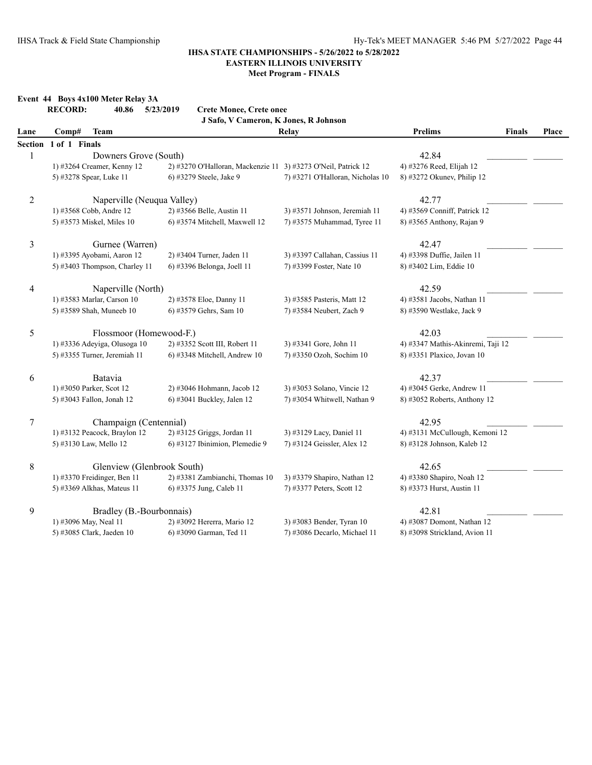|                | Event 44 Boys 4x100 Meter Relay 3A<br><b>RECORD:</b><br>40.86 | 5/23/2019<br><b>Crete Monee, Crete onee</b>                   |                                  |                                   |              |
|----------------|---------------------------------------------------------------|---------------------------------------------------------------|----------------------------------|-----------------------------------|--------------|
|                |                                                               | J Safo, V Cameron, K Jones, R Johnson                         |                                  |                                   |              |
| Lane           | <b>Team</b><br>Comp#                                          |                                                               | Relay                            | <b>Prelims</b><br><b>Finals</b>   | <b>Place</b> |
| Section        | 1 of 1 Finals                                                 |                                                               |                                  |                                   |              |
| 1              | Downers Grove (South)                                         |                                                               |                                  | 42.84                             |              |
|                | 1) #3264 Creamer, Kenny 12                                    | 2) #3270 O'Halloran, Mackenzie 11 3) #3273 O'Neil, Patrick 12 |                                  | 4) #3276 Reed, Elijah 12          |              |
|                | 5) #3278 Spear, Luke 11                                       | 6) #3279 Steele, Jake 9                                       | 7) #3271 O'Halloran, Nicholas 10 | 8) #3272 Okunev, Philip 12        |              |
| $\overline{c}$ | Naperville (Neuqua Valley)                                    |                                                               |                                  | 42.77                             |              |
|                | 1) #3568 Cobb, Andre 12                                       | 2) #3566 Belle, Austin 11                                     | 3) #3571 Johnson, Jeremiah 11    | 4) #3569 Conniff, Patrick 12      |              |
|                | 5) #3573 Miskel, Miles 10                                     | $(6)$ #3574 Mitchell, Maxwell 12                              | 7) #3575 Muhammad, Tyree 11      | 8) #3565 Anthony, Rajan 9         |              |
| 3              | Gurnee (Warren)                                               |                                                               |                                  | 42.47                             |              |
|                | 1) #3395 Ayobami, Aaron 12                                    | 2) #3404 Turner, Jaden 11                                     | 3) #3397 Callahan, Cassius 11    | 4) #3398 Duffie, Jailen 11        |              |
|                | 5) #3403 Thompson, Charley 11                                 | 6) #3396 Belonga, Joell 11                                    | 7) #3399 Foster, Nate 10         | 8) #3402 Lim, Eddie 10            |              |
| $\overline{4}$ | Naperville (North)                                            |                                                               |                                  | 42.59                             |              |
|                | 1) #3583 Marlar, Carson 10                                    | 2) #3578 Eloe, Danny 11                                       | 3) #3585 Pasteris, Matt 12       | 4) #3581 Jacobs, Nathan 11        |              |
|                | 5) #3589 Shah, Muneeb 10                                      | 6) #3579 Gehrs, Sam 10                                        | 7) #3584 Neubert, Zach 9         | 8) #3590 Westlake, Jack 9         |              |
| 5              | Flossmoor (Homewood-F.)                                       |                                                               |                                  | 42.03                             |              |
|                | 1) #3336 Adeyiga, Olusoga 10                                  | 2) #3352 Scott III, Robert 11                                 | 3) #3341 Gore, John 11           | 4) #3347 Mathis-Akinremi, Taji 12 |              |
|                | 5) #3355 Turner, Jeremiah 11                                  | 6) #3348 Mitchell, Andrew 10                                  | 7) #3350 Ozoh, Sochim 10         | 8) #3351 Plaxico, Jovan 10        |              |
| 6              | Batavia                                                       |                                                               |                                  | 42.37                             |              |
|                | 1) #3050 Parker, Scot 12                                      | 2) #3046 Hohmann, Jacob 12                                    | 3) #3053 Solano, Vincie 12       | 4) #3045 Gerke, Andrew 11         |              |
|                | 5) #3043 Fallon, Jonah 12                                     | 6) #3041 Buckley, Jalen 12                                    | 7) #3054 Whitwell, Nathan 9      | 8) #3052 Roberts, Anthony 12      |              |
| 7              | Champaign (Centennial)                                        |                                                               |                                  | 42.95                             |              |
|                | 1) #3132 Peacock, Braylon 12                                  | 2) #3125 Griggs, Jordan 11                                    | 3) #3129 Lacy, Daniel 11         | 4) #3131 McCullough, Kemoni 12    |              |
|                | 5) #3130 Law, Mello 12                                        | 6) #3127 Ibinimion, Plemedie 9                                | 7) #3124 Geissler, Alex 12       | 8) #3128 Johnson, Kaleb 12        |              |
| $\,8\,$        | Glenview (Glenbrook South)                                    |                                                               |                                  | 42.65                             |              |
|                | 1) #3370 Freidinger, Ben 11                                   | 2) #3381 Zambianchi, Thomas 10                                | 3) #3379 Shapiro, Nathan 12      | 4) #3380 Shapiro, Noah 12         |              |
|                | 5) #3369 Alkhas, Mateus 11                                    | 6) #3375 Jung, Caleb 11                                       | 7) #3377 Peters, Scott 12        | 8) #3373 Hurst, Austin 11         |              |
| 9              | Bradley (B.-Bourbonnais)                                      |                                                               |                                  | 42.81                             |              |
|                | 1) #3096 May, Neal 11                                         | 2) #3092 Hererra, Mario 12                                    | 3) #3083 Bender, Tyran 10        | 4) #3087 Domont, Nathan 12        |              |
|                | 5) #3085 Clark, Jaeden 10                                     | 6) #3090 Garman, Ted 11                                       | 7) #3086 Decarlo, Michael 11     | 8) #3098 Strickland, Avion 11     |              |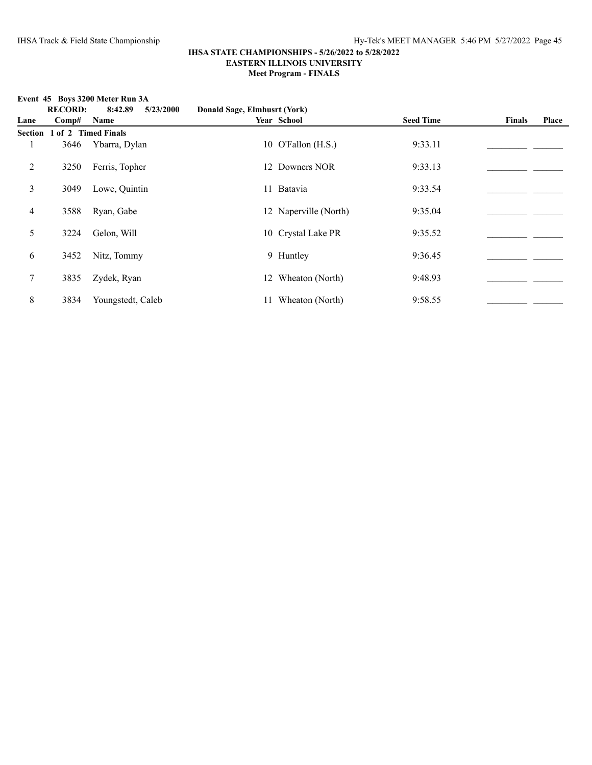**Event 45 Boys 3200 Meter Run 3A**<br>**RECORD:** 8.42.89 5/2

|      |                             | EVENT 45 BOVS 3200 METER RUN SA |                              |                       |                  |        |       |
|------|-----------------------------|---------------------------------|------------------------------|-----------------------|------------------|--------|-------|
|      | <b>RECORD:</b>              | 8:42.89<br>5/23/2000            | Donald Sage, Elmhusrt (York) |                       |                  |        |       |
| Lane | Comp#                       | Name                            |                              | Year School           | <b>Seed Time</b> | Finals | Place |
|      | Section 1 of 2 Timed Finals |                                 |                              |                       |                  |        |       |
|      | 3646                        | Ybarra, Dylan                   |                              | 10 O'Fallon (H.S.)    | 9:33.11          |        |       |
| 2    | 3250                        | Ferris, Topher                  |                              | 12 Downers NOR        | 9:33.13          |        |       |
| 3    | 3049                        | Lowe, Quintin                   |                              | 11 Batavia            | 9:33.54          |        |       |
| 4    | 3588                        | Ryan, Gabe                      |                              | 12 Naperville (North) | 9:35.04          |        |       |
| 5    | 3224                        | Gelon, Will                     |                              | 10 Crystal Lake PR    | 9:35.52          |        |       |
| 6    | 3452                        | Nitz, Tommy                     |                              | 9 Huntley             | 9:36.45          |        |       |
| 7    | 3835                        | Zydek, Ryan                     |                              | 12 Wheaton (North)    | 9:48.93          |        |       |
| 8    | 3834                        | Youngstedt, Caleb               | 11                           | Wheaton (North)       | 9:58.55          |        |       |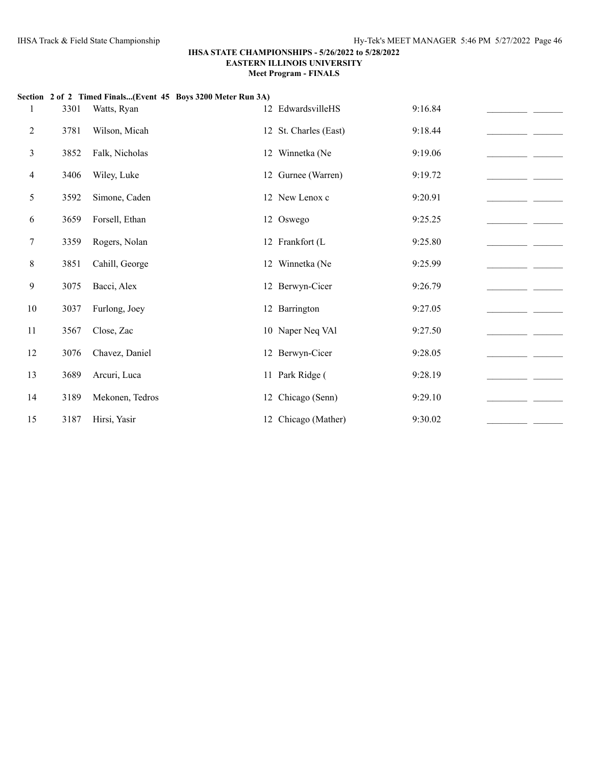| 1      | 3301 | Watts, Ryan     | Section 2 of 2 Timed Finals(Event 45 Boys 3200 Meter Run 3A) | 12 EdwardsvilleHS     | 9:16.84 |  |
|--------|------|-----------------|--------------------------------------------------------------|-----------------------|---------|--|
|        |      |                 |                                                              |                       |         |  |
| 2      | 3781 | Wilson, Micah   |                                                              | 12 St. Charles (East) | 9:18.44 |  |
| 3      | 3852 | Falk, Nicholas  |                                                              | 12 Winnetka (Ne       | 9:19.06 |  |
| 4      | 3406 | Wiley, Luke     |                                                              | 12 Gurnee (Warren)    | 9:19.72 |  |
| 5      | 3592 | Simone, Caden   |                                                              | 12 New Lenox c        | 9:20.91 |  |
| 6      | 3659 | Forsell, Ethan  |                                                              | 12 Oswego             | 9:25.25 |  |
| $\tau$ | 3359 | Rogers, Nolan   |                                                              | 12 Frankfort (L       | 9:25.80 |  |
| 8      | 3851 | Cahill, George  |                                                              | 12 Winnetka (Ne       | 9:25.99 |  |
| 9      | 3075 | Bacci, Alex     |                                                              | 12 Berwyn-Cicer       | 9:26.79 |  |
| 10     | 3037 | Furlong, Joey   |                                                              | 12 Barrington         | 9:27.05 |  |
| 11     | 3567 | Close, Zac      |                                                              | 10 Naper Neq VAl      | 9:27.50 |  |
| 12     | 3076 | Chavez, Daniel  |                                                              | 12 Berwyn-Cicer       | 9:28.05 |  |
| 13     | 3689 | Arcuri, Luca    |                                                              | 11 Park Ridge (       | 9:28.19 |  |
| 14     | 3189 | Mekonen, Tedros |                                                              | 12 Chicago (Senn)     | 9:29.10 |  |
| 15     | 3187 | Hirsi, Yasir    |                                                              | 12 Chicago (Mather)   | 9:30.02 |  |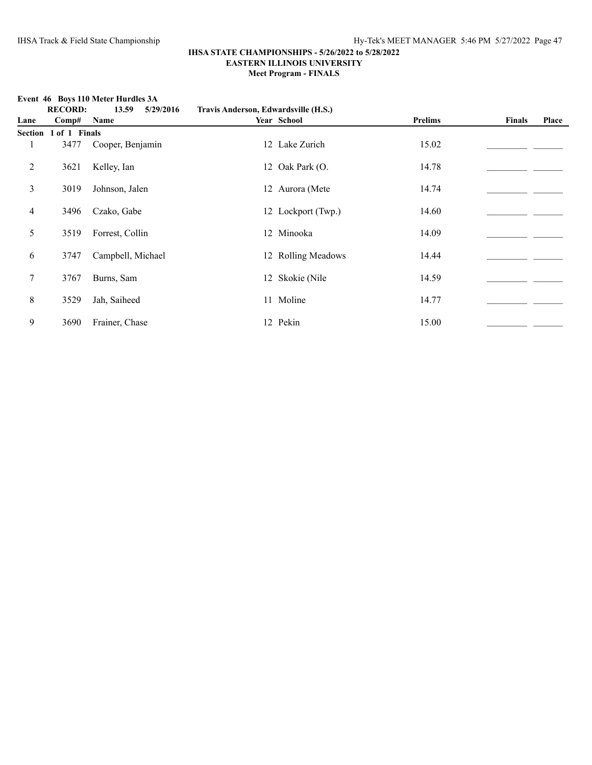**Event 46 Boys 110 Meter Hurdles 3A**<br>**RECORD:** 13.59 5/29/

|      |                       | EVENT 40 DOVS THE INCLUED THE UICS $\partial A$ |                                      |                    |         |               |       |
|------|-----------------------|-------------------------------------------------|--------------------------------------|--------------------|---------|---------------|-------|
|      | <b>RECORD:</b>        | 13.59<br>5/29/2016                              | Travis Anderson, Edwardsville (H.S.) |                    |         |               |       |
| Lane | Comp#                 | Name                                            |                                      | Year School        | Prelims | <b>Finals</b> | Place |
|      | Section 1 of 1 Finals |                                                 |                                      |                    |         |               |       |
|      | 3477                  | Cooper, Benjamin                                |                                      | 12 Lake Zurich     | 15.02   |               |       |
| 2    | 3621                  | Kelley, Ian                                     |                                      | 12 Oak Park (O.    | 14.78   |               |       |
| 3    | 3019                  | Johnson, Jalen                                  |                                      | 12 Aurora (Mete    | 14.74   |               |       |
| 4    | 3496                  | Czako, Gabe                                     |                                      | 12 Lockport (Twp.) | 14.60   |               |       |
| 5    | 3519                  | Forrest, Collin                                 |                                      | 12 Minooka         | 14.09   |               |       |
| 6    | 3747                  | Campbell, Michael                               |                                      | 12 Rolling Meadows | 14.44   |               |       |
| 7    | 3767                  | Burns, Sam                                      |                                      | 12 Skokie (Nile    | 14.59   |               |       |
| 8    | 3529                  | Jah, Saiheed                                    |                                      | 11 Moline          | 14.77   |               |       |
| 9    | 3690                  | Frainer, Chase                                  |                                      | 12 Pekin           | 15.00   |               |       |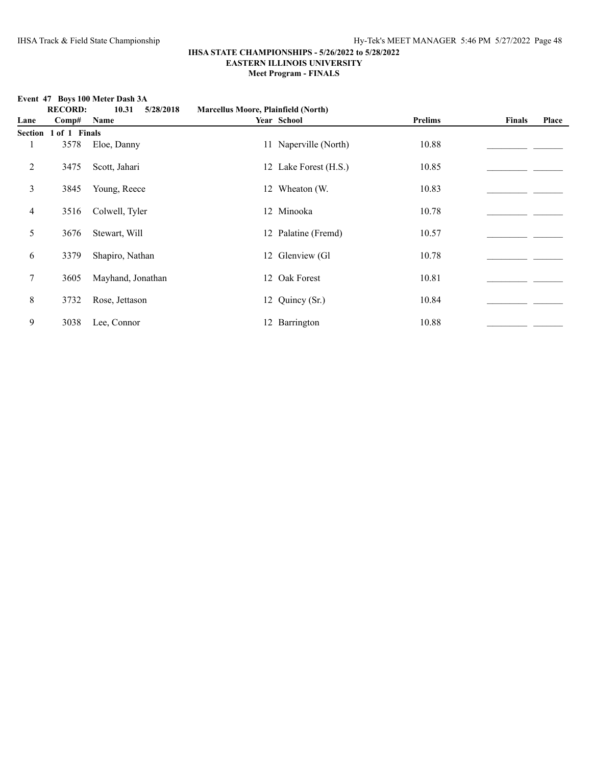|      | <b>RECORD:</b>        | 10.31<br>5/28/2018 | <b>Marcellus Moore, Plainfield (North)</b> |                       |         |        |       |
|------|-----------------------|--------------------|--------------------------------------------|-----------------------|---------|--------|-------|
| Lane | Comp#                 | Name               |                                            | Year School           | Prelims | Finals | Place |
|      | Section 1 of 1 Finals |                    |                                            |                       |         |        |       |
|      | 3578                  | Eloe, Danny        |                                            | 11 Naperville (North) | 10.88   |        |       |
| 2    | 3475                  | Scott, Jahari      |                                            | 12 Lake Forest (H.S.) | 10.85   |        |       |
| 3    | 3845                  | Young, Reece       |                                            | 12 Wheaton (W.        | 10.83   |        |       |
| 4    | 3516                  | Colwell, Tyler     |                                            | 12 Minooka            | 10.78   |        |       |
| 5    | 3676                  | Stewart, Will      |                                            | 12 Palatine (Fremd)   | 10.57   |        |       |
| 6    | 3379                  | Shapiro, Nathan    |                                            | 12 Glenview (Gl       | 10.78   |        |       |
| 7    | 3605                  | Mayhand, Jonathan  |                                            | 12 Oak Forest         | 10.81   |        |       |
| 8    | 3732                  | Rose, Jettason     |                                            | 12 Quincy (Sr.)       | 10.84   |        |       |
| 9    | 3038                  | Lee, Connor        |                                            | 12 Barrington         | 10.88   |        |       |

#### **Event 47 Boys 100 Meter Dash 3A**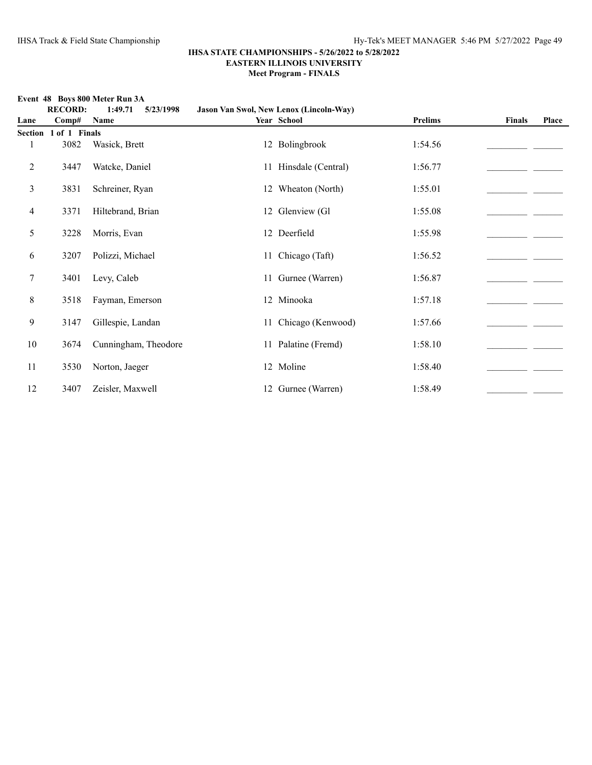**Event 48 Boys 800 Meter Run 3A**

|                | <b>RECORD:</b> | 1:49.71<br>5/23/1998 | Jason Van Swol, New Lenox (Lincoln-Way) |                |               |       |
|----------------|----------------|----------------------|-----------------------------------------|----------------|---------------|-------|
| Lane           | Comp#          | Name                 | Year School                             | <b>Prelims</b> | <b>Finals</b> | Place |
| <b>Section</b> | 1 of 1 Finals  |                      |                                         |                |               |       |
|                | 3082           | Wasick, Brett        | 12 Bolingbrook                          | 1:54.56        |               |       |
| 2              | 3447           | Watcke, Daniel       | 11 Hinsdale (Central)                   | 1:56.77        |               |       |
| 3              | 3831           | Schreiner, Ryan      | 12 Wheaton (North)                      | 1:55.01        |               |       |
| $\overline{4}$ | 3371           | Hiltebrand, Brian    | 12 Glenview (Gl                         | 1:55.08        |               |       |
| 5              | 3228           | Morris, Evan         | 12 Deerfield                            | 1:55.98        |               |       |
| 6              | 3207           | Polizzi, Michael     | 11 Chicago (Taft)                       | 1:56.52        |               |       |
| 7              | 3401           | Levy, Caleb          | 11 Gurnee (Warren)                      | 1:56.87        |               |       |
| 8              | 3518           | Fayman, Emerson      | 12 Minooka                              | 1:57.18        |               |       |
| 9              | 3147           | Gillespie, Landan    | 11 Chicago (Kenwood)                    | 1:57.66        |               |       |
| 10             | 3674           | Cunningham, Theodore | 11 Palatine (Fremd)                     | 1:58.10        |               |       |
| 11             | 3530           | Norton, Jaeger       | 12 Moline                               | 1:58.40        |               |       |
| 12             | 3407           | Zeisler, Maxwell     | 12 Gurnee (Warren)                      | 1:58.49        |               |       |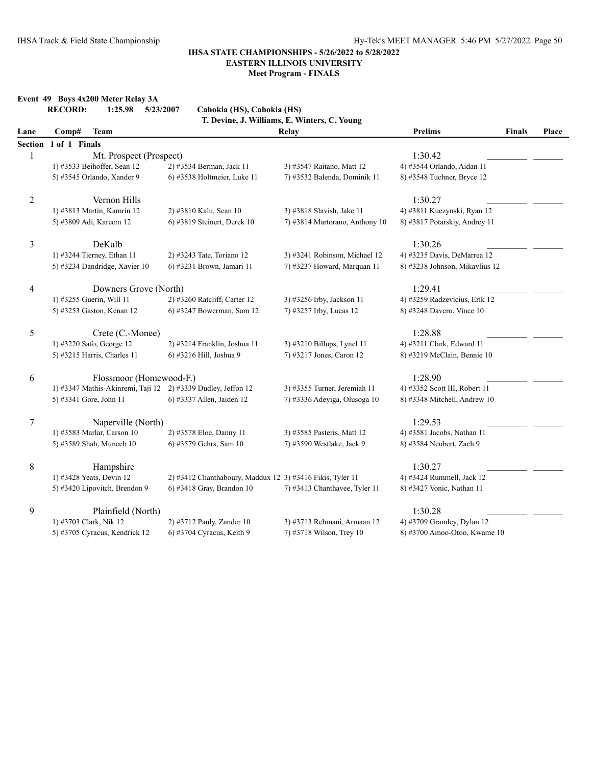**Meet Program - FINALS**

|                | <b>RECORD:</b> | 1:25.98<br>5/23/2007          | Cahokia (HS), Cahokia (HS)                                   | T. Devine, J. Williams, E. Winters, C. Young |                                |               |       |
|----------------|----------------|-------------------------------|--------------------------------------------------------------|----------------------------------------------|--------------------------------|---------------|-------|
| Lane           | Comp#          | <b>Team</b>                   |                                                              | Relay                                        | <b>Prelims</b>                 | <b>Finals</b> | Place |
| Section        | 1 of 1 Finals  |                               |                                                              |                                              |                                |               |       |
| 1              |                | Mt. Prospect (Prospect)       |                                                              |                                              | 1:30.42                        |               |       |
|                |                | 1) #3533 Beihoffer, Sean 12   | 2) #3534 Berman, Jack 11                                     | 3) #3547 Raitano, Matt 12                    | 4) #3544 Orlando, Aidan 11     |               |       |
|                |                | 5) #3545 Orlando, Xander 9    | 6) #3538 Holtmeier, Luke 11                                  | 7) #3532 Balenda, Dominik 11                 | 8) #3548 Tuchner, Bryce 12     |               |       |
| $\overline{c}$ |                | Vernon Hills                  |                                                              |                                              | 1:30.27                        |               |       |
|                |                | 1) #3813 Martin, Kamrin 12    | 2) #3810 Kalu, Sean 10                                       | 3) #3818 Slavish, Jake 11                    | 4) #3811 Kuczynski, Ryan 12    |               |       |
|                |                | 5) #3809 Adi, Kareem 12       | 6) #3819 Steinert, Derek 10                                  | 7) #3814 Martorano, Anthony 10               | 8) #3817 Potarskiy, Andrey 11  |               |       |
| 3              |                | DeKalb                        |                                                              |                                              | 1:30.26                        |               |       |
|                |                | 1) #3244 Tierney, Ethan 11    | 2) #3243 Tate, Toriano 12                                    | 3) #3241 Robinson, Michael 12                | 4) #3235 Davis, DeMarrea 12    |               |       |
|                |                | 5) #3234 Dandridge, Xavier 10 | 6) #3231 Brown, Jamari 11                                    | 7) #3237 Howard, Marquan 11                  | 8) #3238 Johnson, Mikaylius 12 |               |       |
| 4              |                | Downers Grove (North)         |                                                              |                                              | 1:29.41                        |               |       |
|                |                | 1) #3255 Guerin, Will 11      | 2) #3260 Ratcliff, Carter 12                                 | 3) #3256 Irby, Jackson 11                    | 4) #3259 Radzevicius, Erik 12  |               |       |
|                |                | 5) #3253 Gaston, Kenan 12     | 6) #3247 Bowerman, Sam 12                                    | 7) #3257 Irby, Lucas 12                      | 8) #3248 Davero, Vince 10      |               |       |
| 5              |                | Crete (C.-Monee)              |                                                              |                                              | 1:28.88                        |               |       |
|                |                | 1) #3220 Safo, George 12      | 2) #3214 Franklin, Joshua 11                                 | 3) #3210 Billups, Lynel 11                   | 4) #3211 Clark, Edward 11      |               |       |
|                |                | 5) #3215 Harris, Charles 11   | 6) #3216 Hill, Joshua 9                                      | 7) #3217 Jones, Caron 12                     | 8) #3219 McClain, Bennie 10    |               |       |
| 6              |                | Flossmoor (Homewood-F.)       |                                                              |                                              | 1:28.90                        |               |       |
|                |                |                               | 1) #3347 Mathis-Akinremi, Taji 12 2) #3339 Dudley, Jeffon 12 | 3) #3355 Turner, Jeremiah 11                 | 4) #3352 Scott III, Robert 11  |               |       |
|                |                | 5) #3341 Gore, John 11        | 6) #3337 Allen, Jaiden 12                                    | 7) #3336 Adeyiga, Olusoga 10                 | 8) #3348 Mitchell, Andrew 10   |               |       |
| $\tau$         |                | Naperville (North)            |                                                              |                                              | 1:29.53                        |               |       |
|                |                | 1) #3583 Marlar, Carson 10    | 2) #3578 Eloe, Danny 11                                      | 3) #3585 Pasteris, Matt 12                   | 4) #3581 Jacobs, Nathan 11     |               |       |
|                |                | 5) #3589 Shah, Muneeb 10      | 6) #3579 Gehrs, Sam 10                                       | 7) #3590 Westlake, Jack 9                    | 8) #3584 Neubert, Zach 9       |               |       |
| 8              |                | Hampshire                     |                                                              |                                              | 1:30.27                        |               |       |
|                |                | 1) #3428 Yeats, Devin 12      | 2) #3412 Chanthaboury, Maddux 12 3) #3416 Fikis, Tyler 11    |                                              | 4) #3424 Rummell, Jack 12      |               |       |
|                |                | 5) #3420 Lipovitch, Brendon 9 | 6) #3418 Gray, Brandon 10                                    | 7) #3413 Chanthavee, Tyler 11                | 8) #3427 Vonic, Nathan 11      |               |       |
| 9              |                | Plainfield (North)            |                                                              |                                              | 1:30.28                        |               |       |
|                |                | 1) #3703 Clark, Nik 12        | 2) #3712 Pauly, Zander 10                                    | 3) #3713 Rehmani, Armaan 12                  | 4) #3709 Gramley, Dylan 12     |               |       |
|                |                | 5) #3705 Cyracus, Kendrick 12 | 6) #3704 Cyracus, Keith 9                                    | 7) #3718 Wilson, Trey 10                     | 8) #3700 Amoo-Otoo, Kwame 10   |               |       |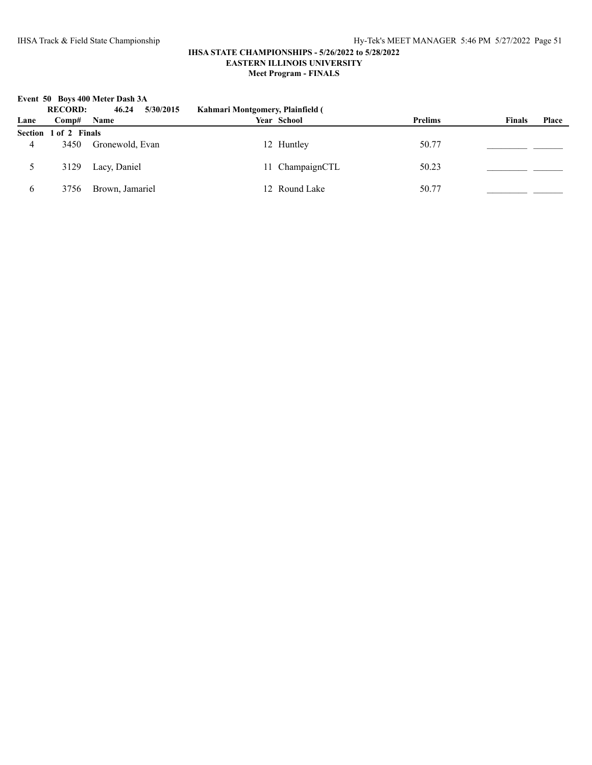**Event 50 Boys 400 Meter Dash 3A**

|      | <b>RECORD:</b>        | 5/30/2015<br>46.24 | Kahmari Montgomery, Plainfield ( |                |                        |
|------|-----------------------|--------------------|----------------------------------|----------------|------------------------|
| Lane | Comp#                 | <b>Name</b>        | Year School                      | <b>Prelims</b> | <b>Finals</b><br>Place |
|      | Section 1 of 2 Finals |                    |                                  |                |                        |
| 4    | 3450                  | Gronewold, Evan    | 12 Huntley                       | 50.77          |                        |
|      | 3129                  | Lacy, Daniel       | 11 ChampaignCTL                  | 50.23          |                        |
| 6    | 3756                  | Brown, Jamariel    | 12 Round Lake                    | 50.77          |                        |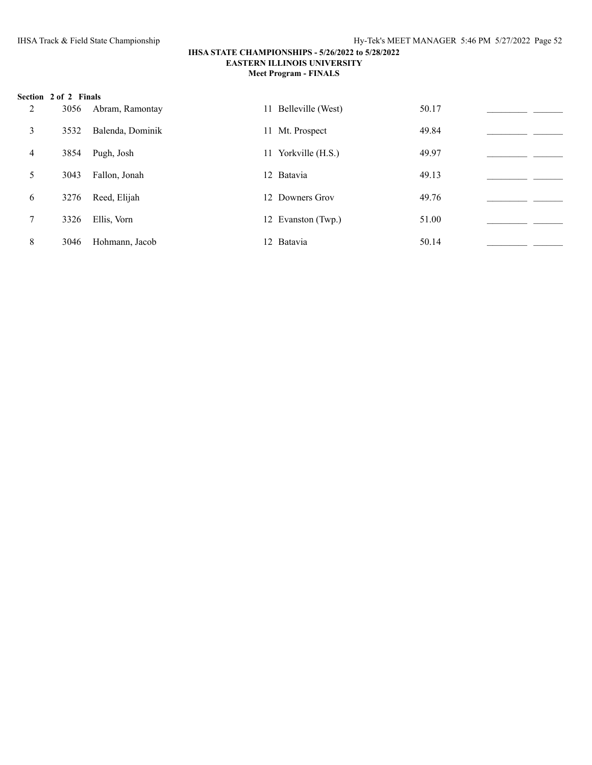|   | Section 2 of 2 Finals |                  |                      |       |  |
|---|-----------------------|------------------|----------------------|-------|--|
| 2 | 3056                  | Abram, Ramontay  | 11 Belleville (West) | 50.17 |  |
| 3 | 3532                  | Balenda, Dominik | 11 Mt. Prospect      | 49.84 |  |
| 4 | 3854                  | Pugh, Josh       | 11 Yorkville (H.S.)  | 49.97 |  |
| 5 | 3043                  | Fallon, Jonah    | 12 Batavia           | 49.13 |  |
| 6 | 3276                  | Reed, Elijah     | 12 Downers Grov      | 49.76 |  |
| 7 | 3326                  | Ellis, Vorn      | 12 Evanston (Twp.)   | 51.00 |  |
| 8 | 3046                  | Hohmann, Jacob   | 12 Batavia           | 50.14 |  |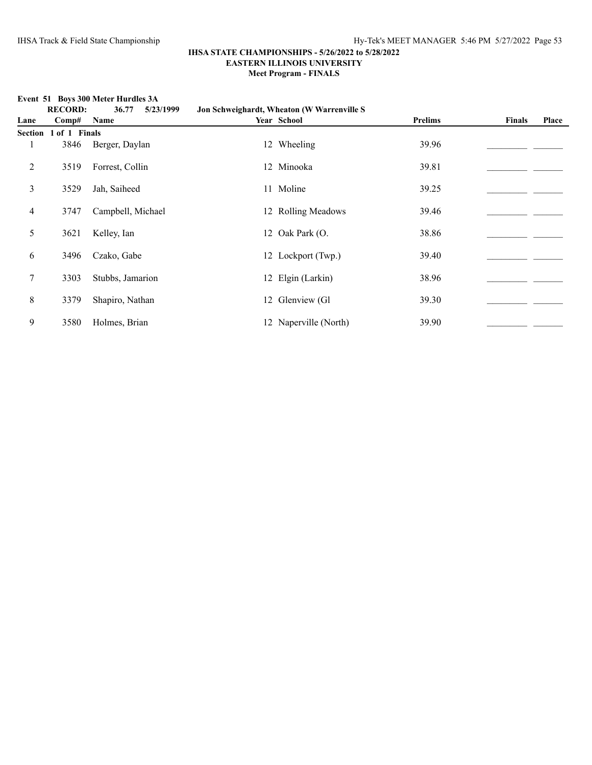**Event 51 Boys 300 Meter Hurdles 3A**

|                | <b>RECORD:</b>        | 36.77<br>5/23/1999 | Jon Schweighardt, Wheaton (W Warrenville S |         |               |              |
|----------------|-----------------------|--------------------|--------------------------------------------|---------|---------------|--------------|
| Lane           | Comp#                 | Name               | Year School                                | Prelims | <b>Finals</b> | <b>Place</b> |
|                | Section 1 of 1 Finals |                    |                                            |         |               |              |
| 1              | 3846                  | Berger, Daylan     | 12 Wheeling                                | 39.96   |               |              |
| $\overline{c}$ | 3519                  | Forrest, Collin    | 12 Minooka                                 | 39.81   |               |              |
| 3              | 3529                  | Jah, Saiheed       | 11 Moline                                  | 39.25   |               |              |
| 4              | 3747                  | Campbell, Michael  | 12 Rolling Meadows                         | 39.46   |               |              |
| 5              | 3621                  | Kelley, Ian        | 12 Oak Park (O.                            | 38.86   |               |              |
| 6              | 3496                  | Czako, Gabe        | 12 Lockport (Twp.)                         | 39.40   |               |              |
| $\tau$         | 3303                  | Stubbs, Jamarion   | 12 Elgin (Larkin)                          | 38.96   |               |              |
| 8              | 3379                  | Shapiro, Nathan    | 12 Glenview (Gl                            | 39.30   |               |              |
| 9              | 3580                  | Holmes, Brian      | 12 Naperville (North)                      | 39.90   |               |              |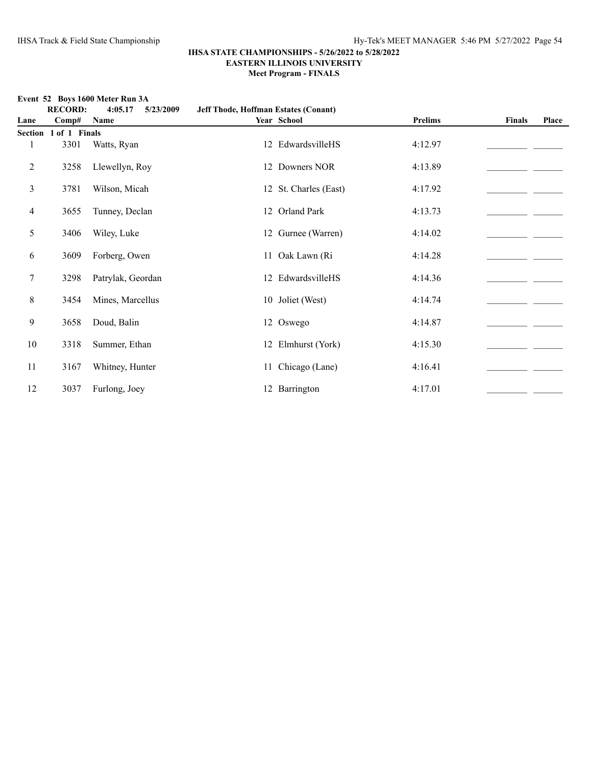**Meet Program - FINALS**

|  | Event 52 Boys 1600 Meter Run 3A |
|--|---------------------------------|
|  |                                 |

|         | <b>RECORD:</b> | 4:05.17<br>5/23/2009 | Jeff Thode, Hoffman Estates (Conant) |                |               |       |  |
|---------|----------------|----------------------|--------------------------------------|----------------|---------------|-------|--|
| Lane    | Comp#          | Name                 | Year School                          | <b>Prelims</b> | <b>Finals</b> | Place |  |
| Section | 1 of 1 Finals  |                      |                                      |                |               |       |  |
| 1       | 3301           | Watts, Ryan          | 12 EdwardsvilleHS                    | 4:12.97        |               |       |  |
| 2       | 3258           | Llewellyn, Roy       | 12 Downers NOR                       | 4:13.89        |               |       |  |
| 3       | 3781           | Wilson, Micah        | 12 St. Charles (East)                | 4:17.92        |               |       |  |
| 4       | 3655           | Tunney, Declan       | 12 Orland Park                       | 4:13.73        |               |       |  |
| 5       | 3406           | Wiley, Luke          | 12 Gurnee (Warren)                   | 4:14.02        |               |       |  |
| 6       | 3609           | Forberg, Owen        | 11 Oak Lawn (Ri                      | 4:14.28        |               |       |  |
| $\tau$  | 3298           | Patrylak, Geordan    | 12 EdwardsvilleHS                    | 4:14.36        |               |       |  |
| $8\,$   | 3454           | Mines, Marcellus     | 10 Joliet (West)                     | 4:14.74        |               |       |  |
| 9       | 3658           | Doud, Balin          | 12 Oswego                            | 4:14.87        |               |       |  |
| 10      | 3318           | Summer, Ethan        | 12 Elmhurst (York)                   | 4:15.30        |               |       |  |
| 11      | 3167           | Whitney, Hunter      | 11 Chicago (Lane)                    | 4:16.41        |               |       |  |
| 12      | 3037           | Furlong, Joey        | 12 Barrington                        | 4:17.01        |               |       |  |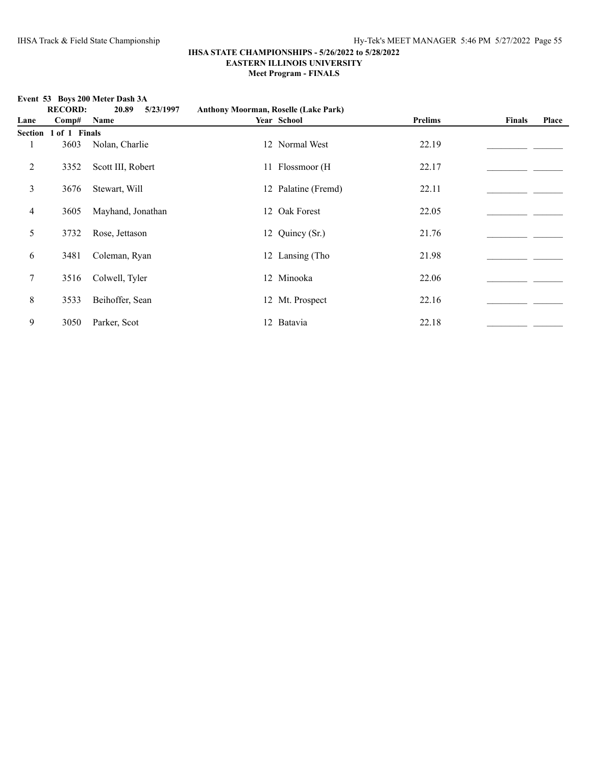**Meet Program - FINALS**

**RECORD: 20.89 5/23/1997 Anthony Moorman, Roselle (Lake Park) Lane Comp# Name Year School Prelims Finals Place Section 1 of 1 Finals** 1 3603 Nolan, Charlie 12 Normal West 22.19 2 3352 Scott III, Robert 11 Flossmoor (H 22.17 22.17 22.17 3 3676 Stewart, Will 12 Palatine (Fremd) 22.11 2012 22.11 4 3605 Mayhand, Jonathan 12 Oak Forest 22.05 5 3732 Rose, Jettason 12 Quincy (Sr.) 21.76\_\_\_\_\_\_\_\_\_\_\_\_\_\_\_\_\_\_\_\_\_\_ \_\_\_\_\_\_\_ 6 3481 Coleman, Ryan 12 Lansing (Tho 21.98  $\qquad \qquad$ 7 3516 Colwell, Tyler 12 Minooka 22.06\_\_\_\_\_\_\_\_\_\_\_\_\_\_\_\_\_\_\_\_\_\_ \_\_\_\_\_\_\_ 8 3533 Beihoffer, Sean 12 Mt. Prospect 22.16 \_\_\_\_\_\_\_\_\_\_\_\_\_\_\_\_\_\_\_\_\_\_\_\_\_\_\_\_\_\_\_\_\_\_\_ 9 3050 Parker, Scot 12 Batavia 22.18\_\_\_\_\_\_\_\_\_\_\_\_\_\_\_\_\_\_\_\_\_\_ \_\_\_\_\_\_\_

#### **Event 53 Boys 200 Meter Dash 3A**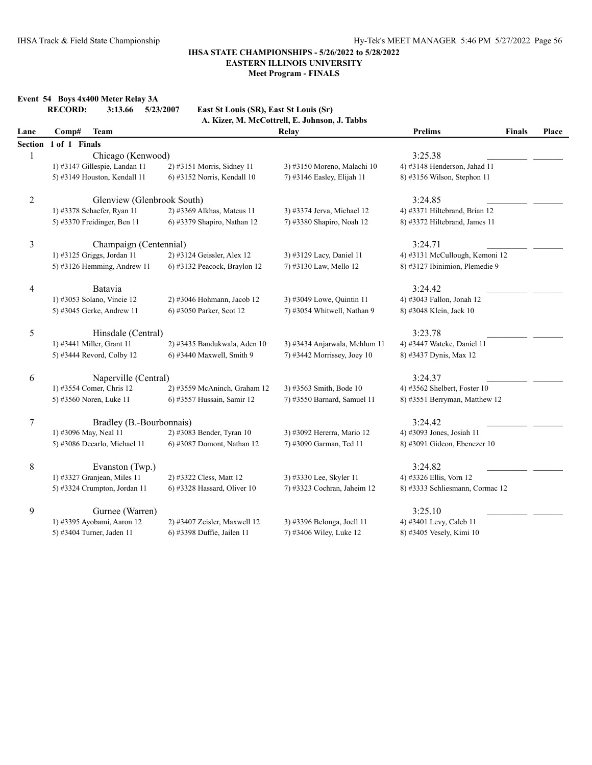**Meet Program - FINALS**

**Event 54 Boys 4x400 Meter Relay 3A**<br>**RECORD:** 3:13.66 5/23

**RECORD: 3:13.66 5/23/2007 East St Louis (SR), East St Louis (Sr)**

|         |                               |                              | A. Kizer, M. McCottrell, E. Johnson, J. Tabbs |                                 |               |       |
|---------|-------------------------------|------------------------------|-----------------------------------------------|---------------------------------|---------------|-------|
| Lane    | <b>Team</b><br>Comp#          |                              | Relay                                         | <b>Prelims</b>                  | <b>Finals</b> | Place |
| Section | 1 of 1 Finals                 |                              |                                               |                                 |               |       |
| 1       | Chicago (Kenwood)             |                              |                                               | 3:25.38                         |               |       |
|         | 1) #3147 Gillespie, Landan 11 | 2) #3151 Morris, Sidney 11   | 3) #3150 Moreno, Malachi 10                   | 4) #3148 Henderson, Jahad 11    |               |       |
|         | 5) #3149 Houston, Kendall 11  | 6) #3152 Norris, Kendall 10  | 7) #3146 Easley, Elijah 11                    | 8) #3156 Wilson, Stephon 11     |               |       |
| 2       | Glenview (Glenbrook South)    |                              |                                               | 3:24.85                         |               |       |
|         | 1) #3378 Schaefer, Ryan 11    | 2) #3369 Alkhas, Mateus 11   | 3) #3374 Jerva, Michael 12                    | 4) #3371 Hiltebrand, Brian 12   |               |       |
|         | 5) #3370 Freidinger, Ben 11   | 6) #3379 Shapiro, Nathan 12  | 7) #3380 Shapiro, Noah 12                     | 8) #3372 Hiltebrand, James 11   |               |       |
| 3       | Champaign (Centennial)        |                              |                                               | 3:24.71                         |               |       |
|         | 1) #3125 Griggs, Jordan 11    | 2) #3124 Geissler, Alex 12   | 3) #3129 Lacy, Daniel 11                      | 4) #3131 McCullough, Kemoni 12  |               |       |
|         | 5) #3126 Hemming, Andrew 11   | 6) #3132 Peacock, Braylon 12 | 7) #3130 Law, Mello 12                        | 8) #3127 Ibinimion, Plemedie 9  |               |       |
| 4       | Batavia                       |                              |                                               | 3:24.42                         |               |       |
|         | 1) #3053 Solano, Vincie 12    | 2) #3046 Hohmann, Jacob 12   | 3) #3049 Lowe, Quintin 11                     | 4) #3043 Fallon, Jonah 12       |               |       |
|         | 5) #3045 Gerke, Andrew 11     | 6) #3050 Parker, Scot 12     | 7) #3054 Whitwell, Nathan 9                   | 8) #3048 Klein, Jack 10         |               |       |
| 5       | Hinsdale (Central)            |                              |                                               | 3:23.78                         |               |       |
|         | 1) #3441 Miller, Grant 11     | 2) #3435 Bandukwala, Aden 10 | 3) #3434 Anjarwala, Mehlum 11                 | 4) #3447 Watcke, Daniel 11      |               |       |
|         | 5) #3444 Revord, Colby 12     | 6) #3440 Maxwell, Smith 9    | 7) #3442 Morrissey, Joey 10                   | 8) #3437 Dynis, Max 12          |               |       |
| 6       | Naperville (Central)          |                              |                                               | 3:24.37                         |               |       |
|         | 1) #3554 Comer, Chris 12      | 2) #3559 McAninch, Graham 12 | 3) #3563 Smith, Bode 10                       | 4) #3562 Shelbert, Foster 10    |               |       |
|         | 5) #3560 Noren, Luke 11       | 6) #3557 Hussain, Samir 12   | 7) #3550 Barnard, Samuel 11                   | 8) #3551 Berryman, Matthew 12   |               |       |
| $\tau$  | Bradley (B.-Bourbonnais)      |                              |                                               | 3:24.42                         |               |       |
|         | 1) #3096 May, Neal 11         | 2) #3083 Bender, Tyran 10    | 3) #3092 Hererra, Mario 12                    | 4) #3093 Jones, Josiah 11       |               |       |
|         | 5) #3086 Decarlo, Michael 11  | 6) #3087 Domont, Nathan 12   | 7) #3090 Garman, Ted 11                       | 8) #3091 Gideon, Ebenezer 10    |               |       |
| 8       | Evanston (Twp.)               |                              |                                               | 3:24.82                         |               |       |
|         | 1) #3327 Granjean, Miles 11   | 2) #3322 Cless, Matt 12      | 3) #3330 Lee, Skyler 11                       | 4) #3326 Ellis, Vorn 12         |               |       |
|         | 5) #3324 Crumpton, Jordan 11  | 6) #3328 Hassard, Oliver 10  | 7) #3323 Cochran, Jaheim 12                   | 8) #3333 Schliesmann, Cormac 12 |               |       |
| 9       | Gurnee (Warren)               |                              |                                               | 3:25.10                         |               |       |
|         | 1) #3395 Ayobami, Aaron 12    | 2) #3407 Zeisler, Maxwell 12 | 3) #3396 Belonga, Joell 11                    | 4) #3401 Levy, Caleb 11         |               |       |
|         | 5) #3404 Turner, Jaden 11     | 6) #3398 Duffie, Jailen 11   | 7) #3406 Wiley, Luke 12                       | 8) #3405 Vesely, Kimi 10        |               |       |
|         |                               |                              |                                               |                                 |               |       |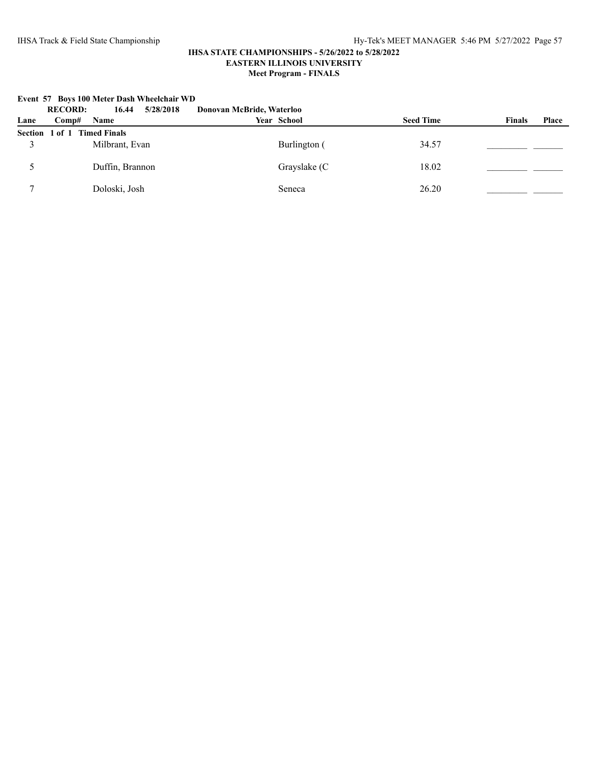|      | <b>RECORD:</b><br>5/28/2018<br>16.44 | Donovan McBride, Waterloo |                  |                               |
|------|--------------------------------------|---------------------------|------------------|-------------------------------|
| Lane | <b>Name</b><br>Comp#                 | Year School               | <b>Seed Time</b> | <b>Finals</b><br><b>Place</b> |
|      | Section 1 of 1 Timed Finals          |                           |                  |                               |
|      | Milbrant, Evan                       | Burlington (              | 34.57            |                               |
|      | Duffin, Brannon                      | Grayslake (C              | 18.02            |                               |
|      | Doloski, Josh                        | Seneca                    | 26.20            |                               |

#### **Event 57 Boys 100 Meter Dash Wheelchair WD**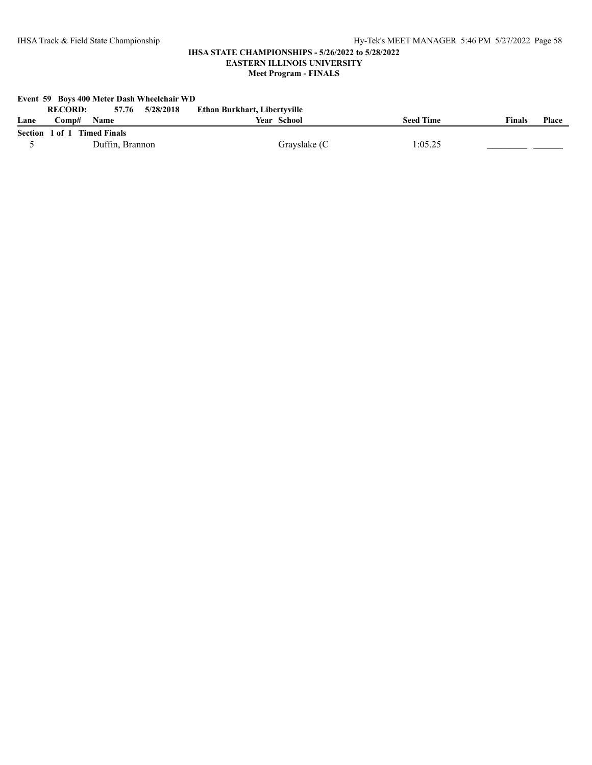**Meet Program - FINALS**

| Event 59 Boys 400 Meter Dash Wheelchair WD |                                   |                              |                  |                               |  |  |  |  |
|--------------------------------------------|-----------------------------------|------------------------------|------------------|-------------------------------|--|--|--|--|
|                                            | 57.76 5/28/2018<br><b>RECORD:</b> | Ethan Burkhart, Libertyville |                  |                               |  |  |  |  |
| Lane                                       | √omp#<br><b>Name</b>              | Year School                  | <b>Seed Time</b> | <b>Finals</b><br><b>Place</b> |  |  |  |  |
|                                            | Section 1 of 1 Timed Finals       |                              |                  |                               |  |  |  |  |
|                                            | Duffin, Brannon                   | Grayslake (C                 | 1:05.25          |                               |  |  |  |  |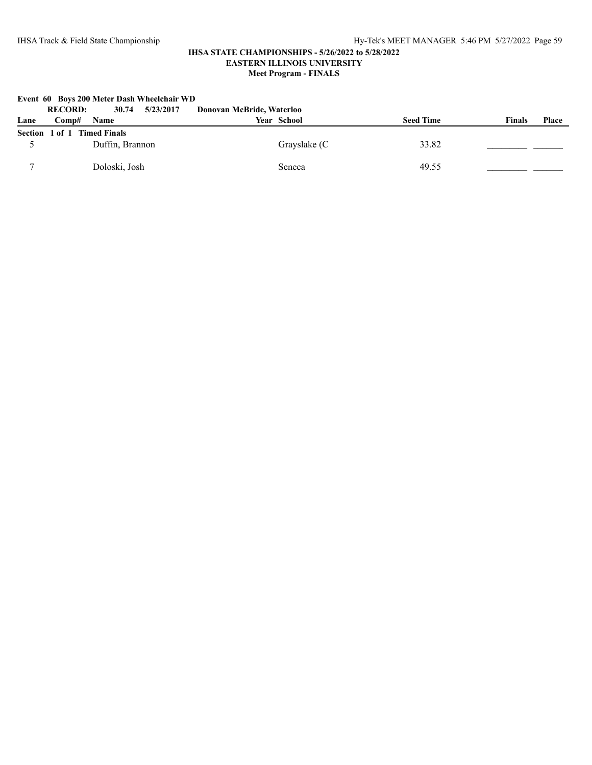|      | <b>RECORD:</b><br>5/23/2017<br>30.74 | Donovan McBride, Waterloo |                  |                 |
|------|--------------------------------------|---------------------------|------------------|-----------------|
| Lane | <b>Name</b><br>Comp#                 | Year School               | <b>Seed Time</b> | Place<br>Finals |
|      | Section 1 of 1 Timed Finals          |                           |                  |                 |
|      | Duffin, Brannon                      | Grayslake (C              | 33.82            |                 |
|      | Doloski, Josh                        | Seneca                    | 49.55            |                 |

**Event 60 Boys 200 Meter Dash Wheelchair WD**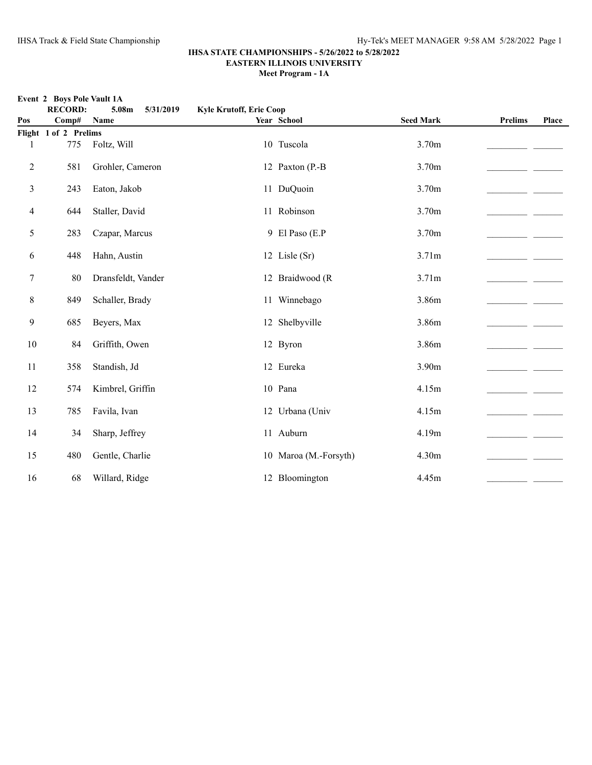**Event 2 Boys Pole Vault 1A**

#### **IHSA STATE CHAMPIONSHIPS - 5/26/2022 to 5/28/2022 EASTERN ILLINOIS UNIVERSITY**

**Meet Program - 1A**

|                | <b>RECORD:</b>        | 5.08m<br>5/31/2019 | <b>Kyle Krutoff, Erie Coop</b> |                       |                  |                |       |
|----------------|-----------------------|--------------------|--------------------------------|-----------------------|------------------|----------------|-------|
| Pos            | Comp#                 | Name               |                                | Year School           | <b>Seed Mark</b> | <b>Prelims</b> | Place |
|                | Flight 1 of 2 Prelims |                    |                                |                       |                  |                |       |
| 1              | 775                   | Foltz, Will        |                                | 10 Tuscola            | 3.70m            |                |       |
| $\overline{c}$ | 581                   | Grohler, Cameron   |                                | 12 Paxton (P.-B       | 3.70m            |                |       |
| 3              | 243                   | Eaton, Jakob       |                                | 11 DuQuoin            | 3.70m            |                |       |
| 4              | 644                   | Staller, David     |                                | 11 Robinson           | 3.70m            |                |       |
| 5              | 283                   | Czapar, Marcus     |                                | 9 El Paso (E.P        | 3.70m            |                |       |
| 6              | 448                   | Hahn, Austin       |                                | 12 Lisle (Sr)         | 3.71m            |                |       |
| $\tau$         | 80                    | Dransfeldt, Vander |                                | 12 Braidwood (R       | 3.71m            |                |       |
| 8              | 849                   | Schaller, Brady    |                                | 11 Winnebago          | 3.86m            |                |       |
| 9              | 685                   | Beyers, Max        |                                | 12 Shelbyville        | 3.86m            |                |       |
| 10             | 84                    | Griffith, Owen     |                                | 12 Byron              | 3.86m            |                |       |
| 11             | 358                   | Standish, Jd       |                                | 12 Eureka             | 3.90m            |                |       |
| 12             | 574                   | Kimbrel, Griffin   |                                | 10 Pana               | 4.15m            |                |       |
| 13             | 785                   | Favila, Ivan       |                                | 12 Urbana (Univ       | 4.15m            |                |       |
| 14             | 34                    | Sharp, Jeffrey     |                                | 11 Auburn             | 4.19m            |                |       |
| 15             | 480                   | Gentle, Charlie    |                                | 10 Maroa (M.-Forsyth) | 4.30m            |                |       |
| 16             | 68                    | Willard, Ridge     |                                | 12 Bloomington        | 4.45m            |                |       |